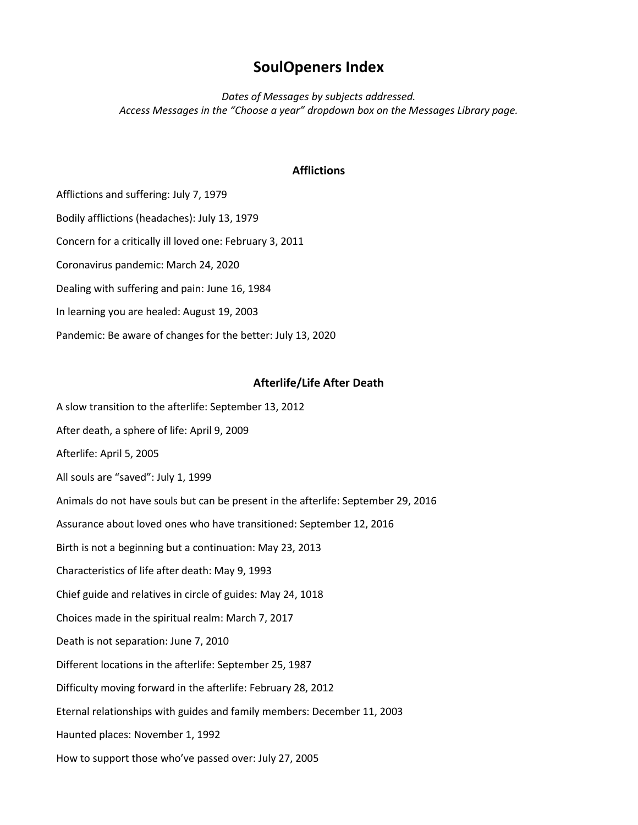# **SoulOpeners Index**

*Dates of Messages by subjects addressed. Access Messages in the "Choose a year" dropdown box on the Messages Library page.*

# **Afflictions**

Afflictions and suffering: July 7, 1979 Bodily afflictions (headaches): July 13, 1979 Concern for a critically ill loved one: February 3, 2011 Coronavirus pandemic: March 24, 2020 Dealing with suffering and pain: June 16, 1984 In learning you are healed: August 19, 2003 Pandemic: Be aware of changes for the better: July 13, 2020

# **Afterlife/Life After Death**

A slow transition to the afterlife: September 13, 2012 After death, a sphere of life: April 9, 2009 Afterlife: April 5, 2005 All souls are "saved": July 1, 1999 Animals do not have souls but can be present in the afterlife: September 29, 2016 Assurance about loved ones who have transitioned: September 12, 2016 Birth is not a beginning but a continuation: May 23, 2013 Characteristics of life after death: May 9, 1993 Chief guide and relatives in circle of guides: May 24, 1018 Choices made in the spiritual realm: March 7, 2017 Death is not separation: June 7, 2010 Different locations in the afterlife: September 25, 1987 Difficulty moving forward in the afterlife: February 28, 2012 Eternal relationships with guides and family members: December 11, 2003 Haunted places: November 1, 1992 How to support those who've passed over: July 27, 2005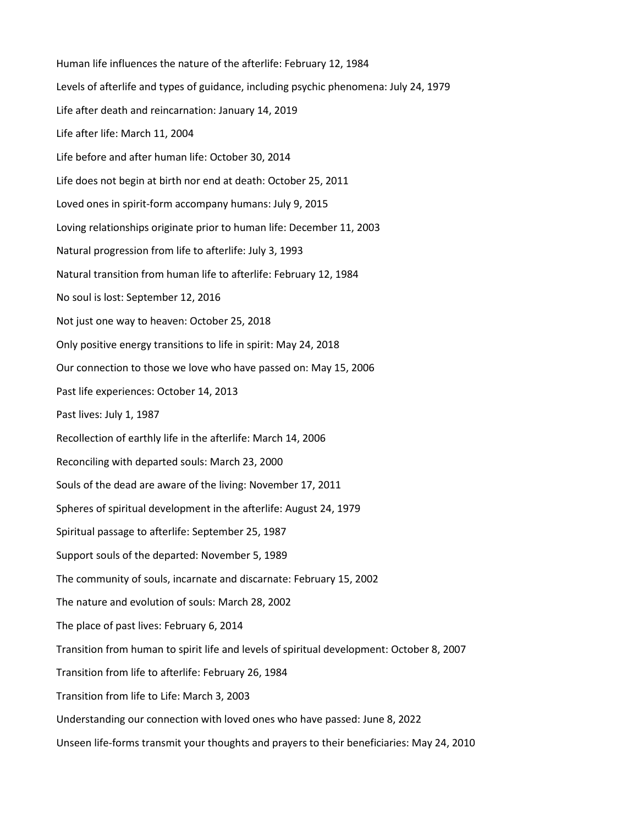Human life influences the nature of the afterlife: February 12, 1984 Levels of afterlife and types of guidance, including psychic phenomena: July 24, 1979 Life after death and reincarnation: January 14, 2019 Life after life: March 11, 2004 Life before and after human life: October 30, 2014 Life does not begin at birth nor end at death: October 25, 2011 Loved ones in spirit-form accompany humans: July 9, 2015 Loving relationships originate prior to human life: December 11, 2003 Natural progression from life to afterlife: July 3, 1993 Natural transition from human life to afterlife: February 12, 1984 No soul is lost: September 12, 2016 Not just one way to heaven: October 25, 2018 Only positive energy transitions to life in spirit: May 24, 2018 Our connection to those we love who have passed on: May 15, 2006 Past life experiences: October 14, 2013 Past lives: July 1, 1987 Recollection of earthly life in the afterlife: March 14, 2006 Reconciling with departed souls: March 23, 2000 Souls of the dead are aware of the living: November 17, 2011 Spheres of spiritual development in the afterlife: August 24, 1979 Spiritual passage to afterlife: September 25, 1987 Support souls of the departed: November 5, 1989 The community of souls, incarnate and discarnate: February 15, 2002 The nature and evolution of souls: March 28, 2002 The place of past lives: February 6, 2014 Transition from human to spirit life and levels of spiritual development: October 8, 2007 Transition from life to afterlife: February 26, 1984 Transition from life to Life: March 3, 2003 Understanding our connection with loved ones who have passed: June 8, 2022 Unseen life-forms transmit your thoughts and prayers to their beneficiaries: May 24, 2010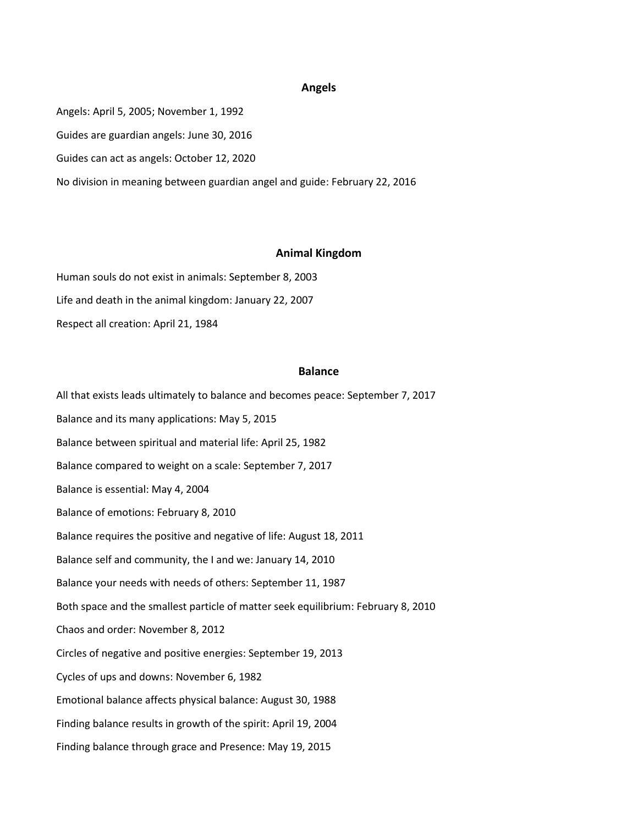#### **Angels**

Angels: April 5, 2005; November 1, 1992 Guides are guardian angels: June 30, 2016 Guides can act as angels: October 12, 2020 No division in meaning between guardian angel and guide: February 22, 2016

#### **Animal Kingdom**

Human souls do not exist in animals: September 8, 2003 Life and death in the animal kingdom: January 22, 2007 Respect all creation: April 21, 1984

#### **Balance**

All that exists leads ultimately to balance and becomes peace: September 7, 2017 Balance and its many applications: May 5, 2015 Balance between spiritual and material life: April 25, 1982 Balance compared to weight on a scale: September 7, 2017 Balance is essential: May 4, 2004 Balance of emotions: February 8, 2010 Balance requires the positive and negative of life: August 18, 2011 Balance self and community, the I and we: January 14, 2010 Balance your needs with needs of others: September 11, 1987 Both space and the smallest particle of matter seek equilibrium: February 8, 2010 Chaos and order: November 8, 2012 Circles of negative and positive energies: September 19, 2013 Cycles of ups and downs: November 6, 1982 Emotional balance affects physical balance: August 30, 1988 Finding balance results in growth of the spirit: April 19, 2004 Finding balance through grace and Presence: May 19, 2015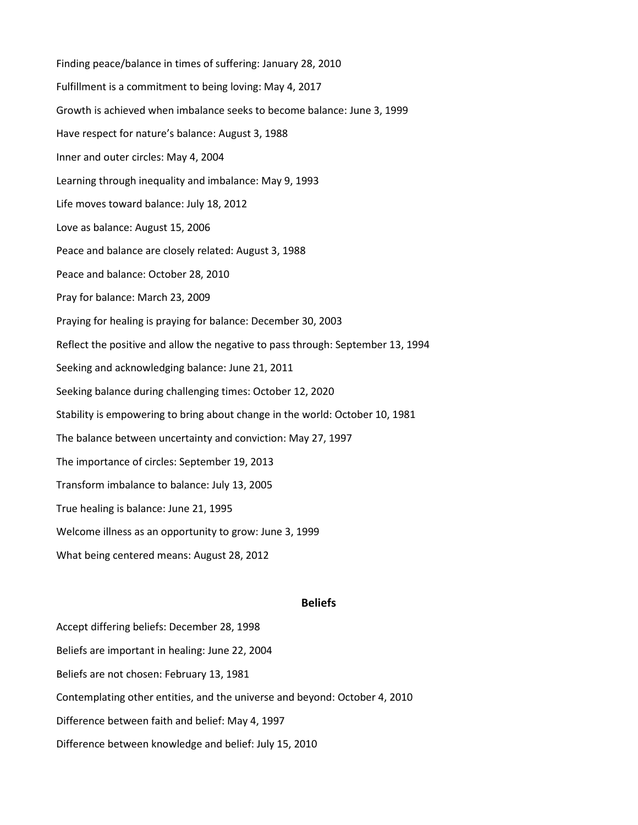Finding peace/balance in times of suffering: January 28, 2010 Fulfillment is a commitment to being loving: May 4, 2017 Growth is achieved when imbalance seeks to become balance: June 3, 1999 Have respect for nature's balance: August 3, 1988 Inner and outer circles: May 4, 2004 Learning through inequality and imbalance: May 9, 1993 Life moves toward balance: July 18, 2012 Love as balance: August 15, 2006 Peace and balance are closely related: August 3, 1988 Peace and balance: October 28, 2010 Pray for balance: March 23, 2009 Praying for healing is praying for balance: December 30, 2003 Reflect the positive and allow the negative to pass through: September 13, 1994 Seeking and acknowledging balance: June 21, 2011 Seeking balance during challenging times: October 12, 2020 Stability is empowering to bring about change in the world: October 10, 1981 The balance between uncertainty and conviction: May 27, 1997 The importance of circles: September 19, 2013 Transform imbalance to balance: July 13, 2005 True healing is balance: June 21, 1995 Welcome illness as an opportunity to grow: June 3, 1999 What being centered means: August 28, 2012

#### **Beliefs**

Accept differing beliefs: December 28, 1998 Beliefs are important in healing: June 22, 2004 Beliefs are not chosen: February 13, 1981 Contemplating other entities, and the universe and beyond: October 4, 2010 Difference between faith and belief: May 4, 1997 Difference between knowledge and belief: July 15, 2010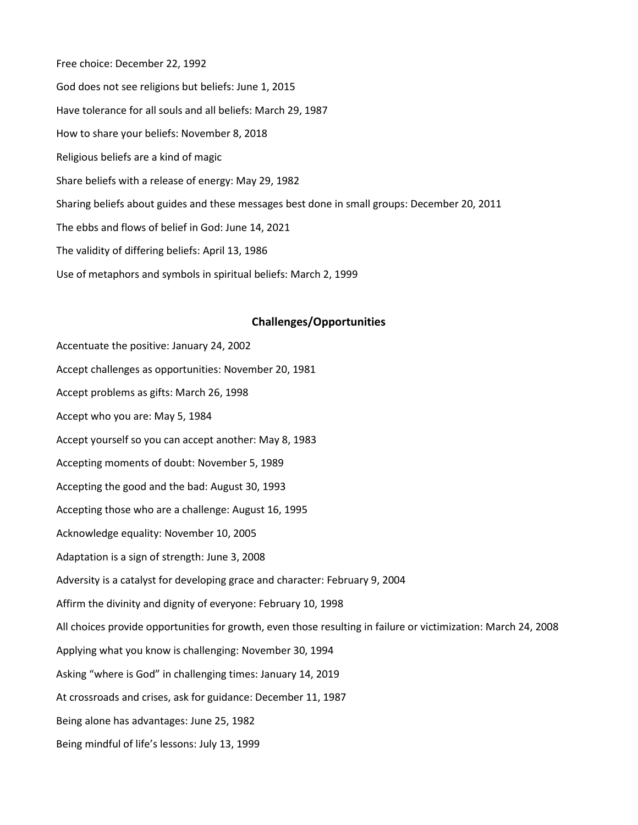Free choice: December 22, 1992 God does not see religions but beliefs: June 1, 2015 Have tolerance for all souls and all beliefs: March 29, 1987 How to share your beliefs: November 8, 2018 Religious beliefs are a kind of magic Share beliefs with a release of energy: May 29, 1982 Sharing beliefs about guides and these messages best done in small groups: December 20, 2011 The ebbs and flows of belief in God: June 14, 2021 The validity of differing beliefs: April 13, 1986 Use of metaphors and symbols in spiritual beliefs: March 2, 1999

## **Challenges/Opportunities**

Accentuate the positive: January 24, 2002 Accept challenges as opportunities: November 20, 1981 Accept problems as gifts: March 26, 1998 Accept who you are: May 5, 1984 Accept yourself so you can accept another: May 8, 1983 Accepting moments of doubt: November 5, 1989 Accepting the good and the bad: August 30, 1993 Accepting those who are a challenge: August 16, 1995 Acknowledge equality: November 10, 2005 Adaptation is a sign of strength: June 3, 2008 Adversity is a catalyst for developing grace and character: February 9, 2004 Affirm the divinity and dignity of everyone: February 10, 1998 All choices provide opportunities for growth, even those resulting in failure or victimization: March 24, 2008 Applying what you know is challenging: November 30, 1994 Asking "where is God" in challenging times: January 14, 2019 At crossroads and crises, ask for guidance: December 11, 1987 Being alone has advantages: June 25, 1982 Being mindful of life's lessons: July 13, 1999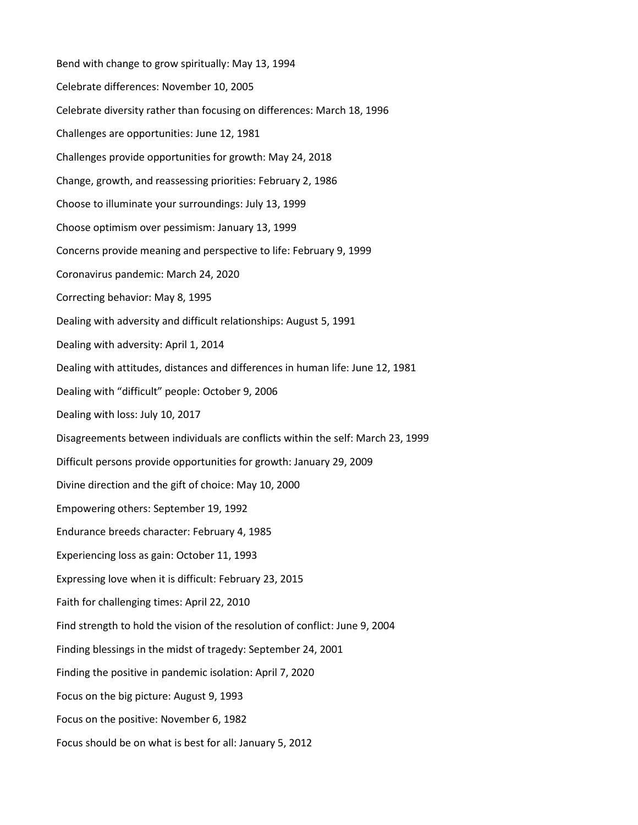Bend with change to grow spiritually: May 13, 1994 Celebrate differences: November 10, 2005 Celebrate diversity rather than focusing on differences: March 18, 1996 Challenges are opportunities: June 12, 1981 Challenges provide opportunities for growth: May 24, 2018 Change, growth, and reassessing priorities: February 2, 1986 Choose to illuminate your surroundings: July 13, 1999 Choose optimism over pessimism: January 13, 1999 Concerns provide meaning and perspective to life: February 9, 1999 Coronavirus pandemic: March 24, 2020 Correcting behavior: May 8, 1995 Dealing with adversity and difficult relationships: August 5, 1991 Dealing with adversity: April 1, 2014 Dealing with attitudes, distances and differences in human life: June 12, 1981 Dealing with "difficult" people: October 9, 2006 Dealing with loss: July 10, 2017 Disagreements between individuals are conflicts within the self: March 23, 1999 Difficult persons provide opportunities for growth: January 29, 2009 Divine direction and the gift of choice: May 10, 2000 Empowering others: September 19, 1992 Endurance breeds character: February 4, 1985 Experiencing loss as gain: October 11, 1993 Expressing love when it is difficult: February 23, 2015 Faith for challenging times: April 22, 2010 Find strength to hold the vision of the resolution of conflict: June 9, 2004 Finding blessings in the midst of tragedy: September 24, 2001 Finding the positive in pandemic isolation: April 7, 2020 Focus on the big picture: August 9, 1993 Focus on the positive: November 6, 1982 Focus should be on what is best for all: January 5, 2012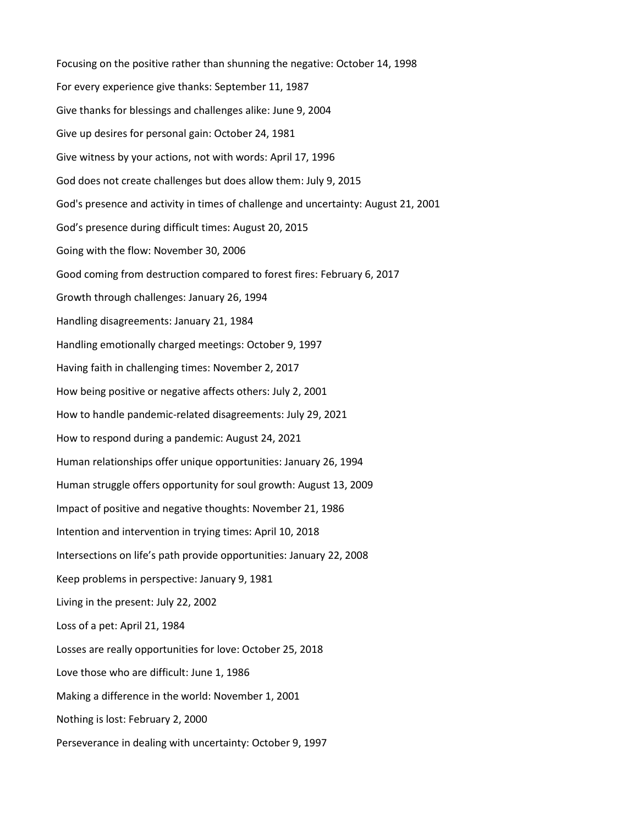Focusing on the positive rather than shunning the negative: October 14, 1998 For every experience give thanks: September 11, 1987 Give thanks for blessings and challenges alike: June 9, 2004 Give up desires for personal gain: October 24, 1981 Give witness by your actions, not with words: April 17, 1996 God does not create challenges but does allow them: July 9, 2015 God's presence and activity in times of challenge and uncertainty: August 21, 2001 God's presence during difficult times: August 20, 2015 Going with the flow: November 30, 2006 Good coming from destruction compared to forest fires: February 6, 2017 Growth through challenges: January 26, 1994 Handling disagreements: January 21, 1984 Handling emotionally charged meetings: October 9, 1997 Having faith in challenging times: November 2, 2017 How being positive or negative affects others: July 2, 2001 How to handle pandemic-related disagreements: July 29, 2021 How to respond during a pandemic: August 24, 2021 Human relationships offer unique opportunities: January 26, 1994 Human struggle offers opportunity for soul growth: August 13, 2009 Impact of positive and negative thoughts: November 21, 1986 Intention and intervention in trying times: April 10, 2018 Intersections on life's path provide opportunities: January 22, 2008 Keep problems in perspective: January 9, 1981 Living in the present: July 22, 2002 Loss of a pet: April 21, 1984 Losses are really opportunities for love: October 25, 2018 Love those who are difficult: June 1, 1986 Making a difference in the world: November 1, 2001 Nothing is lost: February 2, 2000 Perseverance in dealing with uncertainty: October 9, 1997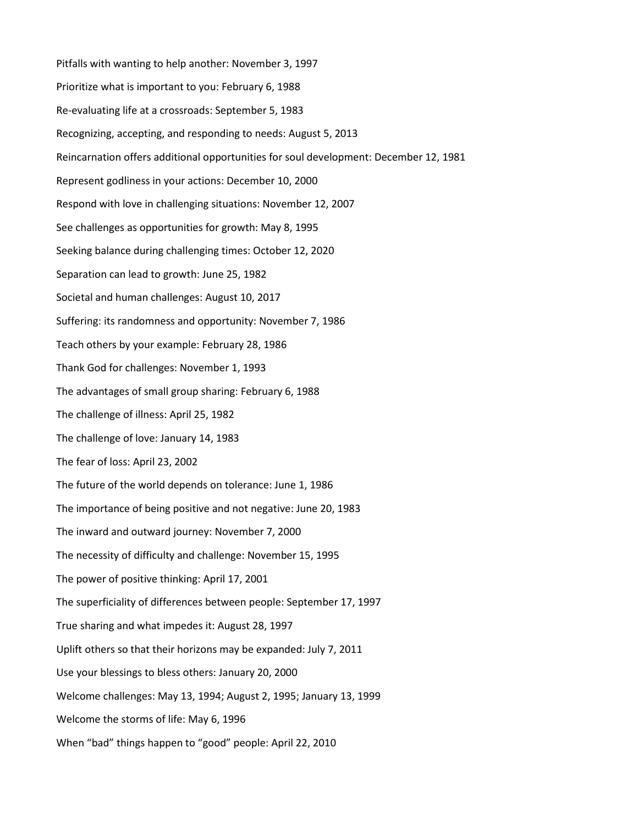Pitfalls with wanting to help another: November 3, 1997 Prioritize what is important to you: February 6, 1988 Re-evaluating life at a crossroads: September 5, 1983 Recognizing, accepting, and responding to needs: August 5, 2013 Reincarnation offers additional opportunities for soul development: December 12, 1981 Represent godliness in your actions: December 10, 2000 Respond with love in challenging situations: November 12, 2007 See challenges as opportunities for growth: May 8, 1995 Seeking balance during challenging times: October 12, 2020 Separation can lead to growth: June 25, 1982 Societal and human challenges: August 10, 2017 Suffering: its randomness and opportunity: November 7, 1986 Teach others by your example: February 28, 1986 Thank God for challenges: November 1, 1993 The advantages of small group sharing: February 6, 1988 The challenge of illness: April 25, 1982 The challenge of love: January 14, 1983 The fear of loss: April 23, 2002 The future of the world depends on tolerance: June 1, 1986 The importance of being positive and not negative: June 20, 1983 The inward and outward journey: November 7, 2000 The necessity of difficulty and challenge: November 15, 1995 The power of positive thinking: April 17, 2001 The superficiality of differences between people: September 17, 1997 True sharing and what impedes it: August 28, 1997 Uplift others so that their horizons may be expanded: July 7, 2011 Use your blessings to bless others: January 20, 2000 Welcome challenges: May 13, 1994; August 2, 1995; January 13, 1999 Welcome the storms of life: May 6, 1996 When "bad" things happen to "good" people: April 22, 2010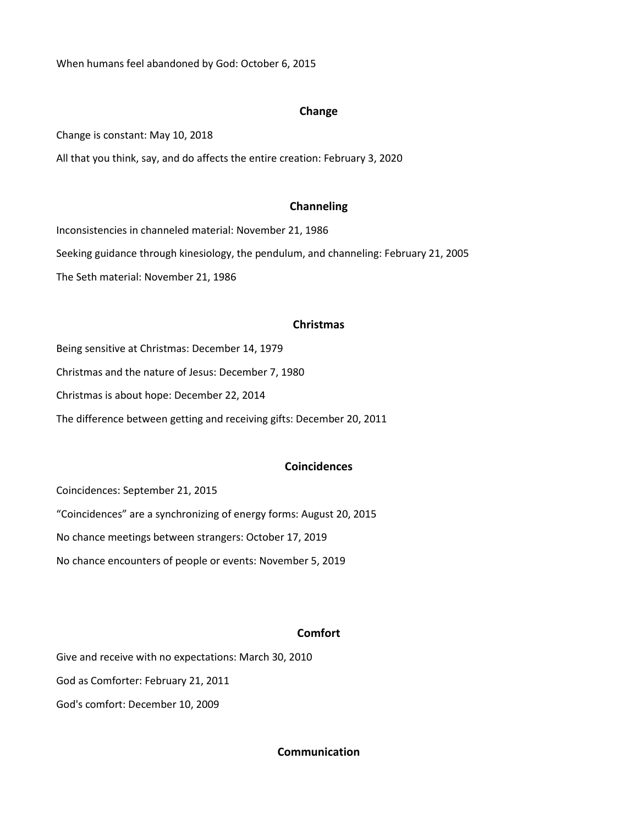When humans feel abandoned by God: October 6, 2015

## **Change**

Change is constant: May 10, 2018

All that you think, say, and do affects the entire creation: February 3, 2020

### **Channeling**

Inconsistencies in channeled material: November 21, 1986 Seeking guidance through kinesiology, the pendulum, and channeling: February 21, 2005 The Seth material: November 21, 1986

### **Christmas**

Being sensitive at Christmas: December 14, 1979 Christmas and the nature of Jesus: December 7, 1980 Christmas is about hope: December 22, 2014 The difference between getting and receiving gifts: December 20, 2011

# **Coincidences**

Coincidences: September 21, 2015 "Coincidences" are a synchronizing of energy forms: August 20, 2015 No chance meetings between strangers: October 17, 2019 No chance encounters of people or events: November 5, 2019

# **Comfort**

Give and receive with no expectations: March 30, 2010 God as Comforter: February 21, 2011 God's comfort: December 10, 2009

### **Communication**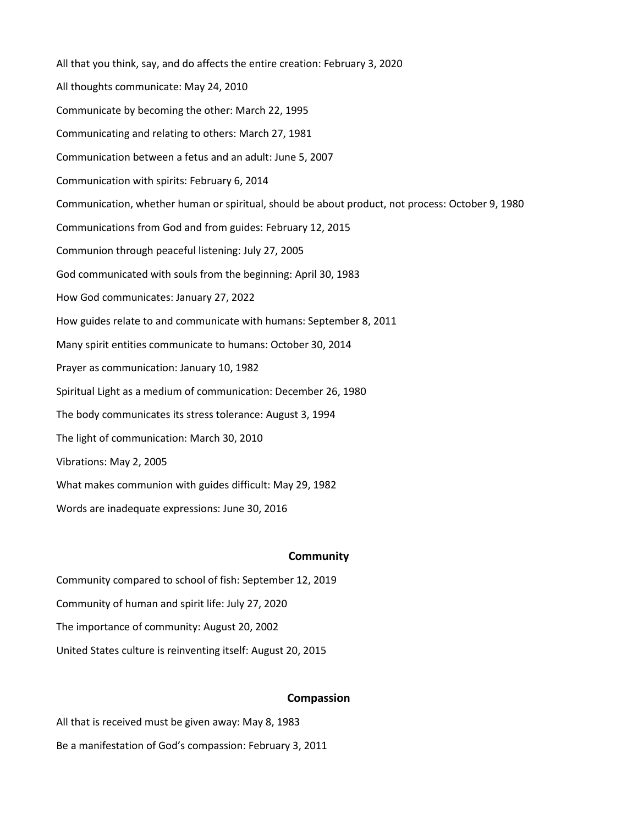All that you think, say, and do affects the entire creation: February 3, 2020 All thoughts communicate: May 24, 2010 Communicate by becoming the other: March 22, 1995 Communicating and relating to others: March 27, 1981 Communication between a fetus and an adult: June 5, 2007 Communication with spirits: February 6, 2014 Communication, whether human or spiritual, should be about product, not process: October 9, 1980 Communications from God and from guides: February 12, 2015 Communion through peaceful listening: July 27, 2005 God communicated with souls from the beginning: April 30, 1983 How God communicates: January 27, 2022 How guides relate to and communicate with humans: September 8, 2011 Many spirit entities communicate to humans: October 30, 2014 Prayer as communication: January 10, 1982 Spiritual Light as a medium of communication: December 26, 1980 The body communicates its stress tolerance: August 3, 1994 The light of communication: March 30, 2010 Vibrations: May 2, 2005 What makes communion with guides difficult: May 29, 1982 Words are inadequate expressions: June 30, 2016

### **Community**

Community compared to school of fish: September 12, 2019 Community of human and spirit life: July 27, 2020 The importance of community: August 20, 2002 United States culture is reinventing itself: August 20, 2015

### **Compassion**

All that is received must be given away: May 8, 1983 Be a manifestation of God's compassion: February 3, 2011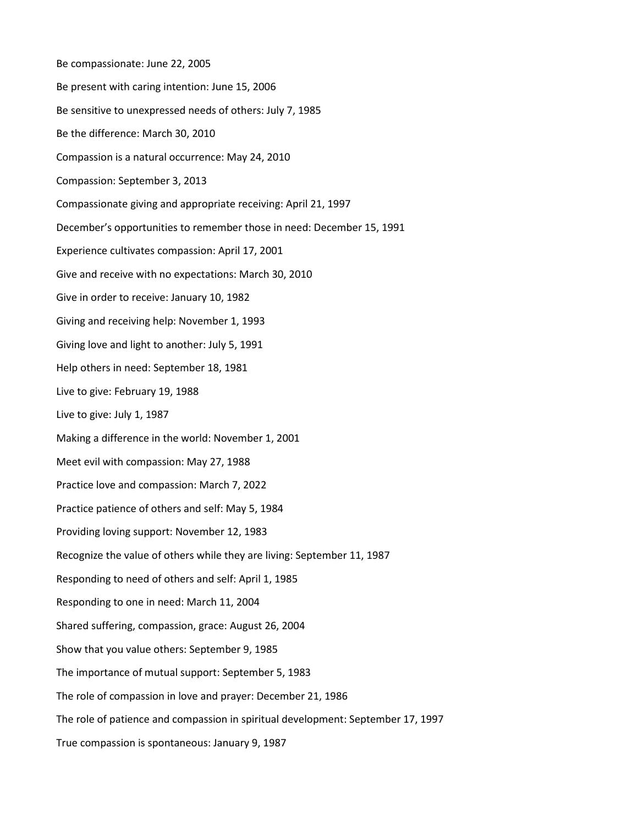Be compassionate: June 22, 2005 Be present with caring intention: June 15, 2006 Be sensitive to unexpressed needs of others: July 7, 1985 Be the difference: March 30, 2010 Compassion is a natural occurrence: May 24, 2010 Compassion: September 3, 2013 Compassionate giving and appropriate receiving: April 21, 1997 December's opportunities to remember those in need: December 15, 1991 Experience cultivates compassion: April 17, 2001 Give and receive with no expectations: March 30, 2010 Give in order to receive: January 10, 1982 Giving and receiving help: November 1, 1993 Giving love and light to another: July 5, 1991 Help others in need: September 18, 1981 Live to give: February 19, 1988 Live to give: July 1, 1987 Making a difference in the world: November 1, 2001 Meet evil with compassion: May 27, 1988 Practice love and compassion: March 7, 2022 Practice patience of others and self: May 5, 1984 Providing loving support: November 12, 1983 Recognize the value of others while they are living: September 11, 1987 Responding to need of others and self: April 1, 1985 Responding to one in need: March 11, 2004 Shared suffering, compassion, grace: August 26, 2004 Show that you value others: September 9, 1985 The importance of mutual support: September 5, 1983 The role of compassion in love and prayer: December 21, 1986 The role of patience and compassion in spiritual development: September 17, 1997 True compassion is spontaneous: January 9, 1987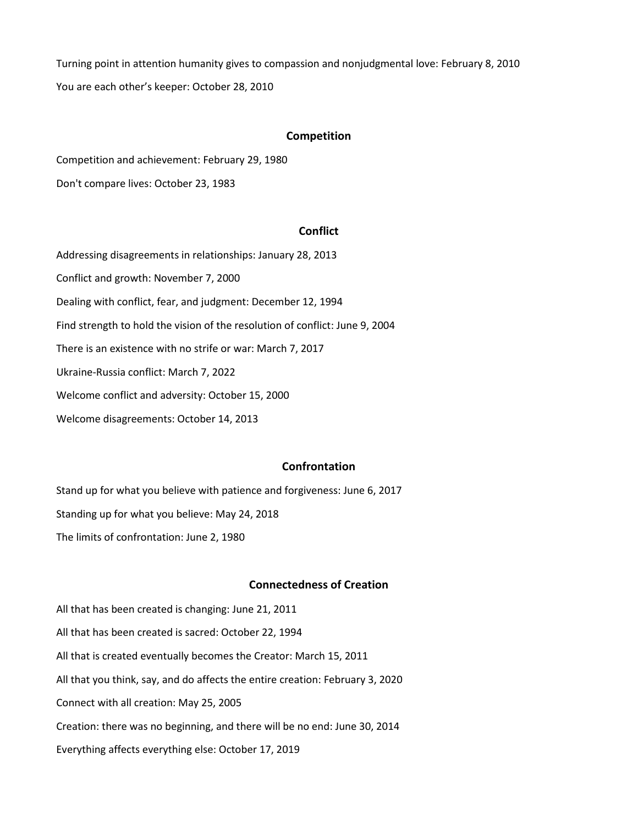Turning point in attention humanity gives to compassion and nonjudgmental love: February 8, 2010 You are each other's keeper: October 28, 2010

### **Competition**

Competition and achievement: February 29, 1980

Don't compare lives: October 23, 1983

# **Conflict**

Addressing disagreements in relationships: January 28, 2013 Conflict and growth: November 7, 2000 Dealing with conflict, fear, and judgment: December 12, 1994 Find strength to hold the vision of the resolution of conflict: June 9, 2004 There is an existence with no strife or war: March 7, 2017 Ukraine-Russia conflict: March 7, 2022 Welcome conflict and adversity: October 15, 2000 Welcome disagreements: October 14, 2013

# **Confrontation**

Stand up for what you believe with patience and forgiveness: June 6, 2017 Standing up for what you believe: May 24, 2018 The limits of confrontation: June 2, 1980

# **Connectedness of Creation**

All that has been created is changing: June 21, 2011 All that has been created is sacred: October 22, 1994 All that is created eventually becomes the Creator: March 15, 2011 All that you think, say, and do affects the entire creation: February 3, 2020 Connect with all creation: May 25, 2005 Creation: there was no beginning, and there will be no end: June 30, 2014 Everything affects everything else: October 17, 2019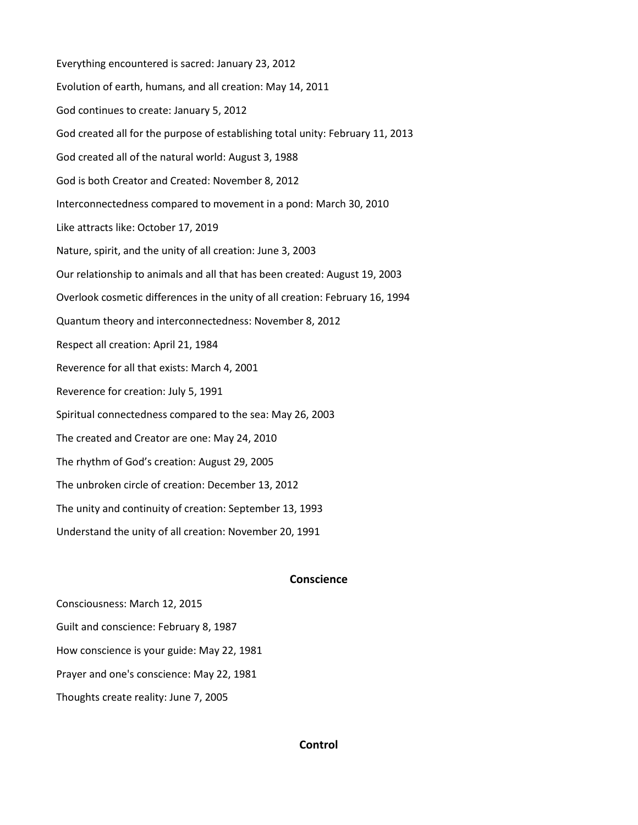Everything encountered is sacred: January 23, 2012 Evolution of earth, humans, and all creation: May 14, 2011 God continues to create: January 5, 2012 God created all for the purpose of establishing total unity: February 11, 2013 God created all of the natural world: August 3, 1988 God is both Creator and Created: November 8, 2012 Interconnectedness compared to movement in a pond: March 30, 2010 Like attracts like: October 17, 2019 Nature, spirit, and the unity of all creation: June 3, 2003 Our relationship to animals and all that has been created: August 19, 2003 Overlook cosmetic differences in the unity of all creation: February 16, 1994 Quantum theory and interconnectedness: November 8, 2012 Respect all creation: April 21, 1984 Reverence for all that exists: March 4, 2001 Reverence for creation: July 5, 1991 Spiritual connectedness compared to the sea: May 26, 2003 The created and Creator are one: May 24, 2010 The rhythm of God's creation: August 29, 2005 The unbroken circle of creation: December 13, 2012 The unity and continuity of creation: September 13, 1993 Understand the unity of all creation: November 20, 1991

# **Conscience**

Consciousness: March 12, 2015 Guilt and conscience: February 8, 1987 How conscience is your guide: May 22, 1981 Prayer and one's conscience: May 22, 1981 Thoughts create reality: June 7, 2005

# **Control**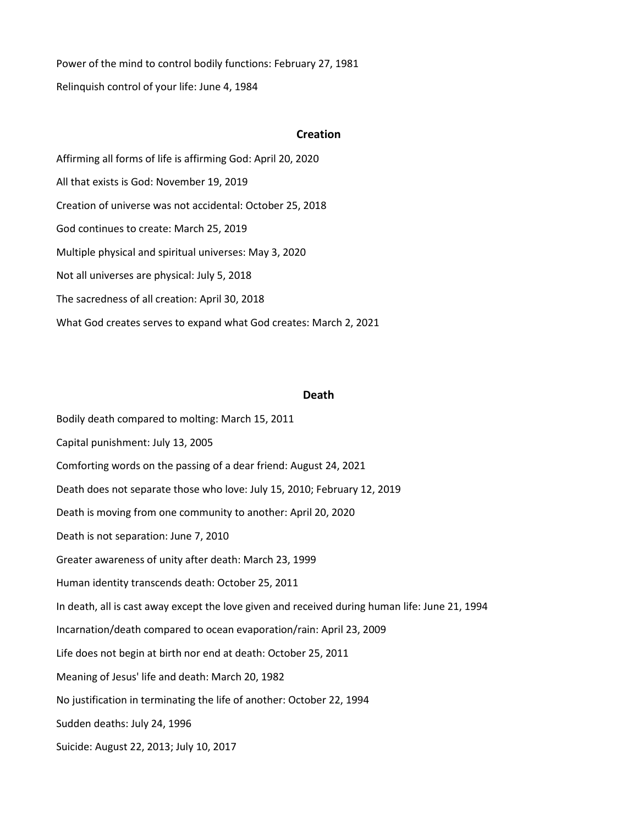Power of the mind to control bodily functions: February 27, 1981 Relinquish control of your life: June 4, 1984

#### **Creation**

Affirming all forms of life is affirming God: April 20, 2020 All that exists is God: November 19, 2019 Creation of universe was not accidental: October 25, 2018 God continues to create: March 25, 2019 Multiple physical and spiritual universes: May 3, 2020 Not all universes are physical: July 5, 2018 The sacredness of all creation: April 30, 2018 What God creates serves to expand what God creates: March 2, 2021

#### **Death**

Bodily death compared to molting: March 15, 2011 Capital punishment: July 13, 2005 Comforting words on the passing of a dear friend: August 24, 2021 Death does not separate those who love: July 15, 2010; February 12, 2019 Death is moving from one community to another: April 20, 2020 Death is not separation: June 7, 2010 Greater awareness of unity after death: March 23, 1999 Human identity transcends death: October 25, 2011 In death, all is cast away except the love given and received during human life: June 21, 1994 Incarnation/death compared to ocean evaporation/rain: April 23, 2009 Life does not begin at birth nor end at death: October 25, 2011 Meaning of Jesus' life and death: March 20, 1982 No justification in terminating the life of another: October 22, 1994 Sudden deaths: July 24, 1996 Suicide: August 22, 2013; July 10, 2017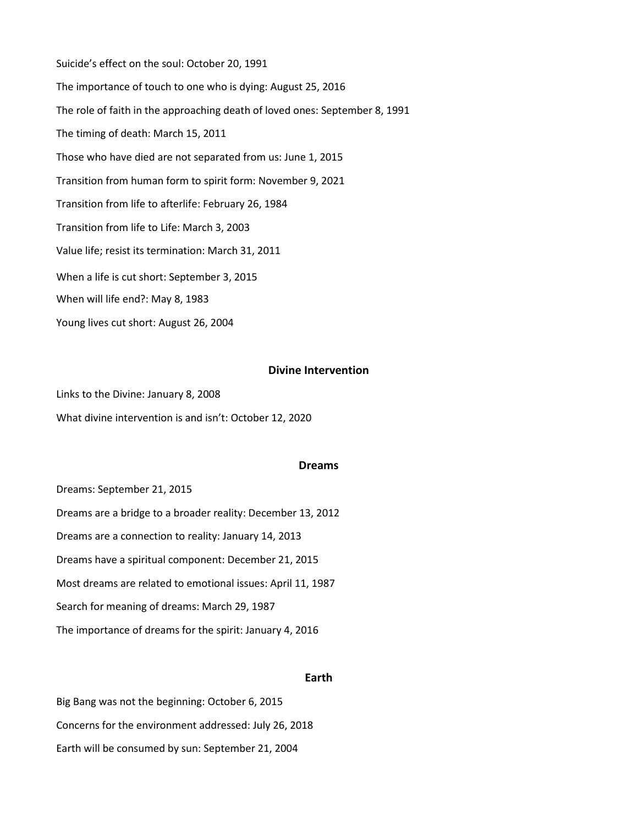Suicide's effect on the soul: October 20, 1991 The importance of touch to one who is dying: August 25, 2016 The role of faith in the approaching death of loved ones: September 8, 1991 The timing of death: March 15, 2011 Those who have died are not separated from us: June 1, 2015 Transition from human form to spirit form: November 9, 2021 Transition from life to afterlife: February 26, 1984 Transition from life to Life: March 3, 2003 Value life; resist its termination: March 31, 2011 When a life is cut short: September 3, 2015 When will life end?: May 8, 1983 Young lives cut short: August 26, 2004

### **Divine Intervention**

Links to the Divine: January 8, 2008 What divine intervention is and isn't: October 12, 2020

#### **Dreams**

Dreams: September 21, 2015 Dreams are a bridge to a broader reality: December 13, 2012 Dreams are a connection to reality: January 14, 2013 Dreams have a spiritual component: December 21, 2015 Most dreams are related to emotional issues: April 11, 1987 Search for meaning of dreams: March 29, 1987 The importance of dreams for the spirit: January 4, 2016

### **Earth**

Big Bang was not the beginning: October 6, 2015 Concerns for the environment addressed: July 26, 2018 Earth will be consumed by sun: September 21, 2004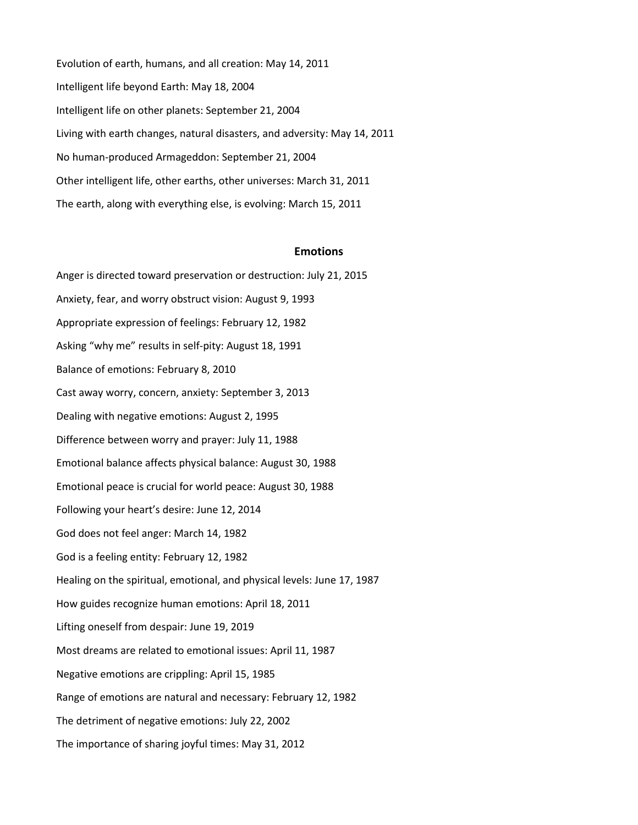Evolution of earth, humans, and all creation: May 14, 2011 Intelligent life beyond Earth: May 18, 2004 Intelligent life on other planets: September 21, 2004 Living with earth changes, natural disasters, and adversity: May 14, 2011 No human-produced Armageddon: September 21, 2004 Other intelligent life, other earths, other universes: March 31, 2011 The earth, along with everything else, is evolving: March 15, 2011

#### **Emotions**

Anger is directed toward preservation or destruction: July 21, 2015 Anxiety, fear, and worry obstruct vision: August 9, 1993 Appropriate expression of feelings: February 12, 1982 Asking "why me" results in self-pity: August 18, 1991 Balance of emotions: February 8, 2010 Cast away worry, concern, anxiety: September 3, 2013 Dealing with negative emotions: August 2, 1995 Difference between worry and prayer: July 11, 1988 Emotional balance affects physical balance: August 30, 1988 Emotional peace is crucial for world peace: August 30, 1988 Following your heart's desire: June 12, 2014 God does not feel anger: March 14, 1982 God is a feeling entity: February 12, 1982 Healing on the spiritual, emotional, and physical levels: June 17, 1987 How guides recognize human emotions: April 18, 2011 Lifting oneself from despair: June 19, 2019 Most dreams are related to emotional issues: April 11, 1987 Negative emotions are crippling: April 15, 1985 Range of emotions are natural and necessary: February 12, 1982 The detriment of negative emotions: July 22, 2002 The importance of sharing joyful times: May 31, 2012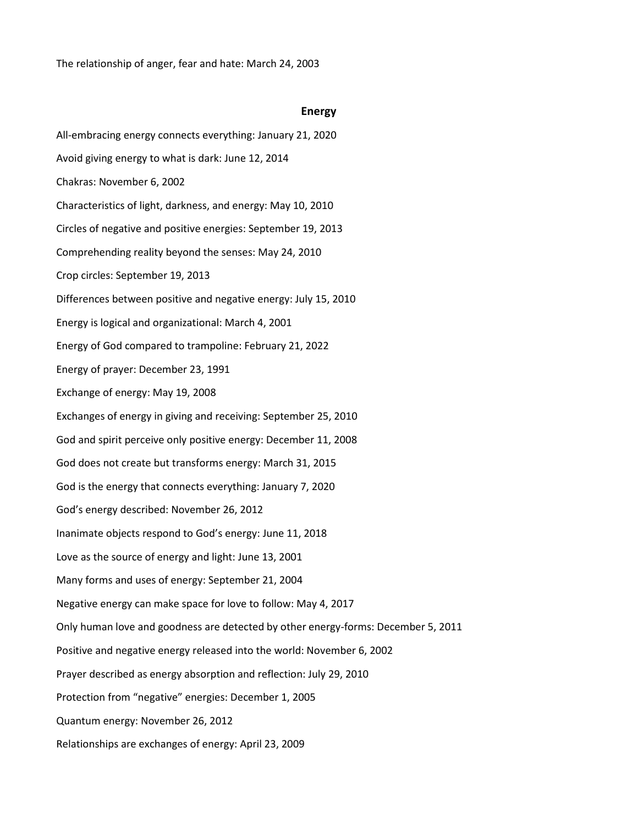The relationship of anger, fear and hate: March 24, 2003

#### **Energy**

All-embracing energy connects everything: January 21, 2020 Avoid giving energy to what is dark: June 12, 2014 Chakras: November 6, 2002 Characteristics of light, darkness, and energy: May 10, 2010 Circles of negative and positive energies: September 19, 2013 Comprehending reality beyond the senses: May 24, 2010 Crop circles: September 19, 2013 Differences between positive and negative energy: July 15, 2010 Energy is logical and organizational: March 4, 2001 Energy of God compared to trampoline: February 21, 2022 Energy of prayer: December 23, 1991 Exchange of energy: May 19, 2008 Exchanges of energy in giving and receiving: September 25, 2010 God and spirit perceive only positive energy: December 11, 2008 God does not create but transforms energy: March 31, 2015 God is the energy that connects everything: January 7, 2020 God's energy described: November 26, 2012 Inanimate objects respond to God's energy: June 11, 2018 Love as the source of energy and light: June 13, 2001 Many forms and uses of energy: September 21, 2004 Negative energy can make space for love to follow: May 4, 2017 Only human love and goodness are detected by other energy-forms: December 5, 2011 Positive and negative energy released into the world: November 6, 2002 Prayer described as energy absorption and reflection: July 29, 2010 Protection from "negative" energies: December 1, 2005 Quantum energy: November 26, 2012 Relationships are exchanges of energy: April 23, 2009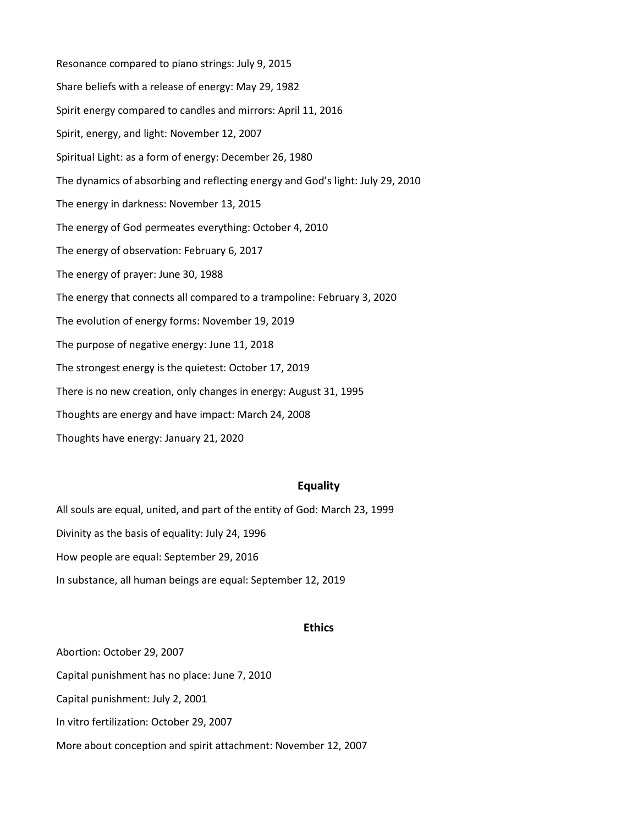Resonance compared to piano strings: July 9, 2015 Share beliefs with a release of energy: May 29, 1982 Spirit energy compared to candles and mirrors: April 11, 2016 Spirit, energy, and light: November 12, 2007 Spiritual Light: as a form of energy: December 26, 1980 The dynamics of absorbing and reflecting energy and God's light: July 29, 2010 The energy in darkness: November 13, 2015 The energy of God permeates everything: October 4, 2010 The energy of observation: February 6, 2017 The energy of prayer: June 30, 1988 The energy that connects all compared to a trampoline: February 3, 2020 The evolution of energy forms: November 19, 2019 The purpose of negative energy: June 11, 2018 The strongest energy is the quietest: October 17, 2019 There is no new creation, only changes in energy: August 31, 1995 Thoughts are energy and have impact: March 24, 2008 Thoughts have energy: January 21, 2020

# **Equality**

All souls are equal, united, and part of the entity of God: March 23, 1999 Divinity as the basis of equality: July 24, 1996 How people are equal: September 29, 2016 In substance, all human beings are equal: September 12, 2019

#### **Ethics**

Abortion: October 29, 2007 Capital punishment has no place: June 7, 2010 Capital punishment: July 2, 2001 In vitro fertilization: October 29, 2007 More about conception and spirit attachment: November 12, 2007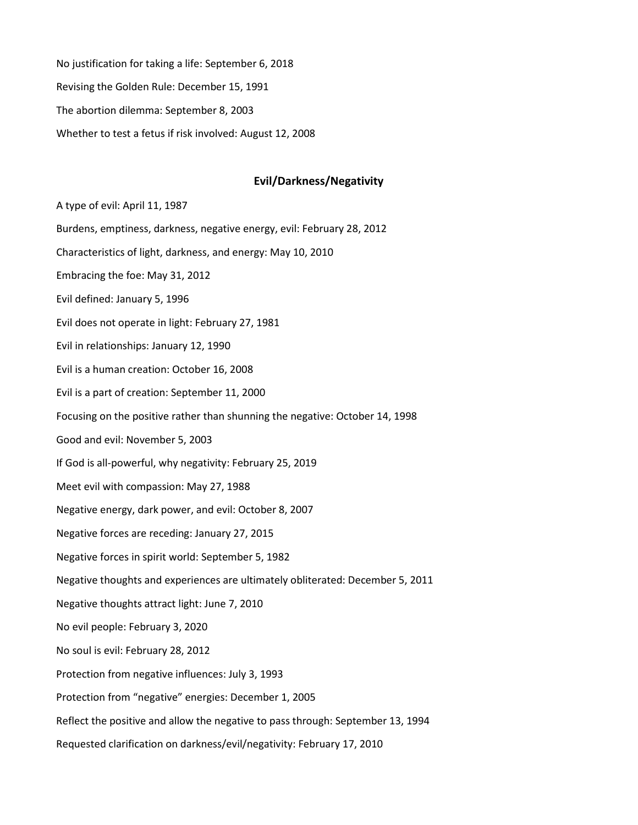No justification for taking a life: September 6, 2018 Revising the Golden Rule: December 15, 1991 The abortion dilemma: September 8, 2003 Whether to test a fetus if risk involved: August 12, 2008

### **Evil/Darkness/Negativity**

A type of evil: April 11, 1987 Burdens, emptiness, darkness, negative energy, evil: February 28, 2012 Characteristics of light, darkness, and energy: May 10, 2010 Embracing the foe: May 31, 2012 Evil defined: January 5, 1996 Evil does not operate in light: February 27, 1981 Evil in relationships: January 12, 1990 Evil is a human creation: October 16, 2008 Evil is a part of creation: September 11, 2000 Focusing on the positive rather than shunning the negative: October 14, 1998 Good and evil: November 5, 2003 If God is all-powerful, why negativity: February 25, 2019 Meet evil with compassion: May 27, 1988 Negative energy, dark power, and evil: October 8, 2007 Negative forces are receding: January 27, 2015 Negative forces in spirit world: September 5, 1982 Negative thoughts and experiences are ultimately obliterated: December 5, 2011 Negative thoughts attract light: June 7, 2010 No evil people: February 3, 2020 No soul is evil: February 28, 2012 Protection from negative influences: July 3, 1993 Protection from "negative" energies: December 1, 2005 Reflect the positive and allow the negative to pass through: September 13, 1994 Requested clarification on darkness/evil/negativity: February 17, 2010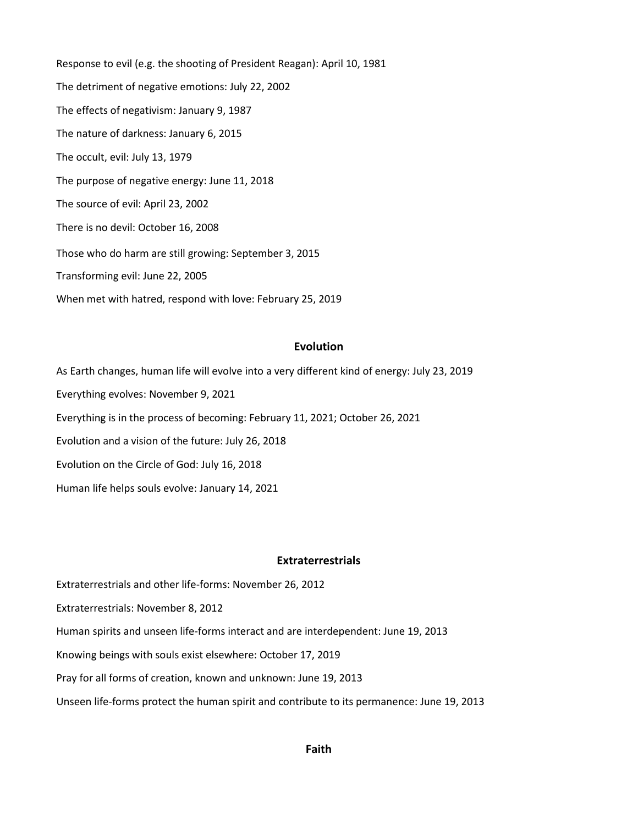Response to evil (e.g. the shooting of President Reagan): April 10, 1981 The detriment of negative emotions: July 22, 2002 The effects of negativism: January 9, 1987 The nature of darkness: January 6, 2015 The occult, evil: July 13, 1979 The purpose of negative energy: June 11, 2018 The source of evil: April 23, 2002 There is no devil: October 16, 2008 Those who do harm are still growing: September 3, 2015 Transforming evil: June 22, 2005 When met with hatred, respond with love: February 25, 2019

### **Evolution**

As Earth changes, human life will evolve into a very different kind of energy: July 23, 2019 Everything evolves: November 9, 2021 Everything is in the process of becoming: February 11, 2021; October 26, 2021 Evolution and a vision of the future: July 26, 2018 Evolution on the Circle of God: July 16, 2018 Human life helps souls evolve: January 14, 2021

#### **Extraterrestrials**

Extraterrestrials and other life-forms: November 26, 2012

Extraterrestrials: November 8, 2012

Human spirits and unseen life-forms interact and are interdependent: June 19, 2013

Knowing beings with souls exist elsewhere: October 17, 2019

Pray for all forms of creation, known and unknown: June 19, 2013

Unseen life-forms protect the human spirit and contribute to its permanence: June 19, 2013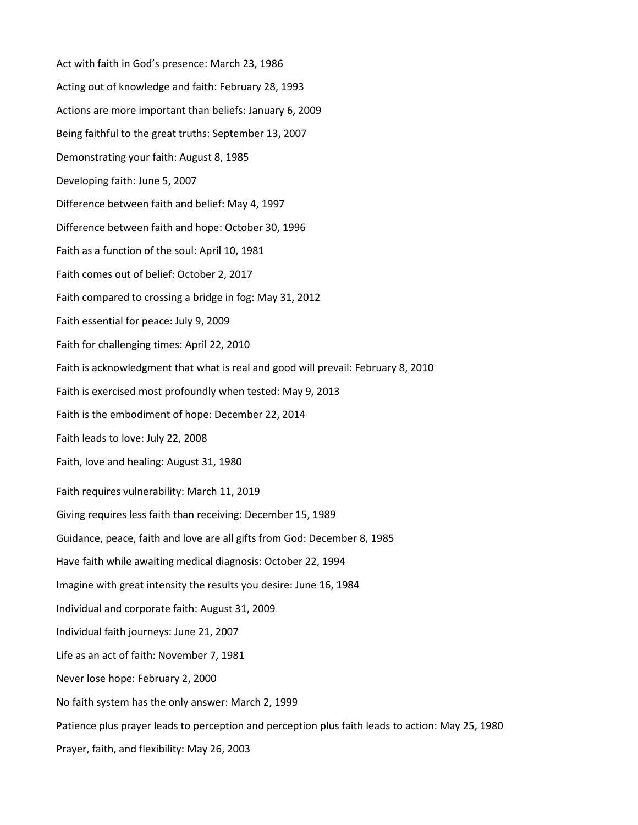Act with faith in God's presence: March 23, 1986 Acting out of knowledge and faith: February 28, 1993 Actions are more important than beliefs: January 6, 2009 Being faithful to the great truths: September 13, 2007 Demonstrating your faith: August 8, 1985 Developing faith: June 5, 2007 Difference between faith and belief: May 4, 1997 Difference between faith and hope: October 30, 1996 Faith as a function of the soul: April 10, 1981 Faith comes out of belief: October 2, 2017 Faith compared to crossing a bridge in fog: May 31, 2012 Faith essential for peace: July 9, 2009 Faith for challenging times: April 22, 2010 Faith is acknowledgment that what is real and good will prevail: February 8, 2010 Faith is exercised most profoundly when tested: May 9, 2013 Faith is the embodiment of hope: December 22, 2014 Faith leads to love: July 22, 2008 Faith, love and healing: August 31, 1980 Faith requires vulnerability: March 11, 2019 Giving requires less faith than receiving: December 15, 1989 Guidance, peace, faith and love are all gifts from God: December 8, 1985 Have faith while awaiting medical diagnosis: October 22, 1994 Imagine with great intensity the results you desire: June 16, 1984 Individual and corporate faith: August 31, 2009 Individual faith journeys: June 21, 2007 Life as an act of faith: November 7, 1981 Never lose hope: February 2, 2000 No faith system has the only answer: March 2, 1999 Patience plus prayer leads to perception and perception plus faith leads to action: May 25, 1980 Prayer, faith, and flexibility: May 26, 2003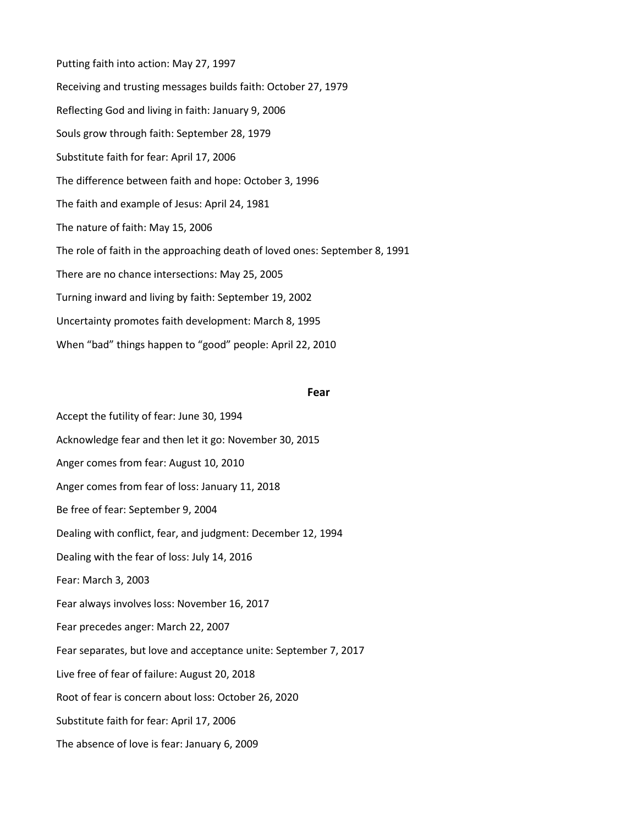Putting faith into action: May 27, 1997 Receiving and trusting messages builds faith: October 27, 1979 Reflecting God and living in faith: January 9, 2006 Souls grow through faith: September 28, 1979 Substitute faith for fear: April 17, 2006 The difference between faith and hope: October 3, 1996 The faith and example of Jesus: April 24, 1981 The nature of faith: May 15, 2006 The role of faith in the approaching death of loved ones: September 8, 1991 There are no chance intersections: May 25, 2005 Turning inward and living by faith: September 19, 2002 Uncertainty promotes faith development: March 8, 1995 When "bad" things happen to "good" people: April 22, 2010

#### **Fear**

Accept the futility of fear: June 30, 1994 Acknowledge fear and then let it go: November 30, 2015 Anger comes from fear: August 10, 2010 Anger comes from fear of loss: January 11, 2018 Be free of fear: September 9, 2004 Dealing with conflict, fear, and judgment: December 12, 1994 Dealing with the fear of loss: July 14, 2016 Fear: March 3, 2003 Fear always involves loss: November 16, 2017 Fear precedes anger: March 22, 2007 Fear separates, but love and acceptance unite: September 7, 2017 Live free of fear of failure: August 20, 2018 Root of fear is concern about loss: October 26, 2020 Substitute faith for fear: April 17, 2006 The absence of love is fear: January 6, 2009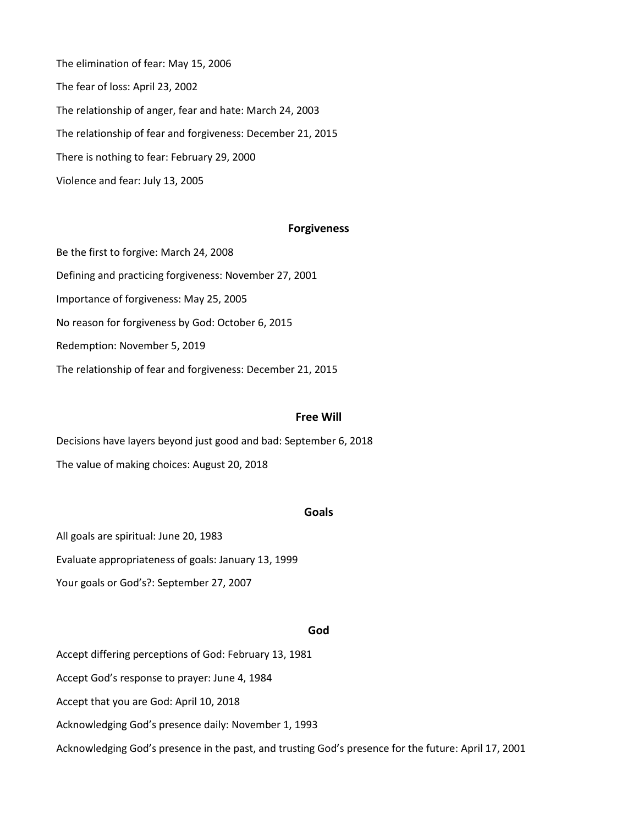The elimination of fear: May 15, 2006 The fear of loss: April 23, 2002 The relationship of anger, fear and hate: March 24, 2003 The relationship of fear and forgiveness: December 21, 2015 There is nothing to fear: February 29, 2000 Violence and fear: July 13, 2005

#### **Forgiveness**

Be the first to forgive: March 24, 2008 Defining and practicing forgiveness: November 27, 2001 Importance of forgiveness: May 25, 2005 No reason for forgiveness by God: October 6, 2015 Redemption: November 5, 2019 The relationship of fear and forgiveness: December 21, 2015

#### **Free Will**

Decisions have layers beyond just good and bad: September 6, 2018 The value of making choices: August 20, 2018

# **Goals**

All goals are spiritual: June 20, 1983

Evaluate appropriateness of goals: January 13, 1999

Your goals or God's?: September 27, 2007

### **God**

Accept differing perceptions of God: February 13, 1981

Accept God's response to prayer: June 4, 1984

Accept that you are God: April 10, 2018

Acknowledging God's presence daily: November 1, 1993

Acknowledging God's presence in the past, and trusting God's presence for the future: April 17, 2001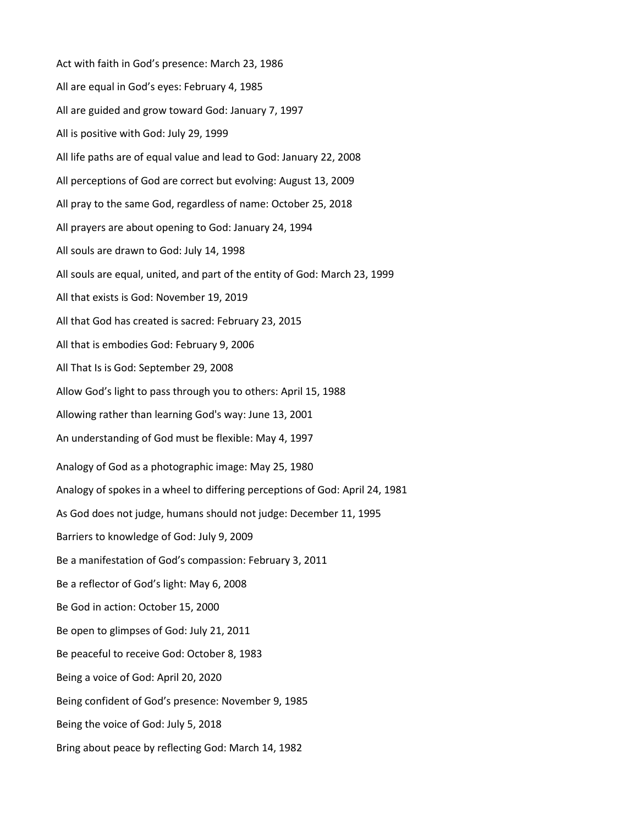Act with faith in God's presence: March 23, 1986 All are equal in God's eyes: February 4, 1985 All are guided and grow toward God: January 7, 1997 All is positive with God: July 29, 1999 All life paths are of equal value and lead to God: January 22, 2008 All perceptions of God are correct but evolving: August 13, 2009 All pray to the same God, regardless of name: October 25, 2018 All prayers are about opening to God: January 24, 1994 All souls are drawn to God: July 14, 1998 All souls are equal, united, and part of the entity of God: March 23, 1999 All that exists is God: November 19, 2019 All that God has created is sacred: February 23, 2015 All that is embodies God: February 9, 2006 All That Is is God: September 29, 2008 Allow God's light to pass through you to others: April 15, 1988 Allowing rather than learning God's way: June 13, 2001 An understanding of God must be flexible: May 4, 1997 Analogy of God as a photographic image: May 25, 1980 Analogy of spokes in a wheel to differing perceptions of God: April 24, 1981 As God does not judge, humans should not judge: December 11, 1995 Barriers to knowledge of God: July 9, 2009 Be a manifestation of God's compassion: February 3, 2011 Be a reflector of God's light: May 6, 2008 Be God in action: October 15, 2000 Be open to glimpses of God: July 21, 2011 Be peaceful to receive God: October 8, 1983 Being a voice of God: April 20, 2020 Being confident of God's presence: November 9, 1985 Being the voice of God: July 5, 2018 Bring about peace by reflecting God: March 14, 1982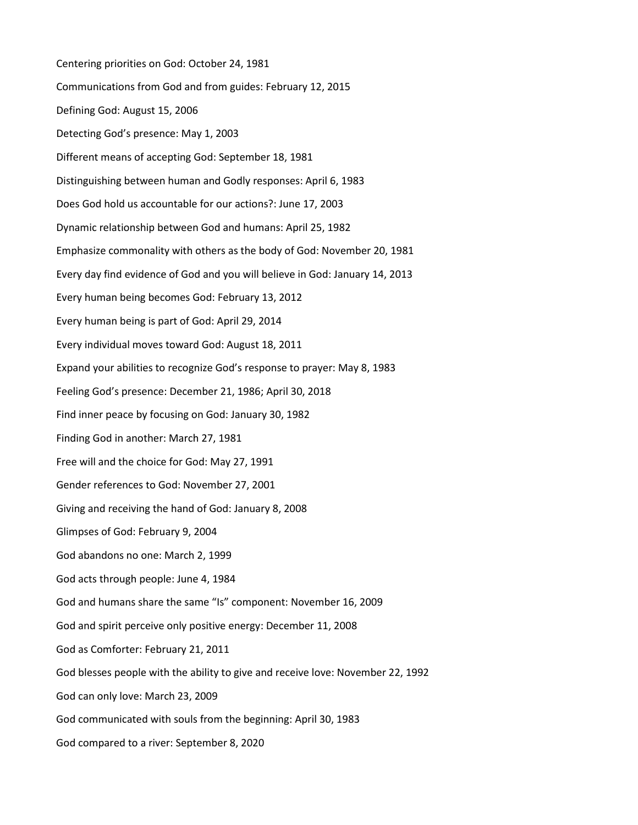Centering priorities on God: October 24, 1981 Communications from God and from guides: February 12, 2015 Defining God: August 15, 2006 Detecting God's presence: May 1, 2003 Different means of accepting God: September 18, 1981 Distinguishing between human and Godly responses: April 6, 1983 Does God hold us accountable for our actions?: June 17, 2003 Dynamic relationship between God and humans: April 25, 1982 Emphasize commonality with others as the body of God: November 20, 1981 Every day find evidence of God and you will believe in God: January 14, 2013 Every human being becomes God: February 13, 2012 Every human being is part of God: April 29, 2014 Every individual moves toward God: August 18, 2011 Expand your abilities to recognize God's response to prayer: May 8, 1983 Feeling God's presence: December 21, 1986; April 30, 2018 Find inner peace by focusing on God: January 30, 1982 Finding God in another: March 27, 1981 Free will and the choice for God: May 27, 1991 Gender references to God: November 27, 2001 Giving and receiving the hand of God: January 8, 2008 Glimpses of God: February 9, 2004 God abandons no one: March 2, 1999 God acts through people: June 4, 1984 God and humans share the same "Is" component: November 16, 2009 God and spirit perceive only positive energy: December 11, 2008 God as Comforter: February 21, 2011 God blesses people with the ability to give and receive love: November 22, 1992 God can only love: March 23, 2009 God communicated with souls from the beginning: April 30, 1983 God compared to a river: September 8, 2020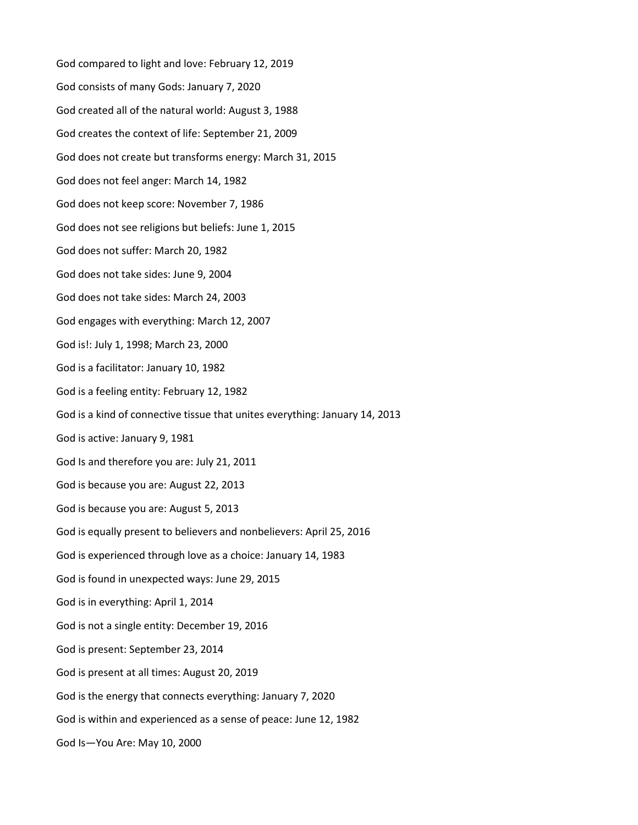God compared to light and love: February 12, 2019 God consists of many Gods: January 7, 2020 God created all of the natural world: August 3, 1988 God creates the context of life: September 21, 2009 God does not create but transforms energy: March 31, 2015 God does not feel anger: March 14, 1982 God does not keep score: November 7, 1986 God does not see religions but beliefs: June 1, 2015 God does not suffer: March 20, 1982 God does not take sides: June 9, 2004 God does not take sides: March 24, 2003 God engages with everything: March 12, 2007 God is!: July 1, 1998; March 23, 2000 God is a facilitator: January 10, 1982 God is a feeling entity: February 12, 1982 God is a kind of connective tissue that unites everything: January 14, 2013 God is active: January 9, 1981 God Is and therefore you are: July 21, 2011 God is because you are: August 22, 2013 God is because you are: August 5, 2013 God is equally present to believers and nonbelievers: April 25, 2016 God is experienced through love as a choice: January 14, 1983 God is found in unexpected ways: June 29, 2015 God is in everything: April 1, 2014 God is not a single entity: December 19, 2016 God is present: September 23, 2014 God is present at all times: August 20, 2019 God is the energy that connects everything: January 7, 2020 God is within and experienced as a sense of peace: June 12, 1982 God Is—You Are: May 10, 2000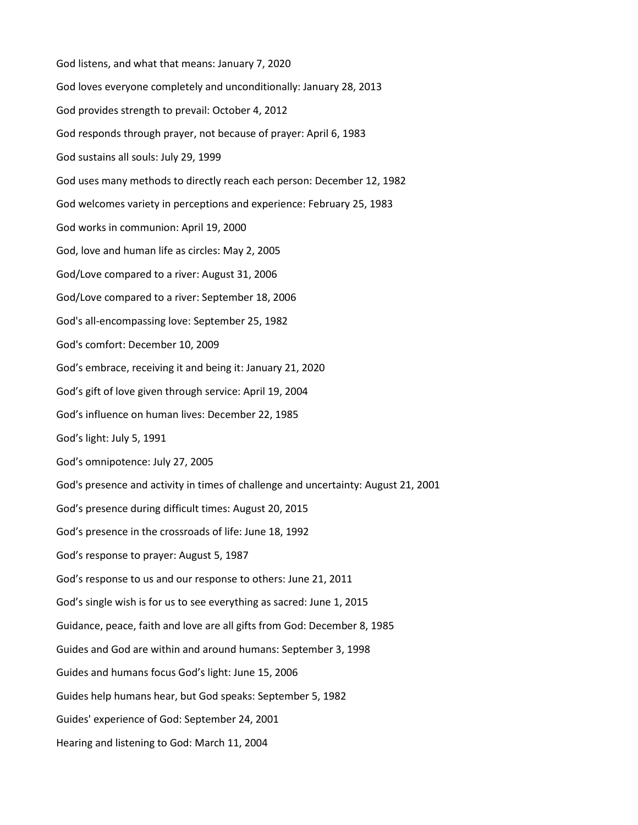God listens, and what that means: January 7, 2020 God loves everyone completely and unconditionally: January 28, 2013 God provides strength to prevail: October 4, 2012 God responds through prayer, not because of prayer: April 6, 1983 God sustains all souls: July 29, 1999 God uses many methods to directly reach each person: December 12, 1982 God welcomes variety in perceptions and experience: February 25, 1983 God works in communion: April 19, 2000 God, love and human life as circles: May 2, 2005 God/Love compared to a river: August 31, 2006 God/Love compared to a river: September 18, 2006 God's all-encompassing love: September 25, 1982 God's comfort: December 10, 2009 God's embrace, receiving it and being it: January 21, 2020 God's gift of love given through service: April 19, 2004 God's influence on human lives: December 22, 1985 God's light: July 5, 1991 God's omnipotence: July 27, 2005 God's presence and activity in times of challenge and uncertainty: August 21, 2001 God's presence during difficult times: August 20, 2015 God's presence in the crossroads of life: June 18, 1992 God's response to prayer: August 5, 1987 God's response to us and our response to others: June 21, 2011 God's single wish is for us to see everything as sacred: June 1, 2015 Guidance, peace, faith and love are all gifts from God: December 8, 1985 Guides and God are within and around humans: September 3, 1998 Guides and humans focus God's light: June 15, 2006 Guides help humans hear, but God speaks: September 5, 1982 Guides' experience of God: September 24, 2001 Hearing and listening to God: March 11, 2004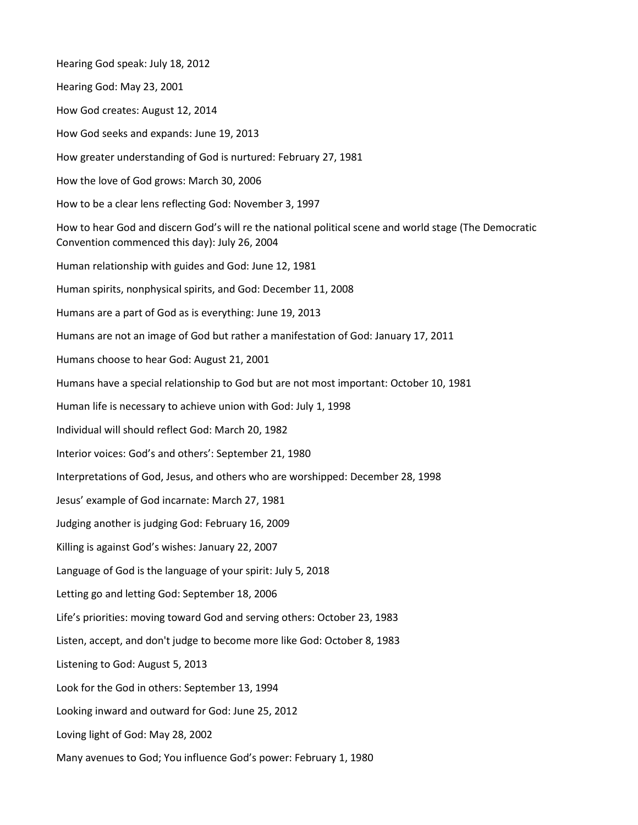Hearing God speak: July 18, 2012 Hearing God: May 23, 2001 How God creates: August 12, 2014 How God seeks and expands: June 19, 2013 How greater understanding of God is nurtured: February 27, 1981 How the love of God grows: March 30, 2006 How to be a clear lens reflecting God: November 3, 1997 How to hear God and discern God's will re the national political scene and world stage (The Democratic Convention commenced this day): July 26, 2004 Human relationship with guides and God: June 12, 1981 Human spirits, nonphysical spirits, and God: December 11, 2008 Humans are a part of God as is everything: June 19, 2013 Humans are not an image of God but rather a manifestation of God: January 17, 2011 Humans choose to hear God: August 21, 2001 Humans have a special relationship to God but are not most important: October 10, 1981 Human life is necessary to achieve union with God: July 1, 1998 Individual will should reflect God: March 20, 1982 Interior voices: God's and others': September 21, 1980 Interpretations of God, Jesus, and others who are worshipped: December 28, 1998 Jesus' example of God incarnate: March 27, 1981 Judging another is judging God: February 16, 2009 Killing is against God's wishes: January 22, 2007 Language of God is the language of your spirit: July 5, 2018 Letting go and letting God: September 18, 2006 Life's priorities: moving toward God and serving others: October 23, 1983 Listen, accept, and don't judge to become more like God: October 8, 1983 Listening to God: August 5, 2013 Look for the God in others: September 13, 1994 Looking inward and outward for God: June 25, 2012 Loving light of God: May 28, 2002 Many avenues to God; You influence God's power: February 1, 1980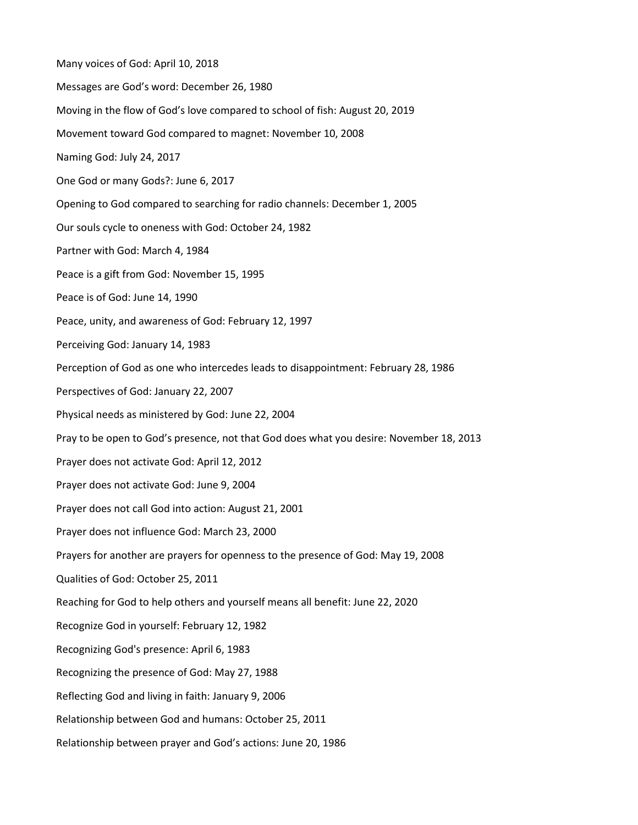Many voices of God: April 10, 2018 Messages are God's word: December 26, 1980 Moving in the flow of God's love compared to school of fish: August 20, 2019 Movement toward God compared to magnet: November 10, 2008 Naming God: July 24, 2017 One God or many Gods?: June 6, 2017 Opening to God compared to searching for radio channels: December 1, 2005 Our souls cycle to oneness with God: October 24, 1982 Partner with God: March 4, 1984 Peace is a gift from God: November 15, 1995 Peace is of God: June 14, 1990 Peace, unity, and awareness of God: February 12, 1997 Perceiving God: January 14, 1983 Perception of God as one who intercedes leads to disappointment: February 28, 1986 Perspectives of God: January 22, 2007 Physical needs as ministered by God: June 22, 2004 Pray to be open to God's presence, not that God does what you desire: November 18, 2013 Prayer does not activate God: April 12, 2012 Prayer does not activate God: June 9, 2004 Prayer does not call God into action: August 21, 2001 Prayer does not influence God: March 23, 2000 Prayers for another are prayers for openness to the presence of God: May 19, 2008 Qualities of God: October 25, 2011 Reaching for God to help others and yourself means all benefit: June 22, 2020 Recognize God in yourself: February 12, 1982 Recognizing God's presence: April 6, 1983 Recognizing the presence of God: May 27, 1988 Reflecting God and living in faith: January 9, 2006 Relationship between God and humans: October 25, 2011 Relationship between prayer and God's actions: June 20, 1986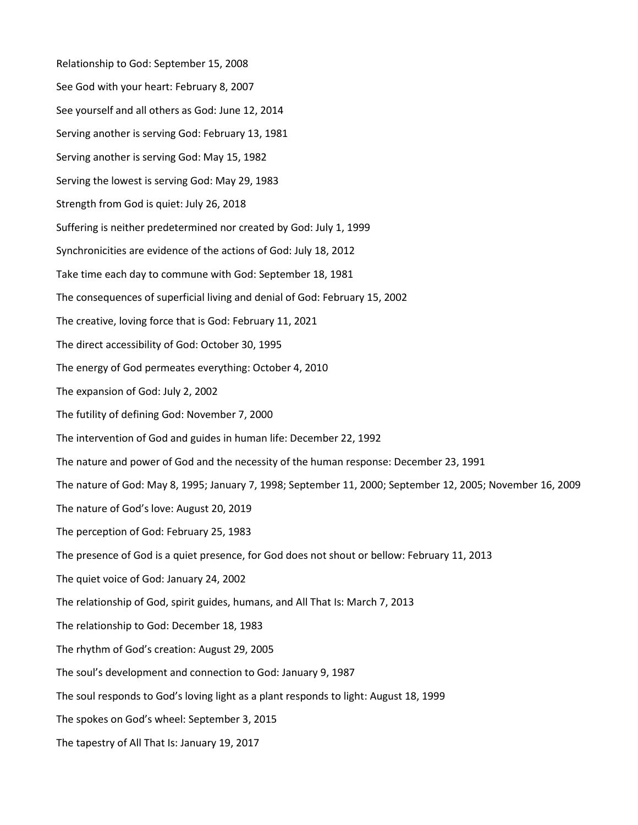Relationship to God: September 15, 2008 See God with your heart: February 8, 2007 See yourself and all others as God: June 12, 2014 Serving another is serving God: February 13, 1981 Serving another is serving God: May 15, 1982 Serving the lowest is serving God: May 29, 1983 Strength from God is quiet: July 26, 2018 Suffering is neither predetermined nor created by God: July 1, 1999 Synchronicities are evidence of the actions of God: July 18, 2012 Take time each day to commune with God: September 18, 1981 The consequences of superficial living and denial of God: February 15, 2002 The creative, loving force that is God: February 11, 2021 The direct accessibility of God: October 30, 1995 The energy of God permeates everything: October 4, 2010 The expansion of God: July 2, 2002 The futility of defining God: November 7, 2000 The intervention of God and guides in human life: December 22, 1992 The nature and power of God and the necessity of the human response: December 23, 1991 The nature of God: May 8, 1995; January 7, 1998; September 11, 2000; September 12, 2005; November 16, 2009 The nature of God's love: August 20, 2019 The perception of God: February 25, 1983 The presence of God is a quiet presence, for God does not shout or bellow: February 11, 2013 The quiet voice of God: January 24, 2002 The relationship of God, spirit guides, humans, and All That Is: March 7, 2013 The relationship to God: December 18, 1983 The rhythm of God's creation: August 29, 2005 The soul's development and connection to God: January 9, 1987 The soul responds to God's loving light as a plant responds to light: August 18, 1999 The spokes on God's wheel: September 3, 2015 The tapestry of All That Is: January 19, 2017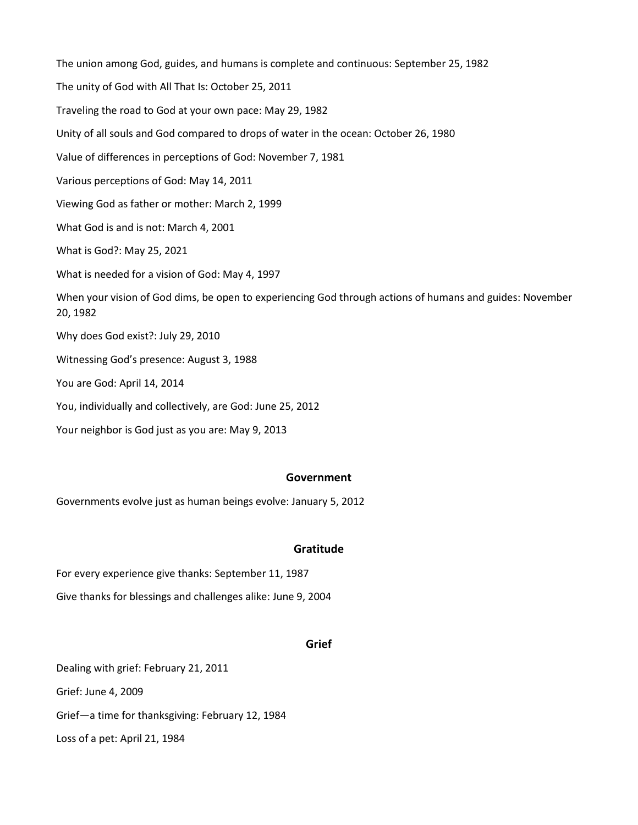The union among God, guides, and humans is complete and continuous: September 25, 1982 The unity of God with All That Is: October 25, 2011 Traveling the road to God at your own pace: May 29, 1982 Unity of all souls and God compared to drops of water in the ocean: October 26, 1980 Value of differences in perceptions of God: November 7, 1981 Various perceptions of God: May 14, 2011 Viewing God as father or mother: March 2, 1999 What God is and is not: March 4, 2001 What is God?: May 25, 2021 What is needed for a vision of God: May 4, 1997 When your vision of God dims, be open to experiencing God through actions of humans and guides: November 20, 1982 Why does God exist?: July 29, 2010 Witnessing God's presence: August 3, 1988 You are God: April 14, 2014 You, individually and collectively, are God: June 25, 2012 Your neighbor is God just as you are: May 9, 2013

### **Government**

Governments evolve just as human beings evolve: January 5, 2012

# **Gratitude**

For every experience give thanks: September 11, 1987 Give thanks for blessings and challenges alike: June 9, 2004

### **Grief**

Dealing with grief: February 21, 2011 Grief: June 4, 2009 Grief—a time for thanksgiving: February 12, 1984 Loss of a pet: April 21, 1984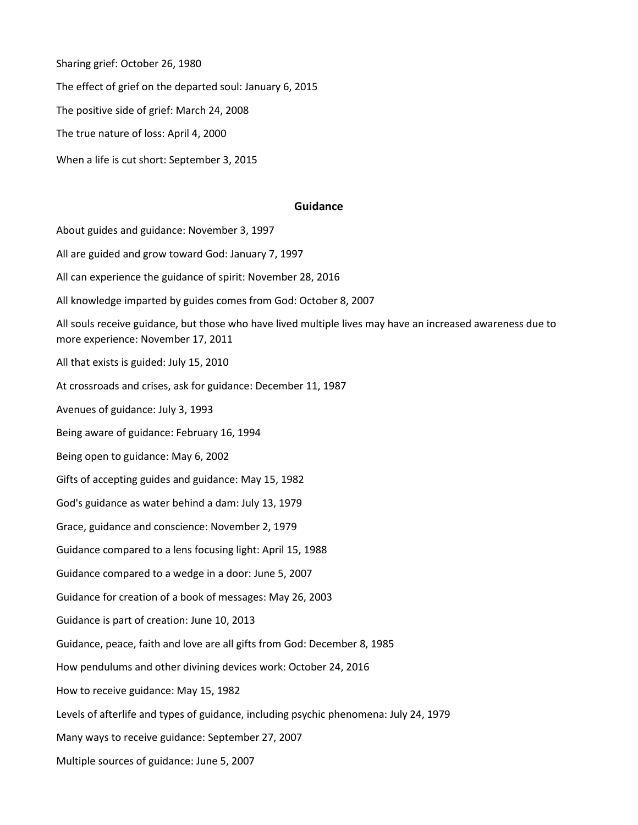Sharing grief: October 26, 1980

The effect of grief on the departed soul: January 6, 2015

The positive side of grief: March 24, 2008

The true nature of loss: April 4, 2000

When a life is cut short: September 3, 2015

### **Guidance**

About guides and guidance: November 3, 1997

All are guided and grow toward God: January 7, 1997

All can experience the guidance of spirit: November 28, 2016

All knowledge imparted by guides comes from God: October 8, 2007

All souls receive guidance, but those who have lived multiple lives may have an increased awareness due to more experience: November 17, 2011

All that exists is guided: July 15, 2010

At crossroads and crises, ask for guidance: December 11, 1987

Avenues of guidance: July 3, 1993

Being aware of guidance: February 16, 1994

Being open to guidance: May 6, 2002

Gifts of accepting guides and guidance: May 15, 1982

God's guidance as water behind a dam: July 13, 1979

Grace, guidance and conscience: November 2, 1979

Guidance compared to a lens focusing light: April 15, 1988

Guidance compared to a wedge in a door: June 5, 2007

Guidance for creation of a book of messages: May 26, 2003

Guidance is part of creation: June 10, 2013

Guidance, peace, faith and love are all gifts from God: December 8, 1985

How pendulums and other divining devices work: October 24, 2016

How to receive guidance: May 15, 1982

Levels of afterlife and types of guidance, including psychic phenomena: July 24, 1979

Many ways to receive guidance: September 27, 2007

Multiple sources of guidance: June 5, 2007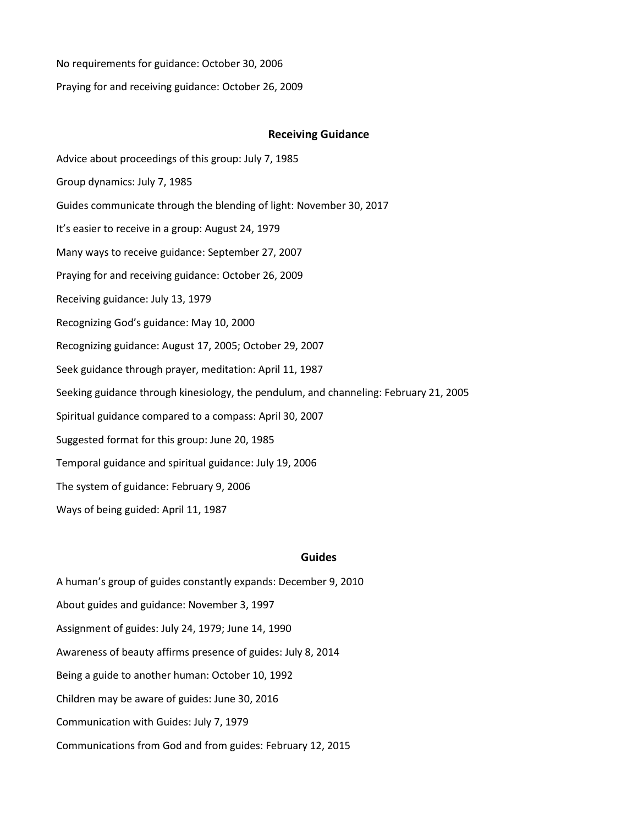No requirements for guidance: October 30, 2006

Praying for and receiving guidance: October 26, 2009

#### **Receiving Guidance**

Advice about proceedings of this group: July 7, 1985 Group dynamics: July 7, 1985 Guides communicate through the blending of light: November 30, 2017 It's easier to receive in a group: August 24, 1979 Many ways to receive guidance: September 27, 2007 Praying for and receiving guidance: October 26, 2009 Receiving guidance: July 13, 1979 Recognizing God's guidance: May 10, 2000 Recognizing guidance: August 17, 2005; October 29, 2007 Seek guidance through prayer, meditation: April 11, 1987 Seeking guidance through kinesiology, the pendulum, and channeling: February 21, 2005 Spiritual guidance compared to a compass: April 30, 2007 Suggested format for this group: June 20, 1985 Temporal guidance and spiritual guidance: July 19, 2006 The system of guidance: February 9, 2006 Ways of being guided: April 11, 1987

### **Guides**

A human's group of guides constantly expands: December 9, 2010 About guides and guidance: November 3, 1997 Assignment of guides: July 24, 1979; June 14, 1990 Awareness of beauty affirms presence of guides: July 8, 2014 Being a guide to another human: October 10, 1992 Children may be aware of guides: June 30, 2016 Communication with Guides: July 7, 1979 Communications from God and from guides: February 12, 2015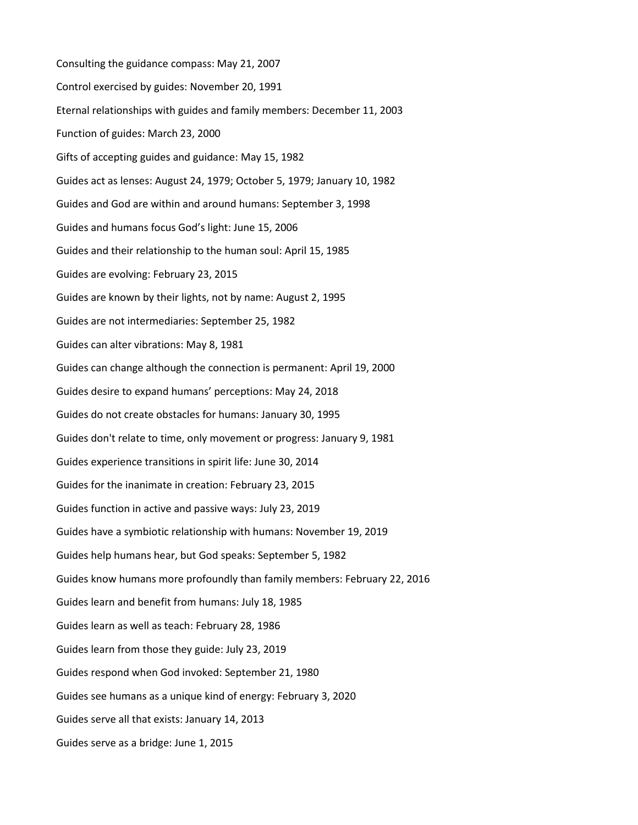Consulting the guidance compass: May 21, 2007 Control exercised by guides: November 20, 1991 Eternal relationships with guides and family members: December 11, 2003 Function of guides: March 23, 2000 Gifts of accepting guides and guidance: May 15, 1982 Guides act as lenses: August 24, 1979; October 5, 1979; January 10, 1982 Guides and God are within and around humans: September 3, 1998 Guides and humans focus God's light: June 15, 2006 Guides and their relationship to the human soul: April 15, 1985 Guides are evolving: February 23, 2015 Guides are known by their lights, not by name: August 2, 1995 Guides are not intermediaries: September 25, 1982 Guides can alter vibrations: May 8, 1981 Guides can change although the connection is permanent: April 19, 2000 Guides desire to expand humans' perceptions: May 24, 2018 Guides do not create obstacles for humans: January 30, 1995 Guides don't relate to time, only movement or progress: January 9, 1981 Guides experience transitions in spirit life: June 30, 2014 Guides for the inanimate in creation: February 23, 2015 Guides function in active and passive ways: July 23, 2019 Guides have a symbiotic relationship with humans: November 19, 2019 Guides help humans hear, but God speaks: September 5, 1982 Guides know humans more profoundly than family members: February 22, 2016 Guides learn and benefit from humans: July 18, 1985 Guides learn as well as teach: February 28, 1986 Guides learn from those they guide: July 23, 2019 Guides respond when God invoked: September 21, 1980 Guides see humans as a unique kind of energy: February 3, 2020 Guides serve all that exists: January 14, 2013 Guides serve as a bridge: June 1, 2015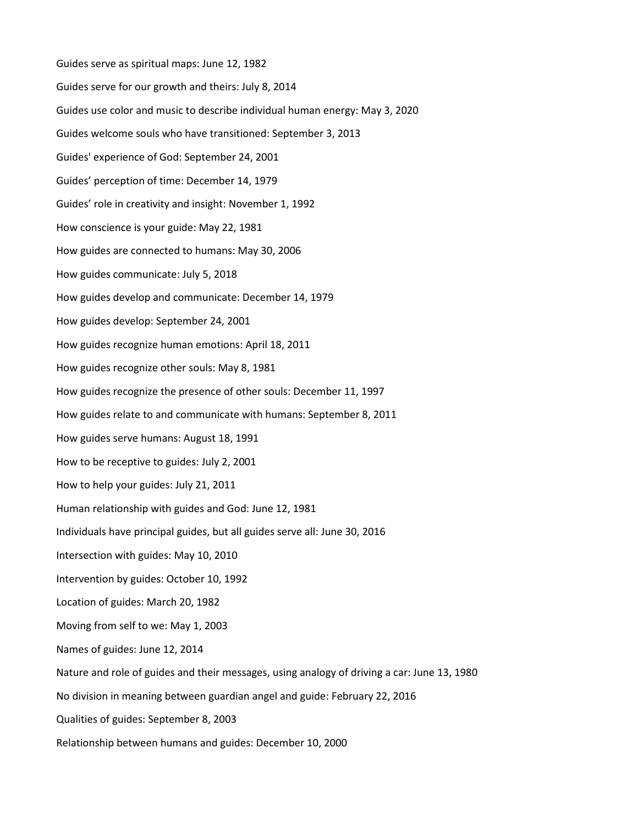Guides serve as spiritual maps: June 12, 1982 Guides serve for our growth and theirs: July 8, 2014 Guides use color and music to describe individual human energy: May 3, 2020 Guides welcome souls who have transitioned: September 3, 2013 Guides' experience of God: September 24, 2001 Guides' perception of time: December 14, 1979 Guides' role in creativity and insight: November 1, 1992 How conscience is your guide: May 22, 1981 How guides are connected to humans: May 30, 2006 How guides communicate: July 5, 2018 How guides develop and communicate: December 14, 1979 How guides develop: September 24, 2001 How guides recognize human emotions: April 18, 2011 How guides recognize other souls: May 8, 1981 How guides recognize the presence of other souls: December 11, 1997 How guides relate to and communicate with humans: September 8, 2011 How guides serve humans: August 18, 1991 How to be receptive to guides: July 2, 2001 How to help your guides: July 21, 2011 Human relationship with guides and God: June 12, 1981 Individuals have principal guides, but all guides serve all: June 30, 2016 Intersection with guides: May 10, 2010 Intervention by guides: October 10, 1992 Location of guides: March 20, 1982 Moving from self to we: May 1, 2003 Names of guides: June 12, 2014 Nature and role of guides and their messages, using analogy of driving a car: June 13, 1980 No division in meaning between guardian angel and guide: February 22, 2016 Qualities of guides: September 8, 2003 Relationship between humans and guides: December 10, 2000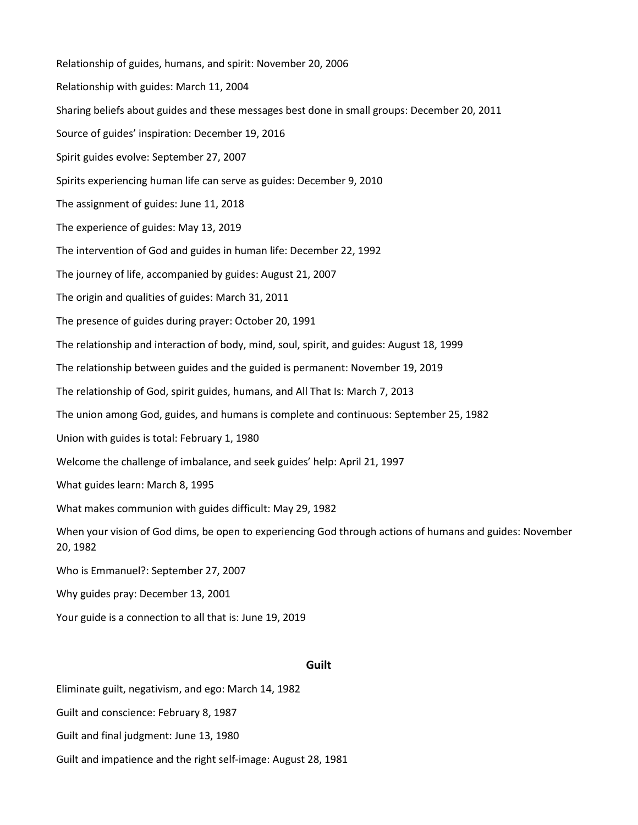Relationship of guides, humans, and spirit: November 20, 2006 Relationship with guides: March 11, 2004 Sharing beliefs about guides and these messages best done in small groups: December 20, 2011 Source of guides' inspiration: December 19, 2016 Spirit guides evolve: September 27, 2007 Spirits experiencing human life can serve as guides: December 9, 2010 The assignment of guides: June 11, 2018 The experience of guides: May 13, 2019 The intervention of God and guides in human life: December 22, 1992 The journey of life, accompanied by guides: August 21, 2007 The origin and qualities of guides: March 31, 2011 The presence of guides during prayer: October 20, 1991 The relationship and interaction of body, mind, soul, spirit, and guides: August 18, 1999 The relationship between guides and the guided is permanent: November 19, 2019 The relationship of God, spirit guides, humans, and All That Is: March 7, 2013 The union among God, guides, and humans is complete and continuous: September 25, 1982 Union with guides is total: February 1, 1980 Welcome the challenge of imbalance, and seek guides' help: April 21, 1997 What guides learn: March 8, 1995 What makes communion with guides difficult: May 29, 1982 When your vision of God dims, be open to experiencing God through actions of humans and guides: November 20, 1982 Who is Emmanuel?: September 27, 2007 Why guides pray: December 13, 2001 Your guide is a connection to all that is: June 19, 2019

## **Guilt**

Eliminate guilt, negativism, and ego: March 14, 1982 Guilt and conscience: February 8, 1987 Guilt and final judgment: June 13, 1980 Guilt and impatience and the right self-image: August 28, 1981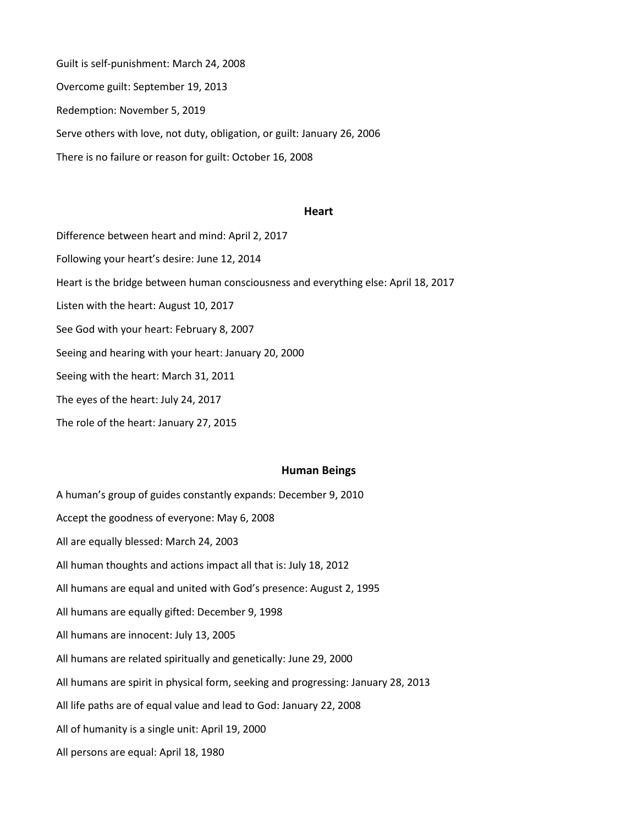Guilt is self-punishment: March 24, 2008 Overcome guilt: September 19, 2013 Redemption: November 5, 2019 Serve others with love, not duty, obligation, or guilt: January 26, 2006 There is no failure or reason for guilt: October 16, 2008

#### **Heart**

Difference between heart and mind: April 2, 2017 Following your heart's desire: June 12, 2014 Heart is the bridge between human consciousness and everything else: April 18, 2017 Listen with the heart: August 10, 2017 See God with your heart: February 8, 2007 Seeing and hearing with your heart: January 20, 2000 Seeing with the heart: March 31, 2011 The eyes of the heart: July 24, 2017 The role of the heart: January 27, 2015

### **Human Beings**

A human's group of guides constantly expands: December 9, 2010 Accept the goodness of everyone: May 6, 2008 All are equally blessed: March 24, 2003 All human thoughts and actions impact all that is: July 18, 2012 All humans are equal and united with God's presence: August 2, 1995 All humans are equally gifted: December 9, 1998 All humans are innocent: July 13, 2005 All humans are related spiritually and genetically: June 29, 2000 All humans are spirit in physical form, seeking and progressing: January 28, 2013 All life paths are of equal value and lead to God: January 22, 2008 All of humanity is a single unit: April 19, 2000 All persons are equal: April 18, 1980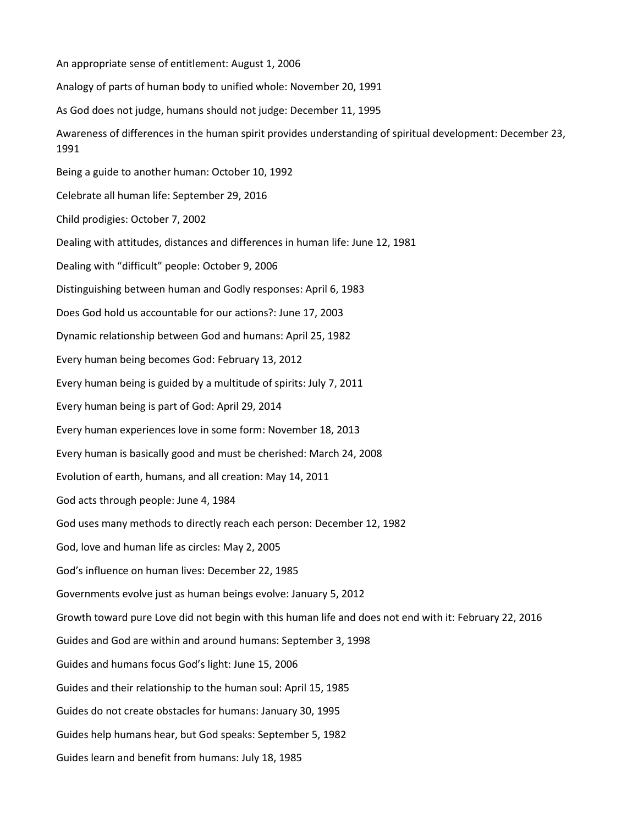An appropriate sense of entitlement: August 1, 2006 Analogy of parts of human body to unified whole: November 20, 1991 As God does not judge, humans should not judge: December 11, 1995 Awareness of differences in the human spirit provides understanding of spiritual development: December 23, 1991 Being a guide to another human: October 10, 1992 Celebrate all human life: September 29, 2016 Child prodigies: October 7, 2002 Dealing with attitudes, distances and differences in human life: June 12, 1981 Dealing with "difficult" people: October 9, 2006 Distinguishing between human and Godly responses: April 6, 1983 Does God hold us accountable for our actions?: June 17, 2003 Dynamic relationship between God and humans: April 25, 1982 Every human being becomes God: February 13, 2012 Every human being is guided by a multitude of spirits: July 7, 2011 Every human being is part of God: April 29, 2014 Every human experiences love in some form: November 18, 2013 Every human is basically good and must be cherished: March 24, 2008 Evolution of earth, humans, and all creation: May 14, 2011 God acts through people: June 4, 1984 God uses many methods to directly reach each person: December 12, 1982 God, love and human life as circles: May 2, 2005 God's influence on human lives: December 22, 1985 Governments evolve just as human beings evolve: January 5, 2012 Growth toward pure Love did not begin with this human life and does not end with it: February 22, 2016 Guides and God are within and around humans: September 3, 1998 Guides and humans focus God's light: June 15, 2006 Guides and their relationship to the human soul: April 15, 1985 Guides do not create obstacles for humans: January 30, 1995 Guides help humans hear, but God speaks: September 5, 1982 Guides learn and benefit from humans: July 18, 1985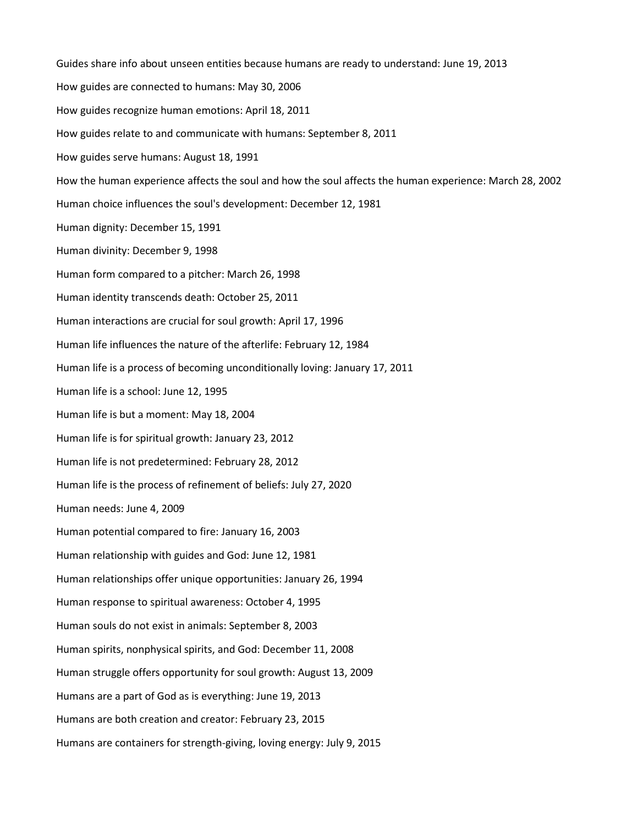Guides share info about unseen entities because humans are ready to understand: June 19, 2013 How guides are connected to humans: May 30, 2006 How guides recognize human emotions: April 18, 2011 How guides relate to and communicate with humans: September 8, 2011 How guides serve humans: August 18, 1991 How the human experience affects the soul and how the soul affects the human experience: March 28, 2002 Human choice influences the soul's development: December 12, 1981 Human dignity: December 15, 1991 Human divinity: December 9, 1998 Human form compared to a pitcher: March 26, 1998 Human identity transcends death: October 25, 2011 Human interactions are crucial for soul growth: April 17, 1996 Human life influences the nature of the afterlife: February 12, 1984 Human life is a process of becoming unconditionally loving: January 17, 2011 Human life is a school: June 12, 1995 Human life is but a moment: May 18, 2004 Human life is for spiritual growth: January 23, 2012 Human life is not predetermined: February 28, 2012 Human life is the process of refinement of beliefs: July 27, 2020 Human needs: June 4, 2009 Human potential compared to fire: January 16, 2003 Human relationship with guides and God: June 12, 1981 Human relationships offer unique opportunities: January 26, 1994 Human response to spiritual awareness: October 4, 1995 Human souls do not exist in animals: September 8, 2003 Human spirits, nonphysical spirits, and God: December 11, 2008 Human struggle offers opportunity for soul growth: August 13, 2009 Humans are a part of God as is everything: June 19, 2013 Humans are both creation and creator: February 23, 2015 Humans are containers for strength-giving, loving energy: July 9, 2015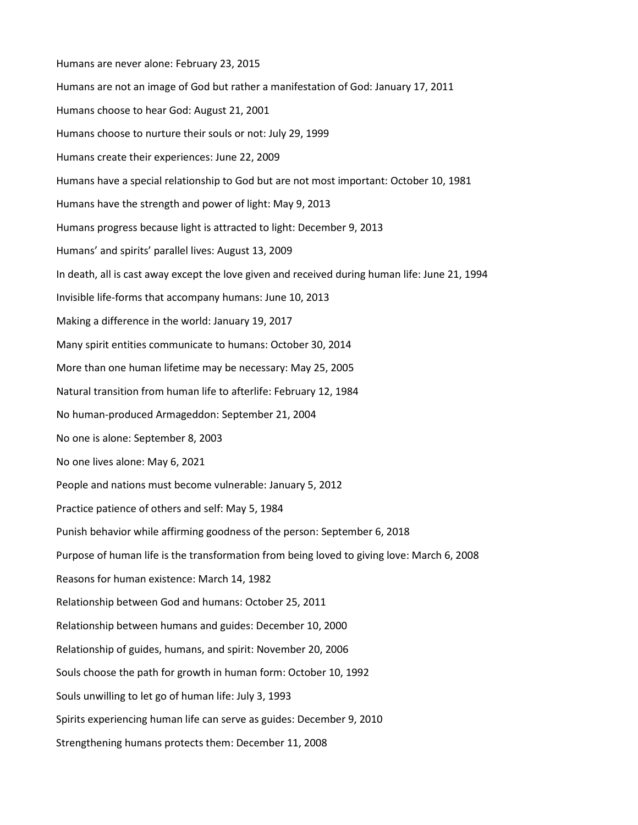Humans are never alone: February 23, 2015 Humans are not an image of God but rather a manifestation of God: January 17, 2011 Humans choose to hear God: August 21, 2001 Humans choose to nurture their souls or not: July 29, 1999 Humans create their experiences: June 22, 2009 Humans have a special relationship to God but are not most important: October 10, 1981 Humans have the strength and power of light: May 9, 2013 Humans progress because light is attracted to light: December 9, 2013 Humans' and spirits' parallel lives: August 13, 2009 In death, all is cast away except the love given and received during human life: June 21, 1994 Invisible life-forms that accompany humans: June 10, 2013 Making a difference in the world: January 19, 2017 Many spirit entities communicate to humans: October 30, 2014 More than one human lifetime may be necessary: May 25, 2005 Natural transition from human life to afterlife: February 12, 1984 No human-produced Armageddon: September 21, 2004 No one is alone: September 8, 2003 No one lives alone: May 6, 2021 People and nations must become vulnerable: January 5, 2012 Practice patience of others and self: May 5, 1984 Punish behavior while affirming goodness of the person: September 6, 2018 Purpose of human life is the transformation from being loved to giving love: March 6, 2008 Reasons for human existence: March 14, 1982 Relationship between God and humans: October 25, 2011 Relationship between humans and guides: December 10, 2000 Relationship of guides, humans, and spirit: November 20, 2006 Souls choose the path for growth in human form: October 10, 1992 Souls unwilling to let go of human life: July 3, 1993 Spirits experiencing human life can serve as guides: December 9, 2010 Strengthening humans protects them: December 11, 2008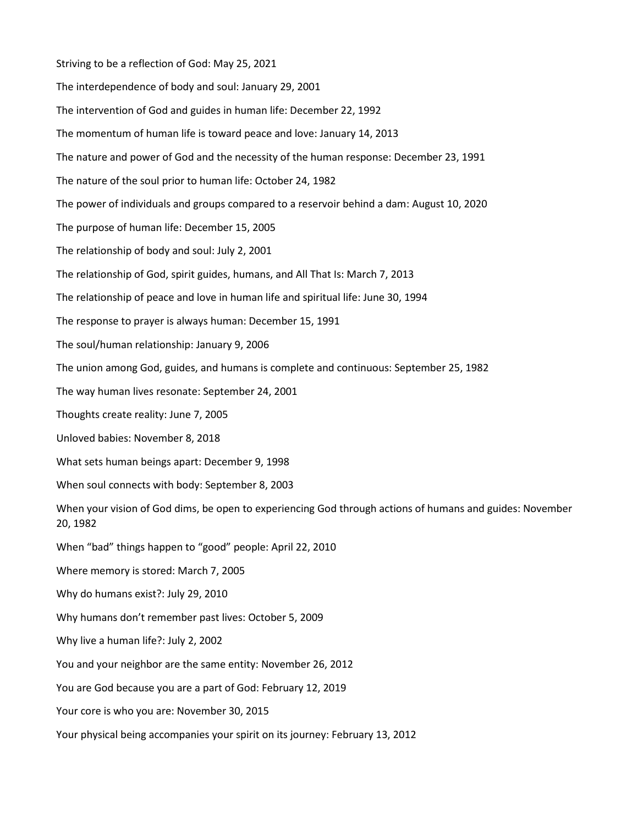Striving to be a reflection of God: May 25, 2021 The interdependence of body and soul: January 29, 2001 The intervention of God and guides in human life: December 22, 1992 The momentum of human life is toward peace and love: January 14, 2013 The nature and power of God and the necessity of the human response: December 23, 1991 The nature of the soul prior to human life: October 24, 1982 The power of individuals and groups compared to a reservoir behind a dam: August 10, 2020 The purpose of human life: December 15, 2005 The relationship of body and soul: July 2, 2001 The relationship of God, spirit guides, humans, and All That Is: March 7, 2013 The relationship of peace and love in human life and spiritual life: June 30, 1994 The response to prayer is always human: December 15, 1991 The soul/human relationship: January 9, 2006 The union among God, guides, and humans is complete and continuous: September 25, 1982 The way human lives resonate: September 24, 2001 Thoughts create reality: June 7, 2005 Unloved babies: November 8, 2018 What sets human beings apart: December 9, 1998 When soul connects with body: September 8, 2003 When your vision of God dims, be open to experiencing God through actions of humans and guides: November 20, 1982 When "bad" things happen to "good" people: April 22, 2010 Where memory is stored: March 7, 2005 Why do humans exist?: July 29, 2010 Why humans don't remember past lives: October 5, 2009 Why live a human life?: July 2, 2002 You and your neighbor are the same entity: November 26, 2012 You are God because you are a part of God: February 12, 2019 Your core is who you are: November 30, 2015 Your physical being accompanies your spirit on its journey: February 13, 2012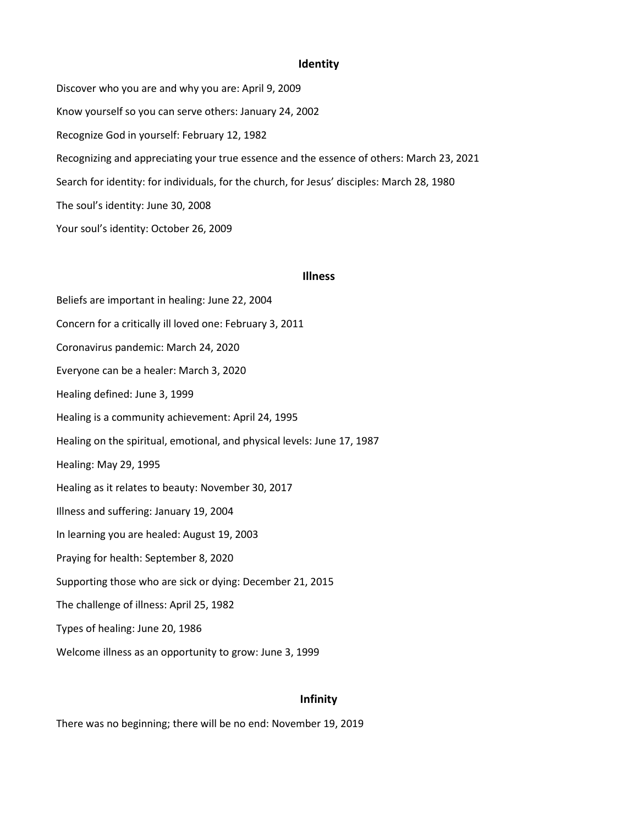# **Identity**

Discover who you are and why you are: April 9, 2009 Know yourself so you can serve others: January 24, 2002 Recognize God in yourself: February 12, 1982 Recognizing and appreciating your true essence and the essence of others: March 23, 2021 Search for identity: for individuals, for the church, for Jesus' disciples: March 28, 1980 The soul's identity: June 30, 2008 Your soul's identity: October 26, 2009

## **Illness**

Beliefs are important in healing: June 22, 2004 Concern for a critically ill loved one: February 3, 2011 Coronavirus pandemic: March 24, 2020 Everyone can be a healer: March 3, 2020 Healing defined: June 3, 1999 Healing is a community achievement: April 24, 1995 Healing on the spiritual, emotional, and physical levels: June 17, 1987 Healing: May 29, 1995 Healing as it relates to beauty: November 30, 2017 Illness and suffering: January 19, 2004 In learning you are healed: August 19, 2003 Praying for health: September 8, 2020 Supporting those who are sick or dying: December 21, 2015 The challenge of illness: April 25, 1982 Types of healing: June 20, 1986 Welcome illness as an opportunity to grow: June 3, 1999

# **Infinity**

There was no beginning; there will be no end: November 19, 2019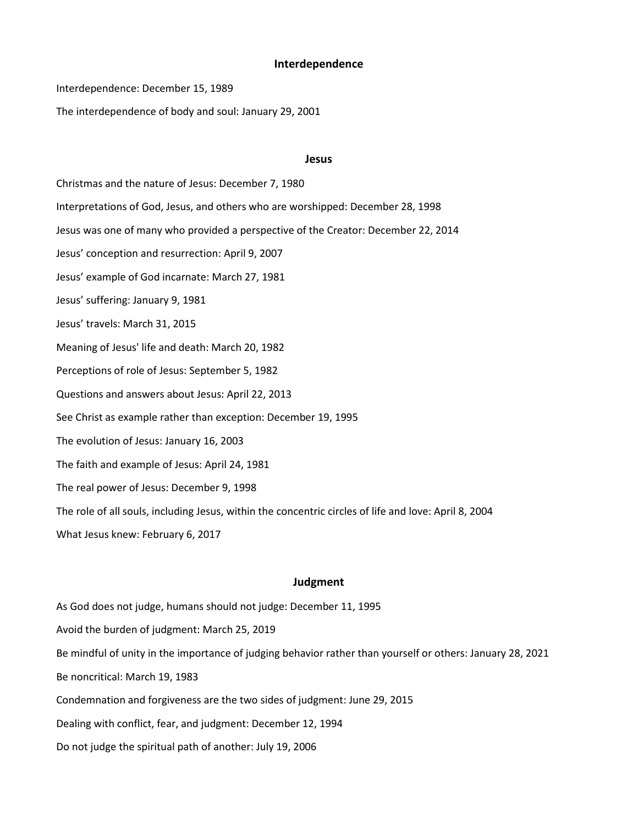## **Interdependence**

Interdependence: December 15, 1989

The interdependence of body and soul: January 29, 2001

#### **Jesus**

Christmas and the nature of Jesus: December 7, 1980 Interpretations of God, Jesus, and others who are worshipped: December 28, 1998 Jesus was one of many who provided a perspective of the Creator: December 22, 2014 Jesus' conception and resurrection: April 9, 2007 Jesus' example of God incarnate: March 27, 1981 Jesus' suffering: January 9, 1981 Jesus' travels: March 31, 2015 Meaning of Jesus' life and death: March 20, 1982 Perceptions of role of Jesus: September 5, 1982 Questions and answers about Jesus: April 22, 2013 See Christ as example rather than exception: December 19, 1995 The evolution of Jesus: January 16, 2003 The faith and example of Jesus: April 24, 1981 The real power of Jesus: December 9, 1998 The role of all souls, including Jesus, within the concentric circles of life and love: April 8, 2004 What Jesus knew: February 6, 2017

# **Judgment**

As God does not judge, humans should not judge: December 11, 1995

Avoid the burden of judgment: March 25, 2019

Be mindful of unity in the importance of judging behavior rather than yourself or others: January 28, 2021

Be noncritical: March 19, 1983

Condemnation and forgiveness are the two sides of judgment: June 29, 2015

Dealing with conflict, fear, and judgment: December 12, 1994

Do not judge the spiritual path of another: July 19, 2006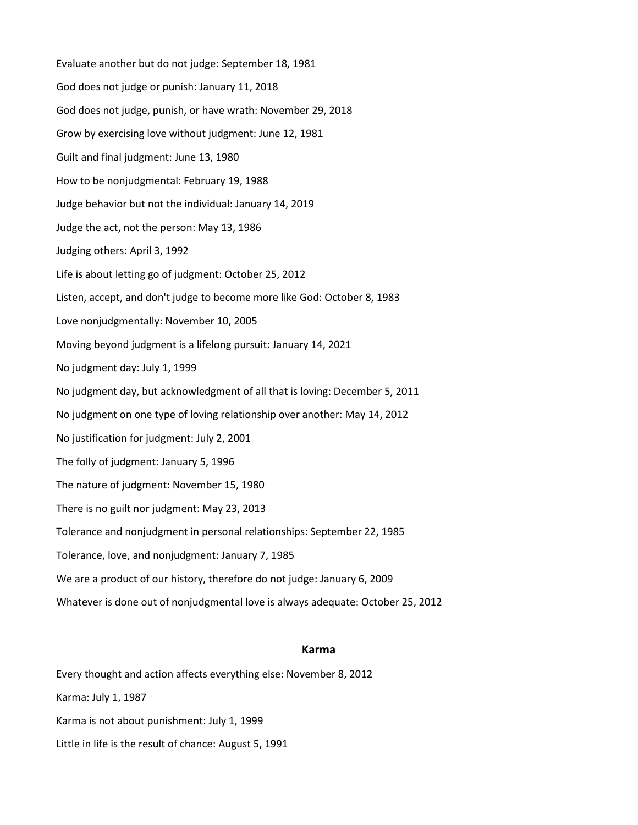Evaluate another but do not judge: September 18, 1981 God does not judge or punish: January 11, 2018 God does not judge, punish, or have wrath: November 29, 2018 Grow by exercising love without judgment: June 12, 1981 Guilt and final judgment: June 13, 1980 How to be nonjudgmental: February 19, 1988 Judge behavior but not the individual: January 14, 2019 Judge the act, not the person: May 13, 1986 Judging others: April 3, 1992 Life is about letting go of judgment: October 25, 2012 Listen, accept, and don't judge to become more like God: October 8, 1983 Love nonjudgmentally: November 10, 2005 Moving beyond judgment is a lifelong pursuit: January 14, 2021 No judgment day: July 1, 1999 No judgment day, but acknowledgment of all that is loving: December 5, 2011 No judgment on one type of loving relationship over another: May 14, 2012 No justification for judgment: July 2, 2001 The folly of judgment: January 5, 1996 The nature of judgment: November 15, 1980 There is no guilt nor judgment: May 23, 2013 Tolerance and nonjudgment in personal relationships: September 22, 1985 Tolerance, love, and nonjudgment: January 7, 1985 We are a product of our history, therefore do not judge: January 6, 2009 Whatever is done out of nonjudgmental love is always adequate: October 25, 2012

# **Karma**

Every thought and action affects everything else: November 8, 2012 Karma: July 1, 1987 Karma is not about punishment: July 1, 1999 Little in life is the result of chance: August 5, 1991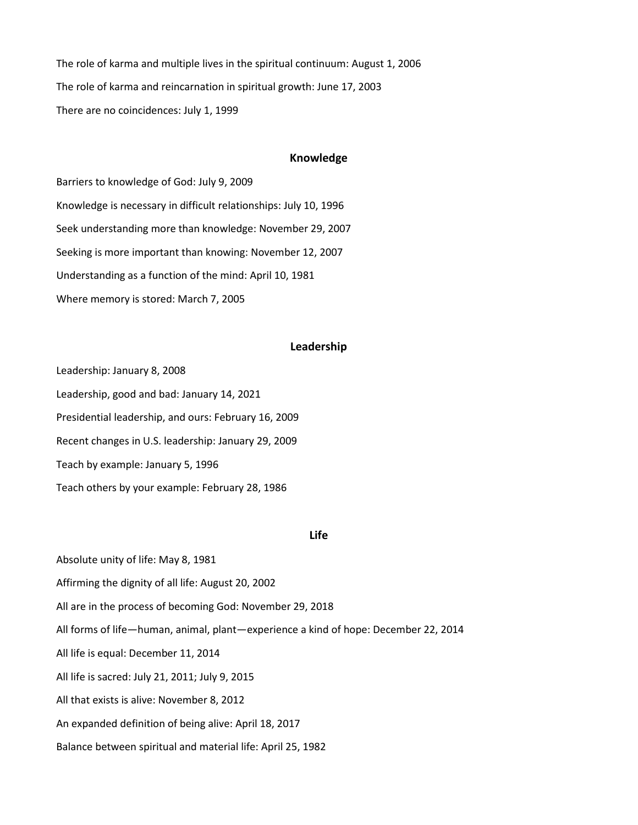The role of karma and multiple lives in the spiritual continuum: August 1, 2006 The role of karma and reincarnation in spiritual growth: June 17, 2003 There are no coincidences: July 1, 1999

### **Knowledge**

Barriers to knowledge of God: July 9, 2009 Knowledge is necessary in difficult relationships: July 10, 1996 Seek understanding more than knowledge: November 29, 2007 Seeking is more important than knowing: November 12, 2007 Understanding as a function of the mind: April 10, 1981 Where memory is stored: March 7, 2005

# **Leadership**

Leadership: January 8, 2008 Leadership, good and bad: January 14, 2021 Presidential leadership, and ours: February 16, 2009 Recent changes in U.S. leadership: January 29, 2009 Teach by example: January 5, 1996 Teach others by your example: February 28, 1986

## **Life**

Absolute unity of life: May 8, 1981

Affirming the dignity of all life: August 20, 2002

All are in the process of becoming God: November 29, 2018

All forms of life—human, animal, plant—experience a kind of hope: December 22, 2014

All life is equal: December 11, 2014

All life is sacred: July 21, 2011; July 9, 2015

All that exists is alive: November 8, 2012

An expanded definition of being alive: April 18, 2017

Balance between spiritual and material life: April 25, 1982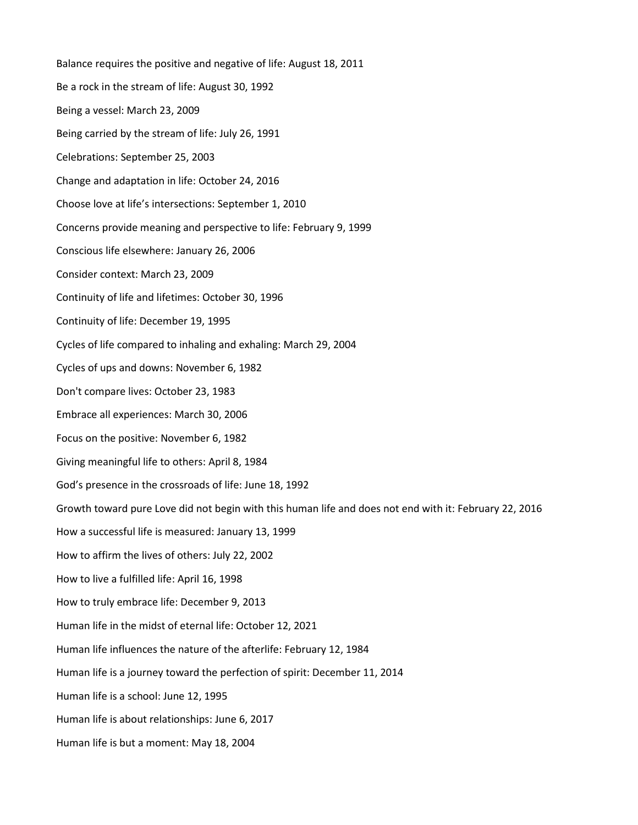Balance requires the positive and negative of life: August 18, 2011 Be a rock in the stream of life: August 30, 1992 Being a vessel: March 23, 2009 Being carried by the stream of life: July 26, 1991 Celebrations: September 25, 2003 Change and adaptation in life: October 24, 2016 Choose love at life's intersections: September 1, 2010 Concerns provide meaning and perspective to life: February 9, 1999 Conscious life elsewhere: January 26, 2006 Consider context: March 23, 2009 Continuity of life and lifetimes: October 30, 1996 Continuity of life: December 19, 1995 Cycles of life compared to inhaling and exhaling: March 29, 2004 Cycles of ups and downs: November 6, 1982 Don't compare lives: October 23, 1983 Embrace all experiences: March 30, 2006 Focus on the positive: November 6, 1982 Giving meaningful life to others: April 8, 1984 God's presence in the crossroads of life: June 18, 1992 Growth toward pure Love did not begin with this human life and does not end with it: February 22, 2016 How a successful life is measured: January 13, 1999 How to affirm the lives of others: July 22, 2002 How to live a fulfilled life: April 16, 1998 How to truly embrace life: December 9, 2013 Human life in the midst of eternal life: October 12, 2021 Human life influences the nature of the afterlife: February 12, 1984 Human life is a journey toward the perfection of spirit: December 11, 2014 Human life is a school: June 12, 1995 Human life is about relationships: June 6, 2017 Human life is but a moment: May 18, 2004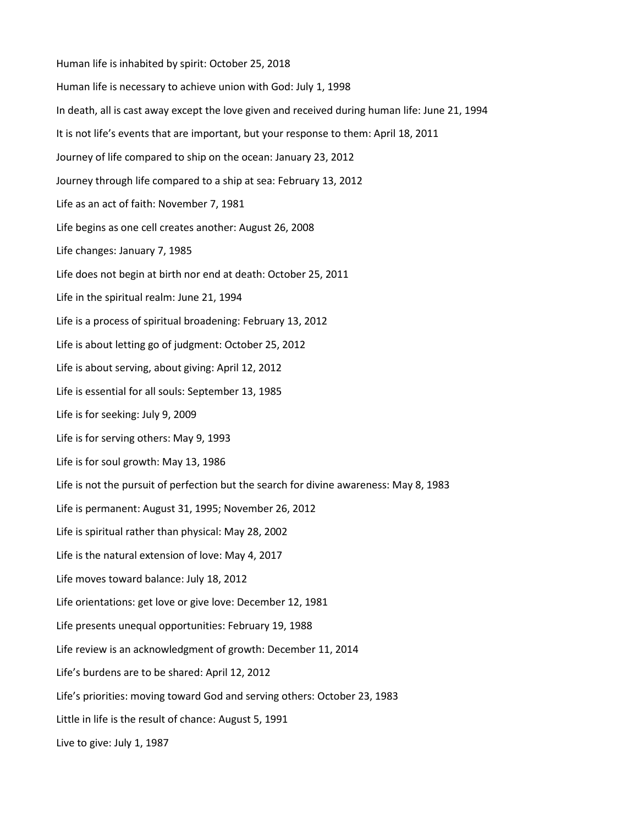Human life is inhabited by spirit: October 25, 2018 Human life is necessary to achieve union with God: July 1, 1998 In death, all is cast away except the love given and received during human life: June 21, 1994 It is not life's events that are important, but your response to them: April 18, 2011 Journey of life compared to ship on the ocean: January 23, 2012 Journey through life compared to a ship at sea: February 13, 2012 Life as an act of faith: November 7, 1981 Life begins as one cell creates another: August 26, 2008 Life changes: January 7, 1985 Life does not begin at birth nor end at death: October 25, 2011 Life in the spiritual realm: June 21, 1994 Life is a process of spiritual broadening: February 13, 2012 Life is about letting go of judgment: October 25, 2012 Life is about serving, about giving: April 12, 2012 Life is essential for all souls: September 13, 1985 Life is for seeking: July 9, 2009 Life is for serving others: May 9, 1993 Life is for soul growth: May 13, 1986 Life is not the pursuit of perfection but the search for divine awareness: May 8, 1983 Life is permanent: August 31, 1995; November 26, 2012 Life is spiritual rather than physical: May 28, 2002 Life is the natural extension of love: May 4, 2017 Life moves toward balance: July 18, 2012 Life orientations: get love or give love: December 12, 1981 Life presents unequal opportunities: February 19, 1988 Life review is an acknowledgment of growth: December 11, 2014 Life's burdens are to be shared: April 12, 2012 Life's priorities: moving toward God and serving others: October 23, 1983 Little in life is the result of chance: August 5, 1991 Live to give: July 1, 1987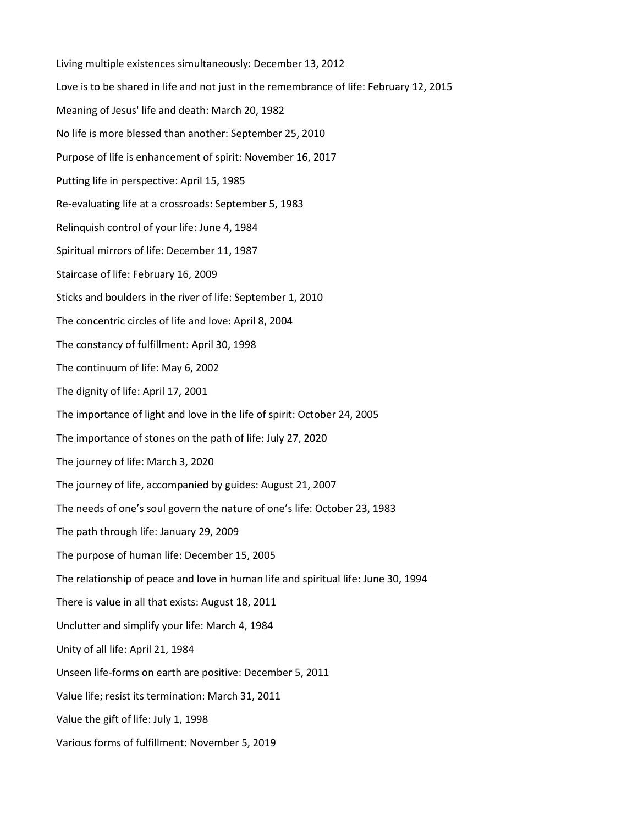Living multiple existences simultaneously: December 13, 2012 Love is to be shared in life and not just in the remembrance of life: February 12, 2015 Meaning of Jesus' life and death: March 20, 1982 No life is more blessed than another: September 25, 2010 Purpose of life is enhancement of spirit: November 16, 2017 Putting life in perspective: April 15, 1985 Re-evaluating life at a crossroads: September 5, 1983 Relinquish control of your life: June 4, 1984 Spiritual mirrors of life: December 11, 1987 Staircase of life: February 16, 2009 Sticks and boulders in the river of life: September 1, 2010 The concentric circles of life and love: April 8, 2004 The constancy of fulfillment: April 30, 1998 The continuum of life: May 6, 2002 The dignity of life: April 17, 2001 The importance of light and love in the life of spirit: October 24, 2005 The importance of stones on the path of life: July 27, 2020 The journey of life: March 3, 2020 The journey of life, accompanied by guides: August 21, 2007 The needs of one's soul govern the nature of one's life: October 23, 1983 The path through life: January 29, 2009 The purpose of human life: December 15, 2005 The relationship of peace and love in human life and spiritual life: June 30, 1994 There is value in all that exists: August 18, 2011 Unclutter and simplify your life: March 4, 1984 Unity of all life: April 21, 1984 Unseen life-forms on earth are positive: December 5, 2011 Value life; resist its termination: March 31, 2011 Value the gift of life: July 1, 1998 Various forms of fulfillment: November 5, 2019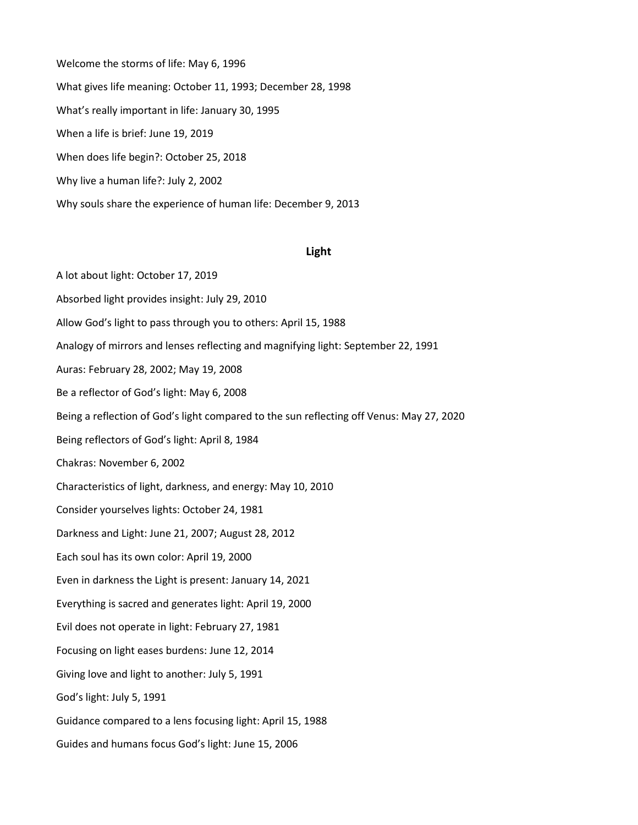Welcome the storms of life: May 6, 1996 What gives life meaning: October 11, 1993; December 28, 1998 What's really important in life: January 30, 1995 When a life is brief: June 19, 2019 When does life begin?: October 25, 2018 Why live a human life?: July 2, 2002 Why souls share the experience of human life: December 9, 2013

# **Light**

A lot about light: October 17, 2019 Absorbed light provides insight: July 29, 2010 Allow God's light to pass through you to others: April 15, 1988 Analogy of mirrors and lenses reflecting and magnifying light: September 22, 1991 Auras: February 28, 2002; May 19, 2008 Be a reflector of God's light: May 6, 2008 Being a reflection of God's light compared to the sun reflecting off Venus: May 27, 2020 Being reflectors of God's light: April 8, 1984 Chakras: November 6, 2002 Characteristics of light, darkness, and energy: May 10, 2010 Consider yourselves lights: October 24, 1981 Darkness and Light: June 21, 2007; August 28, 2012 Each soul has its own color: April 19, 2000 Even in darkness the Light is present: January 14, 2021 Everything is sacred and generates light: April 19, 2000 Evil does not operate in light: February 27, 1981 Focusing on light eases burdens: June 12, 2014 Giving love and light to another: July 5, 1991 God's light: July 5, 1991 Guidance compared to a lens focusing light: April 15, 1988 Guides and humans focus God's light: June 15, 2006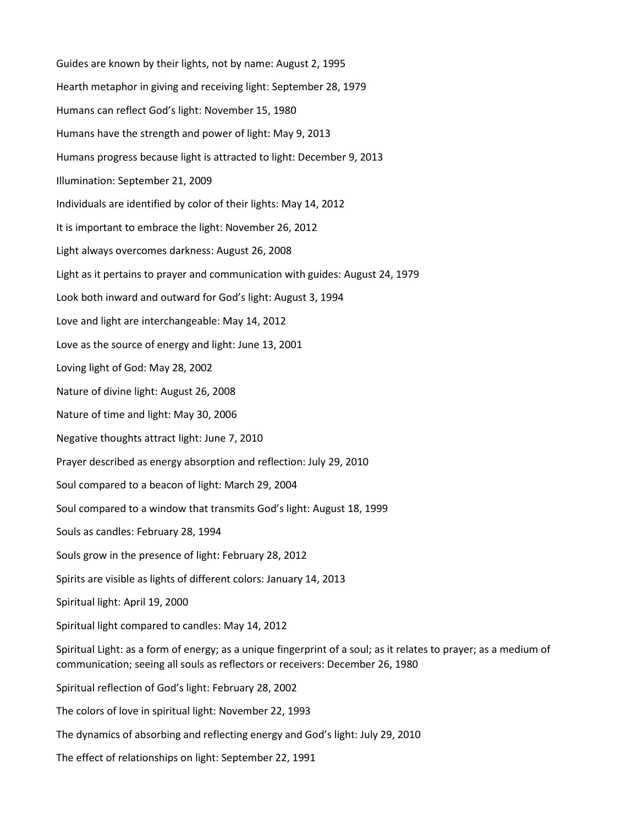Guides are known by their lights, not by name: August 2, 1995 Hearth metaphor in giving and receiving light: September 28, 1979 Humans can reflect God's light: November 15, 1980 Humans have the strength and power of light: May 9, 2013 Humans progress because light is attracted to light: December 9, 2013 Illumination: September 21, 2009 Individuals are identified by color of their lights: May 14, 2012 It is important to embrace the light: November 26, 2012 Light always overcomes darkness: August 26, 2008 Light as it pertains to prayer and communication with guides: August 24, 1979 Look both inward and outward for God's light: August 3, 1994 Love and light are interchangeable: May 14, 2012 Love as the source of energy and light: June 13, 2001 Loving light of God: May 28, 2002 Nature of divine light: August 26, 2008 Nature of time and light: May 30, 2006 Negative thoughts attract light: June 7, 2010 Prayer described as energy absorption and reflection: July 29, 2010 Soul compared to a beacon of light: March 29, 2004 Soul compared to a window that transmits God's light: August 18, 1999 Souls as candles: February 28, 1994 Souls grow in the presence of light: February 28, 2012 Spirits are visible as lights of different colors: January 14, 2013 Spiritual light: April 19, 2000 Spiritual light compared to candles: May 14, 2012 Spiritual Light: as a form of energy; as a unique fingerprint of a soul; as it relates to prayer; as a medium of communication; seeing all souls as reflectors or receivers: December 26, 1980 Spiritual reflection of God's light: February 28, 2002 The colors of love in spiritual light: November 22, 1993 The dynamics of absorbing and reflecting energy and God's light: July 29, 2010 The effect of relationships on light: September 22, 1991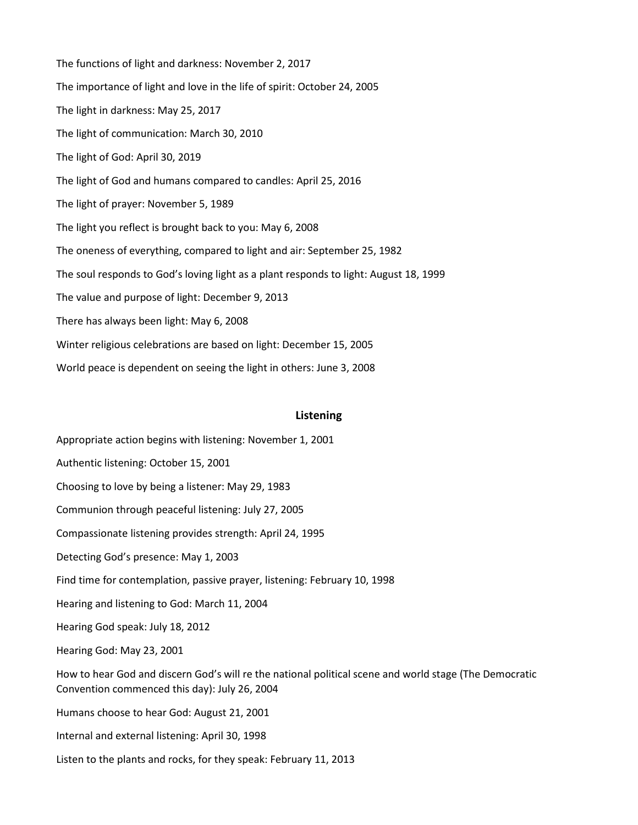The functions of light and darkness: November 2, 2017 The importance of light and love in the life of spirit: October 24, 2005 The light in darkness: May 25, 2017 The light of communication: March 30, 2010 The light of God: April 30, 2019 The light of God and humans compared to candles: April 25, 2016 The light of prayer: November 5, 1989 The light you reflect is brought back to you: May 6, 2008 The oneness of everything, compared to light and air: September 25, 1982 The soul responds to God's loving light as a plant responds to light: August 18, 1999 The value and purpose of light: December 9, 2013 There has always been light: May 6, 2008 Winter religious celebrations are based on light: December 15, 2005 World peace is dependent on seeing the light in others: June 3, 2008

# **Listening**

- Appropriate action begins with listening: November 1, 2001
- Authentic listening: October 15, 2001
- Choosing to love by being a listener: May 29, 1983
- Communion through peaceful listening: July 27, 2005
- Compassionate listening provides strength: April 24, 1995
- Detecting God's presence: May 1, 2003
- Find time for contemplation, passive prayer, listening: February 10, 1998
- Hearing and listening to God: March 11, 2004
- Hearing God speak: July 18, 2012
- Hearing God: May 23, 2001
- How to hear God and discern God's will re the national political scene and world stage (The Democratic Convention commenced this day): July 26, 2004
- Humans choose to hear God: August 21, 2001
- Internal and external listening: April 30, 1998
- Listen to the plants and rocks, for they speak: February 11, 2013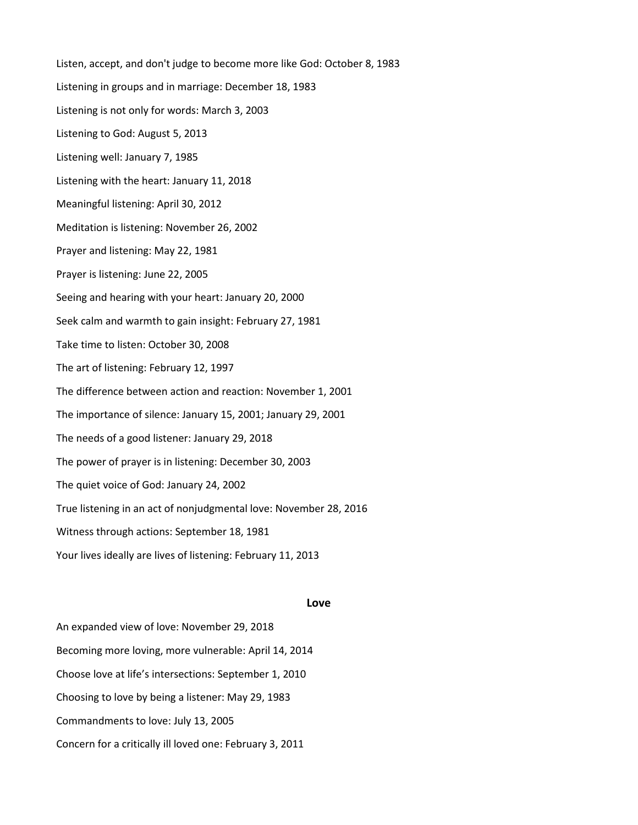Listen, accept, and don't judge to become more like God: October 8, 1983 Listening in groups and in marriage: December 18, 1983 Listening is not only for words: March 3, 2003 Listening to God: August 5, 2013 Listening well: January 7, 1985 Listening with the heart: January 11, 2018 Meaningful listening: April 30, 2012 Meditation is listening: November 26, 2002 Prayer and listening: May 22, 1981 Prayer is listening: June 22, 2005 Seeing and hearing with your heart: January 20, 2000 Seek calm and warmth to gain insight: February 27, 1981 Take time to listen: October 30, 2008 The art of listening: February 12, 1997 The difference between action and reaction: November 1, 2001 The importance of silence: January 15, 2001; January 29, 2001 The needs of a good listener: January 29, 2018 The power of prayer is in listening: December 30, 2003 The quiet voice of God: January 24, 2002 True listening in an act of nonjudgmental love: November 28, 2016 Witness through actions: September 18, 1981 Your lives ideally are lives of listening: February 11, 2013

## **Love**

An expanded view of love: November 29, 2018 Becoming more loving, more vulnerable: April 14, 2014 Choose love at life's intersections: September 1, 2010 Choosing to love by being a listener: May 29, 1983 Commandments to love: July 13, 2005 Concern for a critically ill loved one: February 3, 2011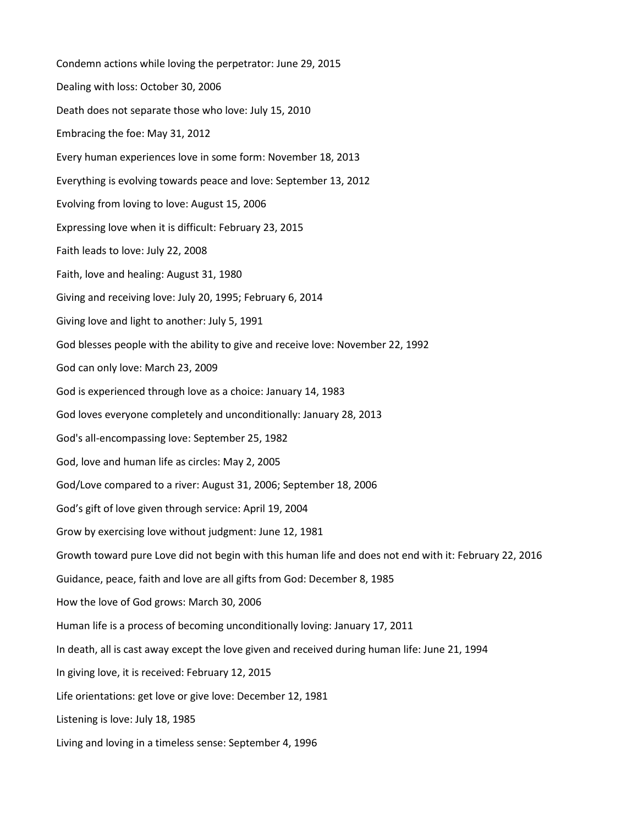Condemn actions while loving the perpetrator: June 29, 2015 Dealing with loss: October 30, 2006 Death does not separate those who love: July 15, 2010 Embracing the foe: May 31, 2012 Every human experiences love in some form: November 18, 2013 Everything is evolving towards peace and love: September 13, 2012 Evolving from loving to love: August 15, 2006 Expressing love when it is difficult: February 23, 2015 Faith leads to love: July 22, 2008 Faith, love and healing: August 31, 1980 Giving and receiving love: July 20, 1995; February 6, 2014 Giving love and light to another: July 5, 1991 God blesses people with the ability to give and receive love: November 22, 1992 God can only love: March 23, 2009 God is experienced through love as a choice: January 14, 1983 God loves everyone completely and unconditionally: January 28, 2013 God's all-encompassing love: September 25, 1982 God, love and human life as circles: May 2, 2005 God/Love compared to a river: August 31, 2006; September 18, 2006 God's gift of love given through service: April 19, 2004 Grow by exercising love without judgment: June 12, 1981 Growth toward pure Love did not begin with this human life and does not end with it: February 22, 2016 Guidance, peace, faith and love are all gifts from God: December 8, 1985 How the love of God grows: March 30, 2006 Human life is a process of becoming unconditionally loving: January 17, 2011 In death, all is cast away except the love given and received during human life: June 21, 1994 In giving love, it is received: February 12, 2015 Life orientations: get love or give love: December 12, 1981 Listening is love: July 18, 1985 Living and loving in a timeless sense: September 4, 1996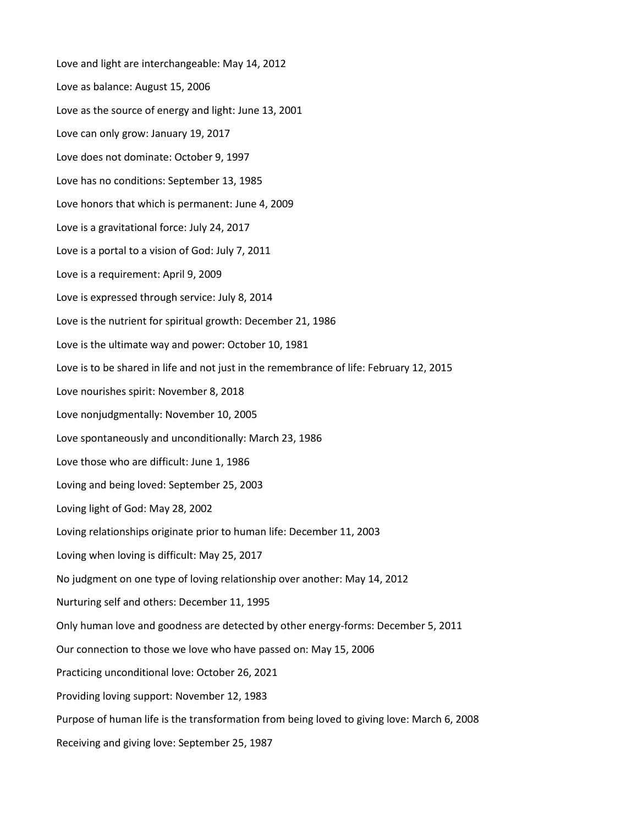Love and light are interchangeable: May 14, 2012 Love as balance: August 15, 2006 Love as the source of energy and light: June 13, 2001 Love can only grow: January 19, 2017 Love does not dominate: October 9, 1997 Love has no conditions: September 13, 1985 Love honors that which is permanent: June 4, 2009 Love is a gravitational force: July 24, 2017 Love is a portal to a vision of God: July 7, 2011 Love is a requirement: April 9, 2009 Love is expressed through service: July 8, 2014 Love is the nutrient for spiritual growth: December 21, 1986 Love is the ultimate way and power: October 10, 1981 Love is to be shared in life and not just in the remembrance of life: February 12, 2015 Love nourishes spirit: November 8, 2018 Love nonjudgmentally: November 10, 2005 Love spontaneously and unconditionally: March 23, 1986 Love those who are difficult: June 1, 1986 Loving and being loved: September 25, 2003 Loving light of God: May 28, 2002 Loving relationships originate prior to human life: December 11, 2003 Loving when loving is difficult: May 25, 2017 No judgment on one type of loving relationship over another: May 14, 2012 Nurturing self and others: December 11, 1995 Only human love and goodness are detected by other energy-forms: December 5, 2011 Our connection to those we love who have passed on: May 15, 2006 Practicing unconditional love: October 26, 2021 Providing loving support: November 12, 1983 Purpose of human life is the transformation from being loved to giving love: March 6, 2008 Receiving and giving love: September 25, 1987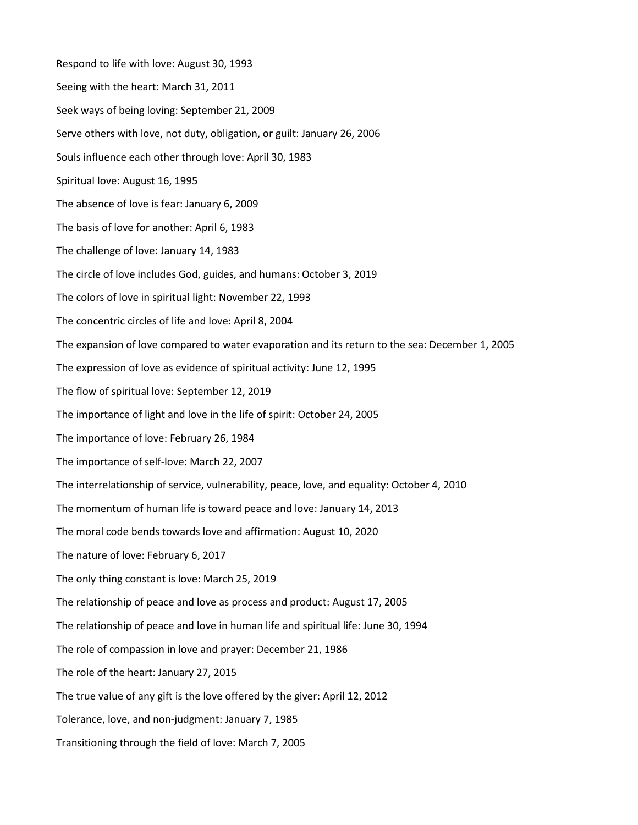Respond to life with love: August 30, 1993 Seeing with the heart: March 31, 2011 Seek ways of being loving: September 21, 2009 Serve others with love, not duty, obligation, or guilt: January 26, 2006 Souls influence each other through love: April 30, 1983 Spiritual love: August 16, 1995 The absence of love is fear: January 6, 2009 The basis of love for another: April 6, 1983 The challenge of love: January 14, 1983 The circle of love includes God, guides, and humans: October 3, 2019 The colors of love in spiritual light: November 22, 1993 The concentric circles of life and love: April 8, 2004 The expansion of love compared to water evaporation and its return to the sea: December 1, 2005 The expression of love as evidence of spiritual activity: June 12, 1995 The flow of spiritual love: September 12, 2019 The importance of light and love in the life of spirit: October 24, 2005 The importance of love: February 26, 1984 The importance of self-love: March 22, 2007 The interrelationship of service, vulnerability, peace, love, and equality: October 4, 2010 The momentum of human life is toward peace and love: January 14, 2013 The moral code bends towards love and affirmation: August 10, 2020 The nature of love: February 6, 2017 The only thing constant is love: March 25, 2019 The relationship of peace and love as process and product: August 17, 2005 The relationship of peace and love in human life and spiritual life: June 30, 1994 The role of compassion in love and prayer: December 21, 1986 The role of the heart: January 27, 2015 The true value of any gift is the love offered by the giver: April 12, 2012 Tolerance, love, and non-judgment: January 7, 1985 Transitioning through the field of love: March 7, 2005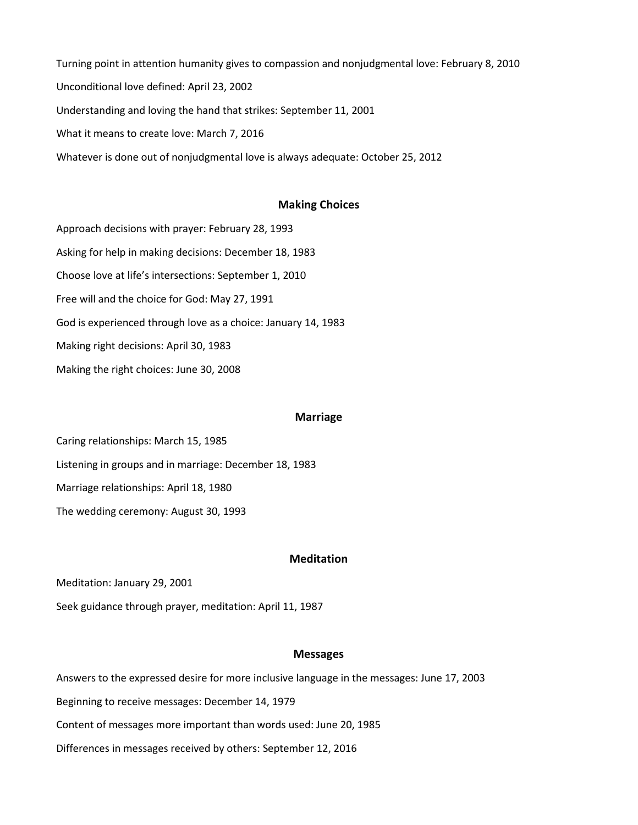Turning point in attention humanity gives to compassion and nonjudgmental love: February 8, 2010 Unconditional love defined: April 23, 2002 Understanding and loving the hand that strikes: September 11, 2001 What it means to create love: March 7, 2016 Whatever is done out of nonjudgmental love is always adequate: October 25, 2012

### **Making Choices**

Approach decisions with prayer: February 28, 1993 Asking for help in making decisions: December 18, 1983 Choose love at life's intersections: September 1, 2010 Free will and the choice for God: May 27, 1991 God is experienced through love as a choice: January 14, 1983 Making right decisions: April 30, 1983 Making the right choices: June 30, 2008

### **Marriage**

Caring relationships: March 15, 1985 Listening in groups and in marriage: December 18, 1983 Marriage relationships: April 18, 1980 The wedding ceremony: August 30, 1993

# **Meditation**

Meditation: January 29, 2001

Seek guidance through prayer, meditation: April 11, 1987

## **Messages**

Answers to the expressed desire for more inclusive language in the messages: June 17, 2003 Beginning to receive messages: December 14, 1979

Content of messages more important than words used: June 20, 1985

Differences in messages received by others: September 12, 2016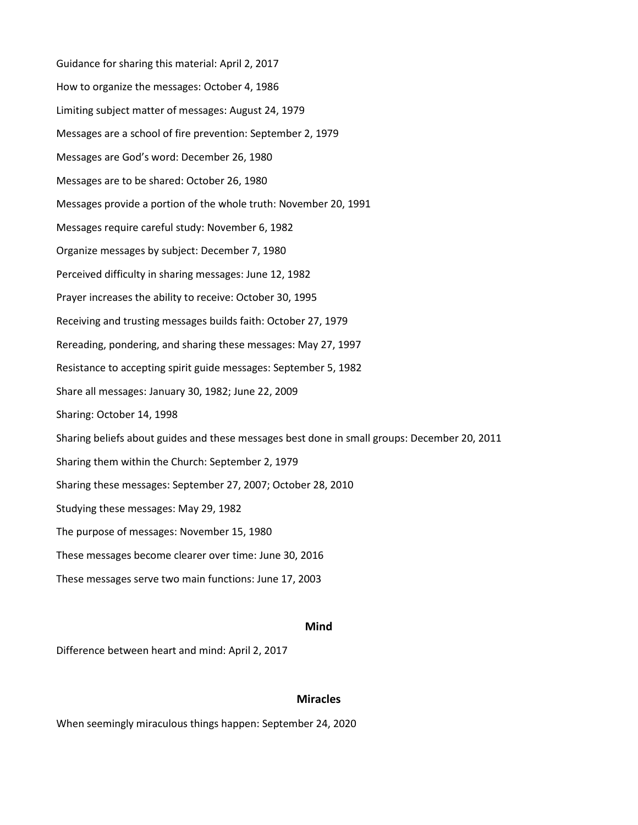Guidance for sharing this material: April 2, 2017 How to organize the messages: October 4, 1986 Limiting subject matter of messages: August 24, 1979 Messages are a school of fire prevention: September 2, 1979 Messages are God's word: December 26, 1980 Messages are to be shared: October 26, 1980 Messages provide a portion of the whole truth: November 20, 1991 Messages require careful study: November 6, 1982 Organize messages by subject: December 7, 1980 Perceived difficulty in sharing messages: June 12, 1982 Prayer increases the ability to receive: October 30, 1995 Receiving and trusting messages builds faith: October 27, 1979 Rereading, pondering, and sharing these messages: May 27, 1997 Resistance to accepting spirit guide messages: September 5, 1982 Share all messages: January 30, 1982; June 22, 2009 Sharing: October 14, 1998 Sharing beliefs about guides and these messages best done in small groups: December 20, 2011 Sharing them within the Church: September 2, 1979 Sharing these messages: September 27, 2007; October 28, 2010 Studying these messages: May 29, 1982 The purpose of messages: November 15, 1980 These messages become clearer over time: June 30, 2016 These messages serve two main functions: June 17, 2003

# **Mind**

Difference between heart and mind: April 2, 2017

# **Miracles**

When seemingly miraculous things happen: September 24, 2020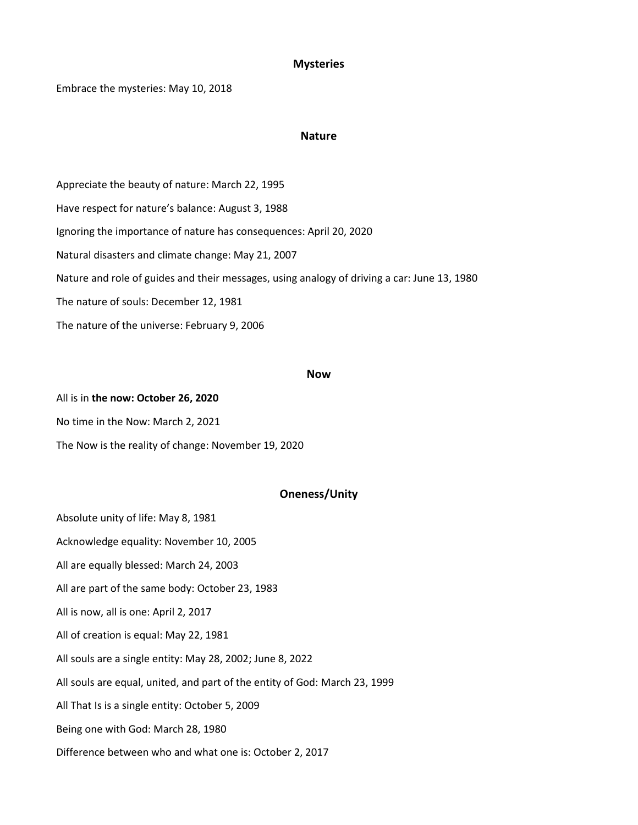## **Mysteries**

Embrace the mysteries: May 10, 2018

### **Nature**

Appreciate the beauty of nature: March 22, 1995 Have respect for nature's balance: August 3, 1988 Ignoring the importance of nature has consequences: April 20, 2020 Natural disasters and climate change: May 21, 2007 Nature and role of guides and their messages, using analogy of driving a car: June 13, 1980 The nature of souls: December 12, 1981 The nature of the universe: February 9, 2006

### **Now**

All is in **the now: October 26, 2020** No time in the Now: March 2, 2021 The Now is the reality of change: November 19, 2020

# **Oneness/Unity**

Absolute unity of life: May 8, 1981 Acknowledge equality: November 10, 2005 All are equally blessed: March 24, 2003 All are part of the same body: October 23, 1983 All is now, all is one: April 2, 2017 All of creation is equal: May 22, 1981 All souls are a single entity: May 28, 2002; June 8, 2022 All souls are equal, united, and part of the entity of God: March 23, 1999 All That Is is a single entity: October 5, 2009 Being one with God: March 28, 1980 Difference between who and what one is: October 2, 2017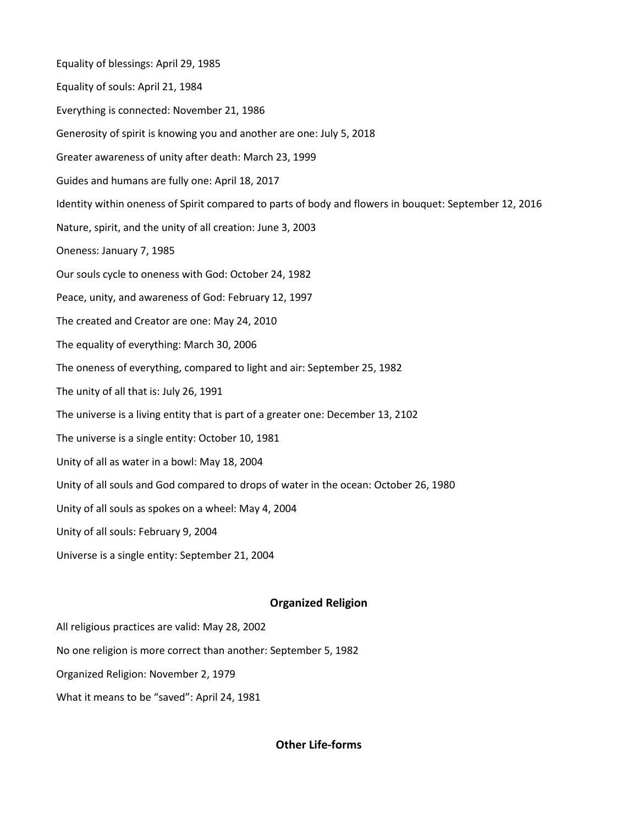Equality of blessings: April 29, 1985 Equality of souls: April 21, 1984 Everything is connected: November 21, 1986 Generosity of spirit is knowing you and another are one: July 5, 2018 Greater awareness of unity after death: March 23, 1999 Guides and humans are fully one: April 18, 2017 Identity within oneness of Spirit compared to parts of body and flowers in bouquet: September 12, 2016 Nature, spirit, and the unity of all creation: June 3, 2003 Oneness: January 7, 1985 Our souls cycle to oneness with God: October 24, 1982 Peace, unity, and awareness of God: February 12, 1997 The created and Creator are one: May 24, 2010 The equality of everything: March 30, 2006 The oneness of everything, compared to light and air: September 25, 1982 The unity of all that is: July 26, 1991 The universe is a living entity that is part of a greater one: December 13, 2102 The universe is a single entity: October 10, 1981 Unity of all as water in a bowl: May 18, 2004 Unity of all souls and God compared to drops of water in the ocean: October 26, 1980 Unity of all souls as spokes on a wheel: May 4, 2004 Unity of all souls: February 9, 2004 Universe is a single entity: September 21, 2004

# **Organized Religion**

All religious practices are valid: May 28, 2002

No one religion is more correct than another: September 5, 1982

Organized Religion: November 2, 1979

What it means to be "saved": April 24, 1981

**Other Life-forms**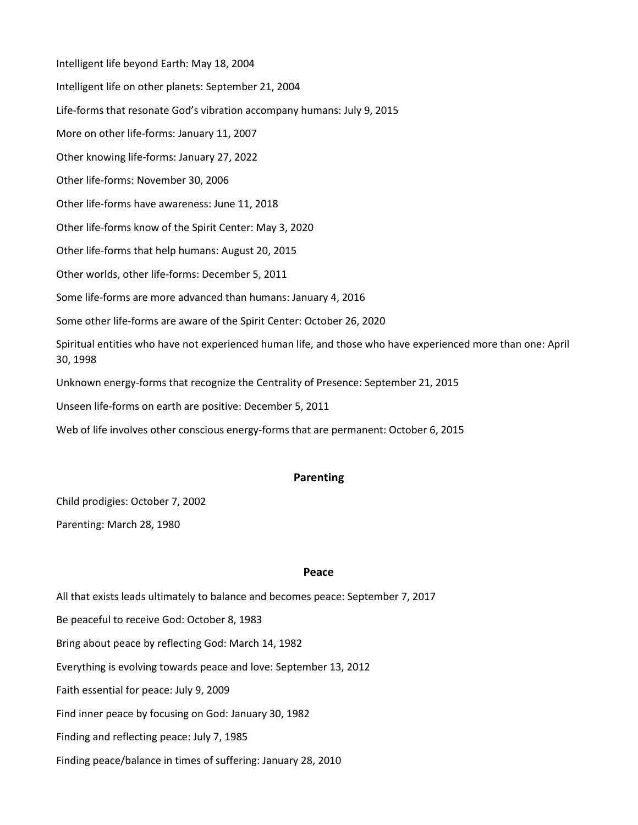Intelligent life beyond Earth: May 18, 2004 Intelligent life on other planets: September 21, 2004 Life-forms that resonate God's vibration accompany humans: July 9, 2015 More on other life-forms: January 11, 2007 Other knowing life-forms: January 27, 2022 Other life-forms: November 30, 2006 Other life-forms have awareness: June 11, 2018 Other life-forms know of the Spirit Center: May 3, 2020 Other life-forms that help humans: August 20, 2015 Other worlds, other life-forms: December 5, 2011 Some life-forms are more advanced than humans: January 4, 2016 Some other life-forms are aware of the Spirit Center: October 26, 2020 Spiritual entities who have not experienced human life, and those who have experienced more than one: April 30, 1998 Unknown energy-forms that recognize the Centrality of Presence: September 21, 2015 Unseen life-forms on earth are positive: December 5, 2011

Web of life involves other conscious energy-forms that are permanent: October 6, 2015

# **Parenting**

Child prodigies: October 7, 2002

Parenting: March 28, 1980

# **Peace**

All that exists leads ultimately to balance and becomes peace: September 7, 2017 Be peaceful to receive God: October 8, 1983 Bring about peace by reflecting God: March 14, 1982 Everything is evolving towards peace and love: September 13, 2012 Faith essential for peace: July 9, 2009 Find inner peace by focusing on God: January 30, 1982 Finding and reflecting peace: July 7, 1985 Finding peace/balance in times of suffering: January 28, 2010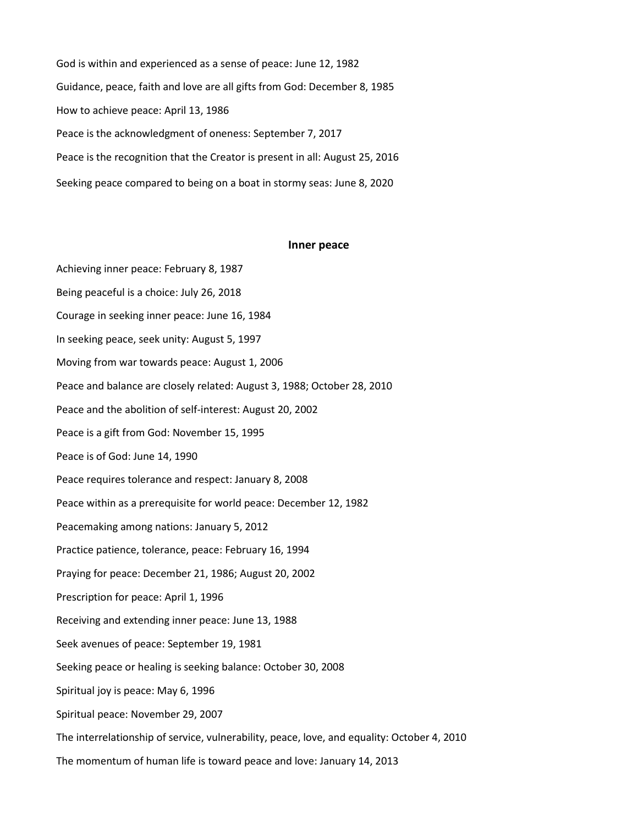God is within and experienced as a sense of peace: June 12, 1982 Guidance, peace, faith and love are all gifts from God: December 8, 1985 How to achieve peace: April 13, 1986 Peace is the acknowledgment of oneness: September 7, 2017 Peace is the recognition that the Creator is present in all: August 25, 2016 Seeking peace compared to being on a boat in stormy seas: June 8, 2020

#### **Inner peace**

Achieving inner peace: February 8, 1987 Being peaceful is a choice: July 26, 2018 Courage in seeking inner peace: June 16, 1984 In seeking peace, seek unity: August 5, 1997 Moving from war towards peace: August 1, 2006 Peace and balance are closely related: August 3, 1988; October 28, 2010 Peace and the abolition of self-interest: August 20, 2002 Peace is a gift from God: November 15, 1995 Peace is of God: June 14, 1990 Peace requires tolerance and respect: January 8, 2008 Peace within as a prerequisite for world peace: December 12, 1982 Peacemaking among nations: January 5, 2012 Practice patience, tolerance, peace: February 16, 1994 Praying for peace: December 21, 1986; August 20, 2002 Prescription for peace: April 1, 1996 Receiving and extending inner peace: June 13, 1988 Seek avenues of peace: September 19, 1981 Seeking peace or healing is seeking balance: October 30, 2008 Spiritual joy is peace: May 6, 1996 Spiritual peace: November 29, 2007 The interrelationship of service, vulnerability, peace, love, and equality: October 4, 2010 The momentum of human life is toward peace and love: January 14, 2013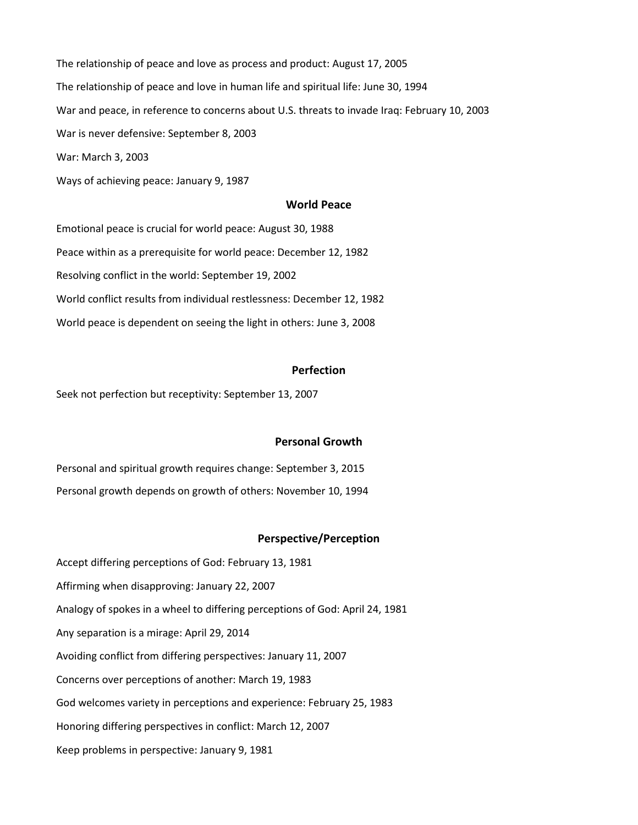The relationship of peace and love as process and product: August 17, 2005 The relationship of peace and love in human life and spiritual life: June 30, 1994 War and peace, in reference to concerns about U.S. threats to invade Iraq: February 10, 2003 War is never defensive: September 8, 2003 War: March 3, 2003

Ways of achieving peace: January 9, 1987

# **World Peace**

Emotional peace is crucial for world peace: August 30, 1988 Peace within as a prerequisite for world peace: December 12, 1982 Resolving conflict in the world: September 19, 2002 World conflict results from individual restlessness: December 12, 1982 World peace is dependent on seeing the light in others: June 3, 2008

### **Perfection**

Seek not perfection but receptivity: September 13, 2007

# **Personal Growth**

Personal and spiritual growth requires change: September 3, 2015 Personal growth depends on growth of others: November 10, 1994

### **Perspective/Perception**

Accept differing perceptions of God: February 13, 1981 Affirming when disapproving: January 22, 2007 Analogy of spokes in a wheel to differing perceptions of God: April 24, 1981 Any separation is a mirage: April 29, 2014 Avoiding conflict from differing perspectives: January 11, 2007 Concerns over perceptions of another: March 19, 1983 God welcomes variety in perceptions and experience: February 25, 1983 Honoring differing perspectives in conflict: March 12, 2007 Keep problems in perspective: January 9, 1981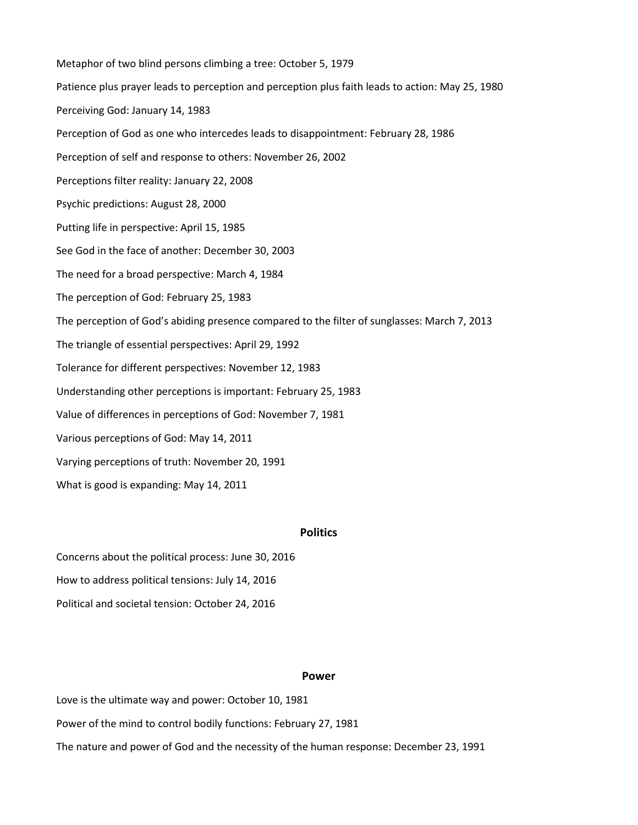Metaphor of two blind persons climbing a tree: October 5, 1979 Patience plus prayer leads to perception and perception plus faith leads to action: May 25, 1980 Perceiving God: January 14, 1983 Perception of God as one who intercedes leads to disappointment: February 28, 1986 Perception of self and response to others: November 26, 2002 Perceptions filter reality: January 22, 2008 Psychic predictions: August 28, 2000 Putting life in perspective: April 15, 1985 See God in the face of another: December 30, 2003 The need for a broad perspective: March 4, 1984 The perception of God: February 25, 1983 The perception of God's abiding presence compared to the filter of sunglasses: March 7, 2013 The triangle of essential perspectives: April 29, 1992 Tolerance for different perspectives: November 12, 1983 Understanding other perceptions is important: February 25, 1983 Value of differences in perceptions of God: November 7, 1981 Various perceptions of God: May 14, 2011 Varying perceptions of truth: November 20, 1991 What is good is expanding: May 14, 2011

# **Politics**

Concerns about the political process: June 30, 2016 How to address political tensions: July 14, 2016 Political and societal tension: October 24, 2016

### **Power**

Love is the ultimate way and power: October 10, 1981

Power of the mind to control bodily functions: February 27, 1981

The nature and power of God and the necessity of the human response: December 23, 1991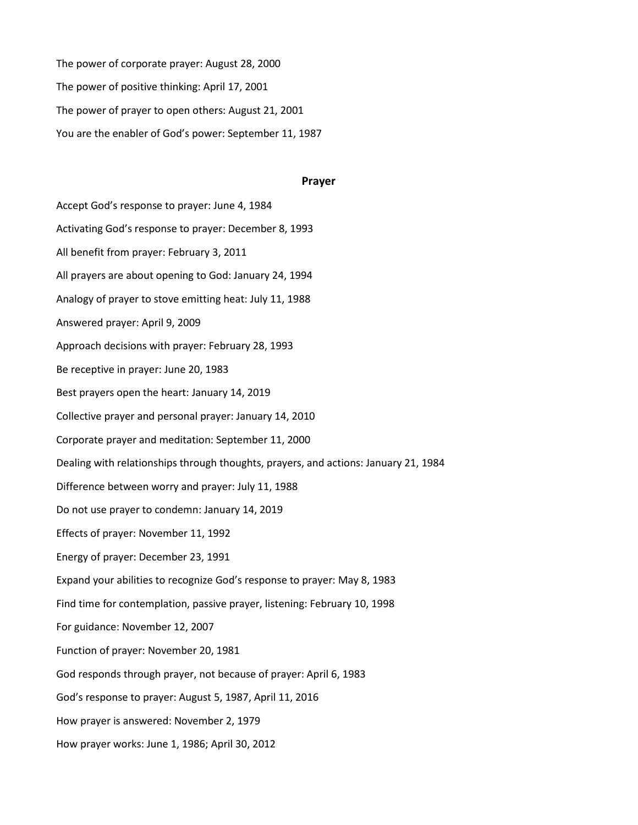The power of corporate prayer: August 28, 2000 The power of positive thinking: April 17, 2001 The power of prayer to open others: August 21, 2001 You are the enabler of God's power: September 11, 1987

#### **Prayer**

Accept God's response to prayer: June 4, 1984 Activating God's response to prayer: December 8, 1993 All benefit from prayer: February 3, 2011 All prayers are about opening to God: January 24, 1994 Analogy of prayer to stove emitting heat: July 11, 1988 Answered prayer: April 9, 2009 Approach decisions with prayer: February 28, 1993 Be receptive in prayer: June 20, 1983 Best prayers open the heart: January 14, 2019 Collective prayer and personal prayer: January 14, 2010 Corporate prayer and meditation: September 11, 2000 Dealing with relationships through thoughts, prayers, and actions: January 21, 1984 Difference between worry and prayer: July 11, 1988 Do not use prayer to condemn: January 14, 2019 Effects of prayer: November 11, 1992 Energy of prayer: December 23, 1991 Expand your abilities to recognize God's response to prayer: May 8, 1983 Find time for contemplation, passive prayer, listening: February 10, 1998 For guidance: November 12, 2007 Function of prayer: November 20, 1981 God responds through prayer, not because of prayer: April 6, 1983 God's response to prayer: August 5, 1987, April 11, 2016 How prayer is answered: November 2, 1979 How prayer works: June 1, 1986; April 30, 2012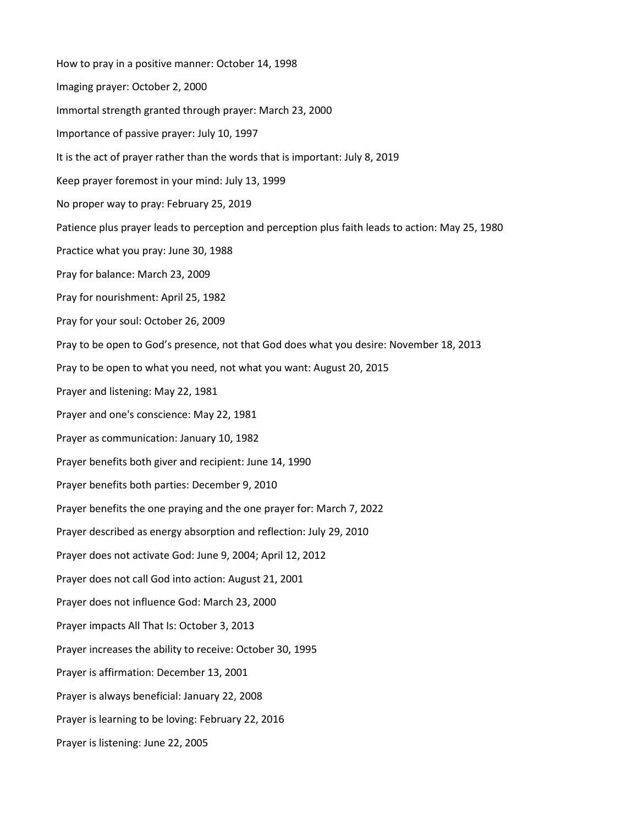How to pray in a positive manner: October 14, 1998 Imaging prayer: October 2, 2000 Immortal strength granted through prayer: March 23, 2000 Importance of passive prayer: July 10, 1997 It is the act of prayer rather than the words that is important: July 8, 2019 Keep prayer foremost in your mind: July 13, 1999 No proper way to pray: February 25, 2019 Patience plus prayer leads to perception and perception plus faith leads to action: May 25, 1980 Practice what you pray: June 30, 1988 Pray for balance: March 23, 2009 Pray for nourishment: April 25, 1982 Pray for your soul: October 26, 2009 Pray to be open to God's presence, not that God does what you desire: November 18, 2013 Pray to be open to what you need, not what you want: August 20, 2015 Prayer and listening: May 22, 1981 Prayer and one's conscience: May 22, 1981 Prayer as communication: January 10, 1982 Prayer benefits both giver and recipient: June 14, 1990 Prayer benefits both parties: December 9, 2010 Prayer benefits the one praying and the one prayer for: March 7, 2022 Prayer described as energy absorption and reflection: July 29, 2010 Prayer does not activate God: June 9, 2004; April 12, 2012 Prayer does not call God into action: August 21, 2001 Prayer does not influence God: March 23, 2000 Prayer impacts All That Is: October 3, 2013 Prayer increases the ability to receive: October 30, 1995 Prayer is affirmation: December 13, 2001 Prayer is always beneficial: January 22, 2008 Prayer is learning to be loving: February 22, 2016 Prayer is listening: June 22, 2005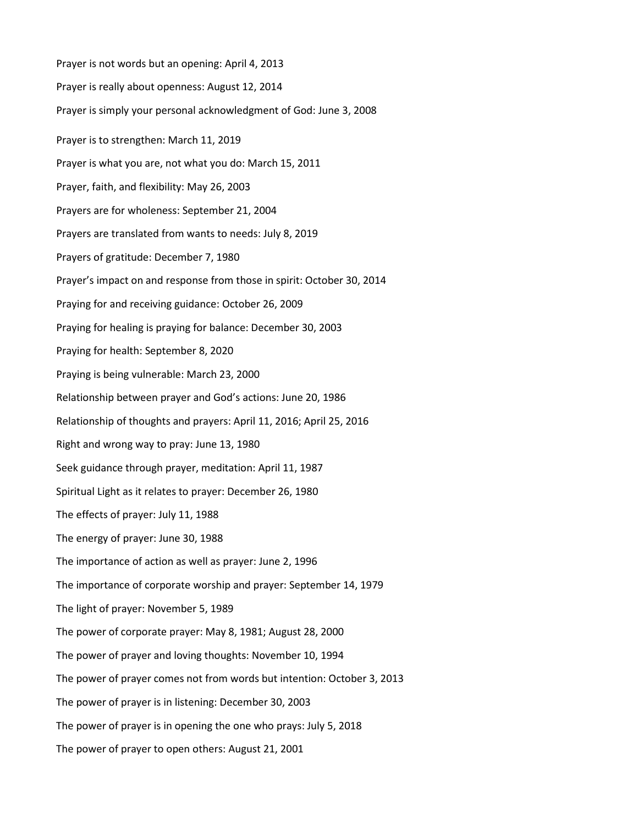Prayer is not words but an opening: April 4, 2013 Prayer is really about openness: August 12, 2014 Prayer is simply your personal acknowledgment of God: June 3, 2008 Prayer is to strengthen: March 11, 2019 Prayer is what you are, not what you do: March 15, 2011 Prayer, faith, and flexibility: May 26, 2003 Prayers are for wholeness: September 21, 2004 Prayers are translated from wants to needs: July 8, 2019 Prayers of gratitude: December 7, 1980 Prayer's impact on and response from those in spirit: October 30, 2014 Praying for and receiving guidance: October 26, 2009 Praying for healing is praying for balance: December 30, 2003 Praying for health: September 8, 2020 Praying is being vulnerable: March 23, 2000 Relationship between prayer and God's actions: June 20, 1986 Relationship of thoughts and prayers: April 11, 2016; April 25, 2016 Right and wrong way to pray: June 13, 1980 Seek guidance through prayer, meditation: April 11, 1987 Spiritual Light as it relates to prayer: December 26, 1980 The effects of prayer: July 11, 1988 The energy of prayer: June 30, 1988 The importance of action as well as prayer: June 2, 1996 The importance of corporate worship and prayer: September 14, 1979 The light of prayer: November 5, 1989 The power of corporate prayer: May 8, 1981; August 28, 2000 The power of prayer and loving thoughts: November 10, 1994 The power of prayer comes not from words but intention: October 3, 2013 The power of prayer is in listening: December 30, 2003 The power of prayer is in opening the one who prays: July 5, 2018 The power of prayer to open others: August 21, 2001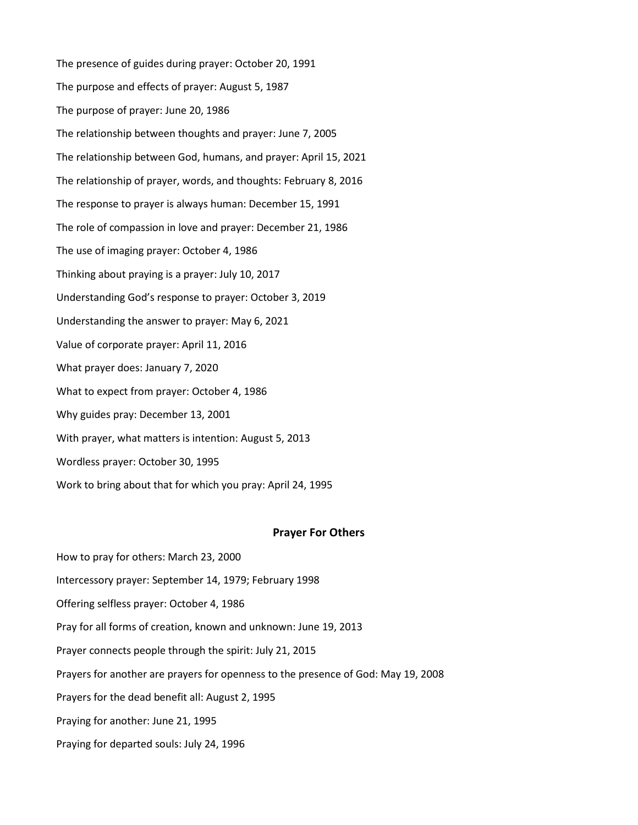The presence of guides during prayer: October 20, 1991 The purpose and effects of prayer: August 5, 1987 The purpose of prayer: June 20, 1986 The relationship between thoughts and prayer: June 7, 2005 The relationship between God, humans, and prayer: April 15, 2021 The relationship of prayer, words, and thoughts: February 8, 2016 The response to prayer is always human: December 15, 1991 The role of compassion in love and prayer: December 21, 1986 The use of imaging prayer: October 4, 1986 Thinking about praying is a prayer: July 10, 2017 Understanding God's response to prayer: October 3, 2019 Understanding the answer to prayer: May 6, 2021 Value of corporate prayer: April 11, 2016 What prayer does: January 7, 2020 What to expect from prayer: October 4, 1986 Why guides pray: December 13, 2001 With prayer, what matters is intention: August 5, 2013 Wordless prayer: October 30, 1995 Work to bring about that for which you pray: April 24, 1995

# **Prayer For Others**

- How to pray for others: March 23, 2000
- Intercessory prayer: September 14, 1979; February 1998
- Offering selfless prayer: October 4, 1986
- Pray for all forms of creation, known and unknown: June 19, 2013
- Prayer connects people through the spirit: July 21, 2015
- Prayers for another are prayers for openness to the presence of God: May 19, 2008
- Prayers for the dead benefit all: August 2, 1995
- Praying for another: June 21, 1995
- Praying for departed souls: July 24, 1996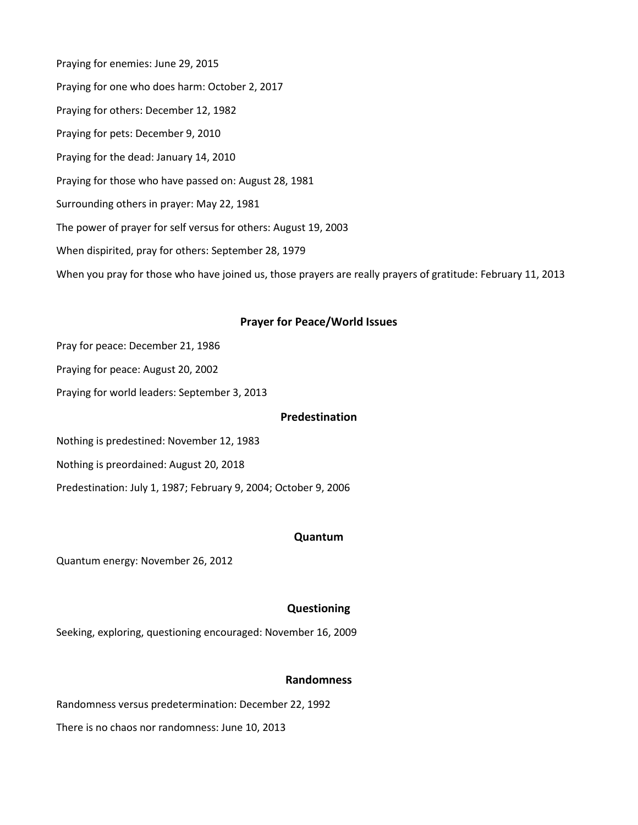Praying for enemies: June 29, 2015 Praying for one who does harm: October 2, 2017 Praying for others: December 12, 1982 Praying for pets: December 9, 2010 Praying for the dead: January 14, 2010 Praying for those who have passed on: August 28, 1981 Surrounding others in prayer: May 22, 1981 The power of prayer for self versus for others: August 19, 2003 When dispirited, pray for others: September 28, 1979 When you pray for those who have joined us, those prayers are really prayers of gratitude: February 11, 2013

# **Prayer for Peace/World Issues**

- Pray for peace: December 21, 1986
- Praying for peace: August 20, 2002
- Praying for world leaders: September 3, 2013

# **Predestination**

Nothing is predestined: November 12, 1983

Nothing is preordained: August 20, 2018

Predestination: July 1, 1987; February 9, 2004; October 9, 2006

# **Quantum**

Quantum energy: November 26, 2012

# **Questioning**

Seeking, exploring, questioning encouraged: November 16, 2009

# **Randomness**

Randomness versus predetermination: December 22, 1992

There is no chaos nor randomness: June 10, 2013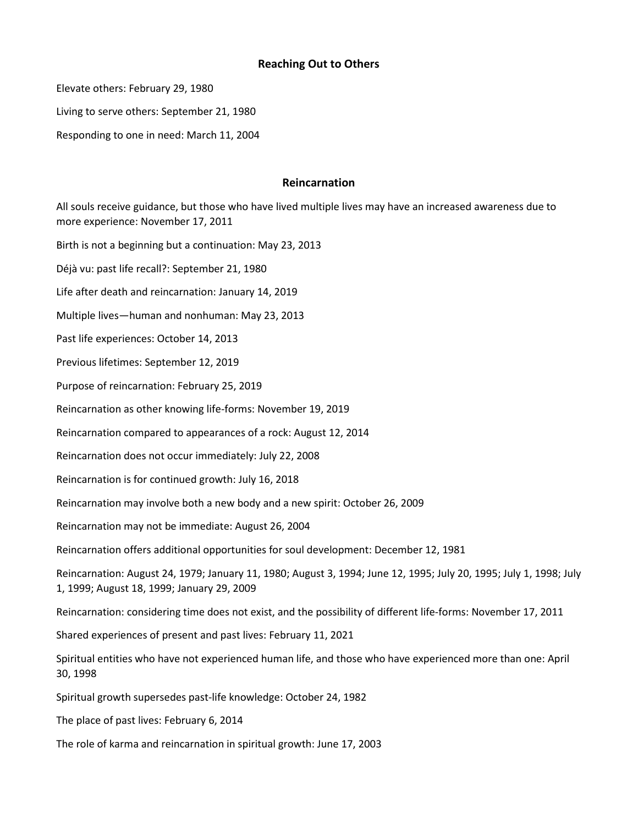# **Reaching Out to Others**

Elevate others: February 29, 1980

Living to serve others: September 21, 1980

Responding to one in need: March 11, 2004

# **Reincarnation**

All souls receive guidance, but those who have lived multiple lives may have an increased awareness due to more experience: November 17, 2011

Birth is not a beginning but a continuation: May 23, 2013

Déjà vu: past life recall?: September 21, 1980

Life after death and reincarnation: January 14, 2019

Multiple lives—human and nonhuman: May 23, 2013

Past life experiences: October 14, 2013

Previous lifetimes: September 12, 2019

Purpose of reincarnation: February 25, 2019

Reincarnation as other knowing life-forms: November 19, 2019

Reincarnation compared to appearances of a rock: August 12, 2014

Reincarnation does not occur immediately: July 22, 2008

Reincarnation is for continued growth: July 16, 2018

Reincarnation may involve both a new body and a new spirit: October 26, 2009

Reincarnation may not be immediate: August 26, 2004

Reincarnation offers additional opportunities for soul development: December 12, 1981

Reincarnation: August 24, 1979; January 11, 1980; August 3, 1994; June 12, 1995; July 20, 1995; July 1, 1998; July 1, 1999; August 18, 1999; January 29, 2009

Reincarnation: considering time does not exist, and the possibility of different life-forms: November 17, 2011

Shared experiences of present and past lives: February 11, 2021

Spiritual entities who have not experienced human life, and those who have experienced more than one: April 30, 1998

Spiritual growth supersedes past-life knowledge: October 24, 1982

The place of past lives: February 6, 2014

The role of karma and reincarnation in spiritual growth: June 17, 2003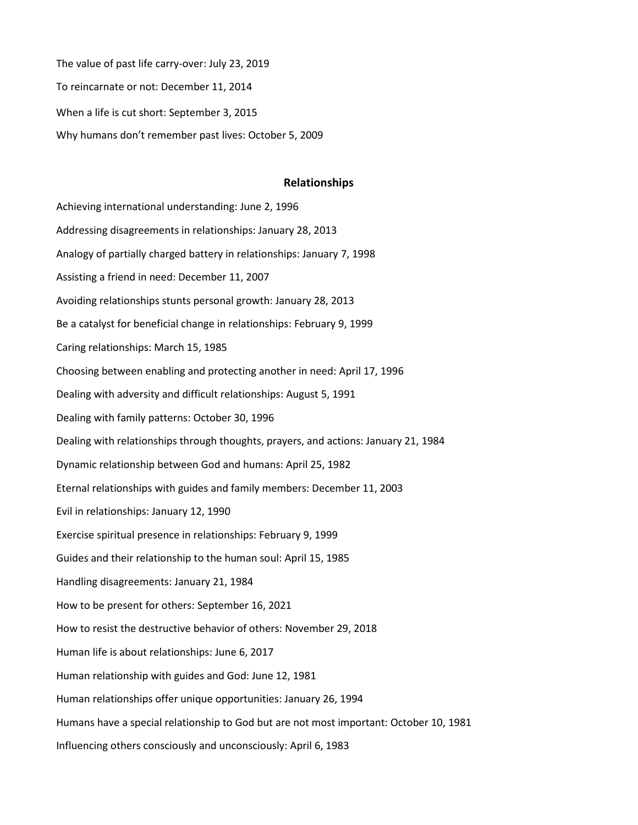The value of past life carry-over: July 23, 2019 To reincarnate or not: December 11, 2014 When a life is cut short: September 3, 2015 Why humans don't remember past lives: October 5, 2009

## **Relationships**

Achieving international understanding: June 2, 1996 Addressing disagreements in relationships: January 28, 2013 Analogy of partially charged battery in relationships: January 7, 1998 Assisting a friend in need: December 11, 2007 Avoiding relationships stunts personal growth: January 28, 2013 Be a catalyst for beneficial change in relationships: February 9, 1999 Caring relationships: March 15, 1985 Choosing between enabling and protecting another in need: April 17, 1996 Dealing with adversity and difficult relationships: August 5, 1991 Dealing with family patterns: October 30, 1996 Dealing with relationships through thoughts, prayers, and actions: January 21, 1984 Dynamic relationship between God and humans: April 25, 1982 Eternal relationships with guides and family members: December 11, 2003 Evil in relationships: January 12, 1990 Exercise spiritual presence in relationships: February 9, 1999 Guides and their relationship to the human soul: April 15, 1985 Handling disagreements: January 21, 1984 How to be present for others: September 16, 2021 How to resist the destructive behavior of others: November 29, 2018 Human life is about relationships: June 6, 2017 Human relationship with guides and God: June 12, 1981 Human relationships offer unique opportunities: January 26, 1994 Humans have a special relationship to God but are not most important: October 10, 1981 Influencing others consciously and unconsciously: April 6, 1983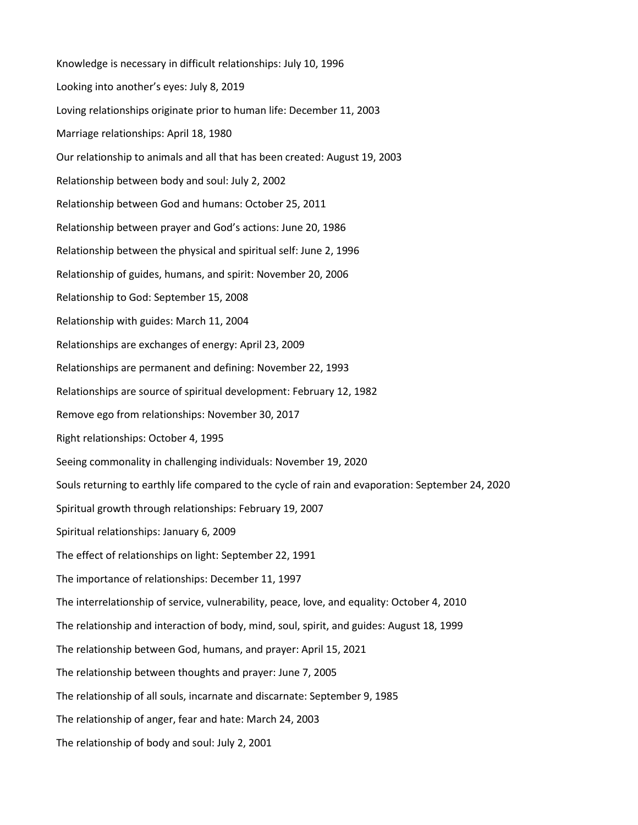Knowledge is necessary in difficult relationships: July 10, 1996 Looking into another's eyes: July 8, 2019 Loving relationships originate prior to human life: December 11, 2003 Marriage relationships: April 18, 1980 Our relationship to animals and all that has been created: August 19, 2003 Relationship between body and soul: July 2, 2002 Relationship between God and humans: October 25, 2011 Relationship between prayer and God's actions: June 20, 1986 Relationship between the physical and spiritual self: June 2, 1996 Relationship of guides, humans, and spirit: November 20, 2006 Relationship to God: September 15, 2008 Relationship with guides: March 11, 2004 Relationships are exchanges of energy: April 23, 2009 Relationships are permanent and defining: November 22, 1993 Relationships are source of spiritual development: February 12, 1982 Remove ego from relationships: November 30, 2017 Right relationships: October 4, 1995 Seeing commonality in challenging individuals: November 19, 2020 Souls returning to earthly life compared to the cycle of rain and evaporation: September 24, 2020 Spiritual growth through relationships: February 19, 2007 Spiritual relationships: January 6, 2009 The effect of relationships on light: September 22, 1991 The importance of relationships: December 11, 1997 The interrelationship of service, vulnerability, peace, love, and equality: October 4, 2010 The relationship and interaction of body, mind, soul, spirit, and guides: August 18, 1999 The relationship between God, humans, and prayer: April 15, 2021 The relationship between thoughts and prayer: June 7, 2005 The relationship of all souls, incarnate and discarnate: September 9, 1985 The relationship of anger, fear and hate: March 24, 2003 The relationship of body and soul: July 2, 2001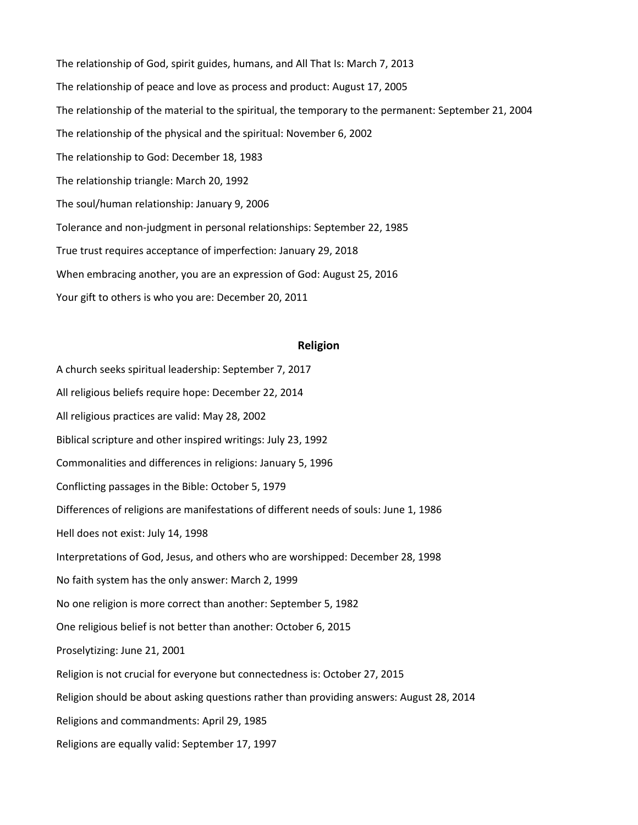The relationship of God, spirit guides, humans, and All That Is: March 7, 2013 The relationship of peace and love as process and product: August 17, 2005 The relationship of the material to the spiritual, the temporary to the permanent: September 21, 2004 The relationship of the physical and the spiritual: November 6, 2002 The relationship to God: December 18, 1983 The relationship triangle: March 20, 1992 The soul/human relationship: January 9, 2006 Tolerance and non-judgment in personal relationships: September 22, 1985 True trust requires acceptance of imperfection: January 29, 2018 When embracing another, you are an expression of God: August 25, 2016 Your gift to others is who you are: December 20, 2011

# **Religion**

A church seeks spiritual leadership: September 7, 2017 All religious beliefs require hope: December 22, 2014 All religious practices are valid: May 28, 2002 Biblical scripture and other inspired writings: July 23, 1992 Commonalities and differences in religions: January 5, 1996 Conflicting passages in the Bible: October 5, 1979 Differences of religions are manifestations of different needs of souls: June 1, 1986 Hell does not exist: July 14, 1998 Interpretations of God, Jesus, and others who are worshipped: December 28, 1998 No faith system has the only answer: March 2, 1999 No one religion is more correct than another: September 5, 1982 One religious belief is not better than another: October 6, 2015 Proselytizing: June 21, 2001 Religion is not crucial for everyone but connectedness is: October 27, 2015 Religion should be about asking questions rather than providing answers: August 28, 2014 Religions and commandments: April 29, 1985 Religions are equally valid: September 17, 1997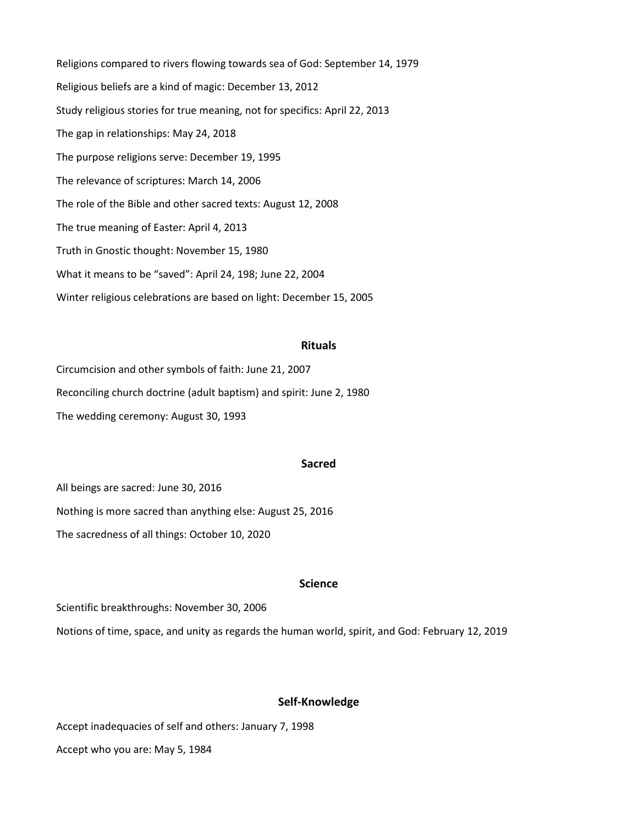Religions compared to rivers flowing towards sea of God: September 14, 1979 Religious beliefs are a kind of magic: December 13, 2012 Study religious stories for true meaning, not for specifics: April 22, 2013 The gap in relationships: May 24, 2018 The purpose religions serve: December 19, 1995 The relevance of scriptures: March 14, 2006 The role of the Bible and other sacred texts: August 12, 2008 The true meaning of Easter: April 4, 2013 Truth in Gnostic thought: November 15, 1980 What it means to be "saved": April 24, 198; June 22, 2004 Winter religious celebrations are based on light: December 15, 2005

## **Rituals**

Circumcision and other symbols of faith: June 21, 2007 Reconciling church doctrine (adult baptism) and spirit: June 2, 1980 The wedding ceremony: August 30, 1993

## **Sacred**

All beings are sacred: June 30, 2016 Nothing is more sacred than anything else: August 25, 2016 The sacredness of all things: October 10, 2020

## **Science**

Scientific breakthroughs: November 30, 2006 Notions of time, space, and unity as regards the human world, spirit, and God: February 12, 2019

## **Self-Knowledge**

Accept inadequacies of self and others: January 7, 1998

Accept who you are: May 5, 1984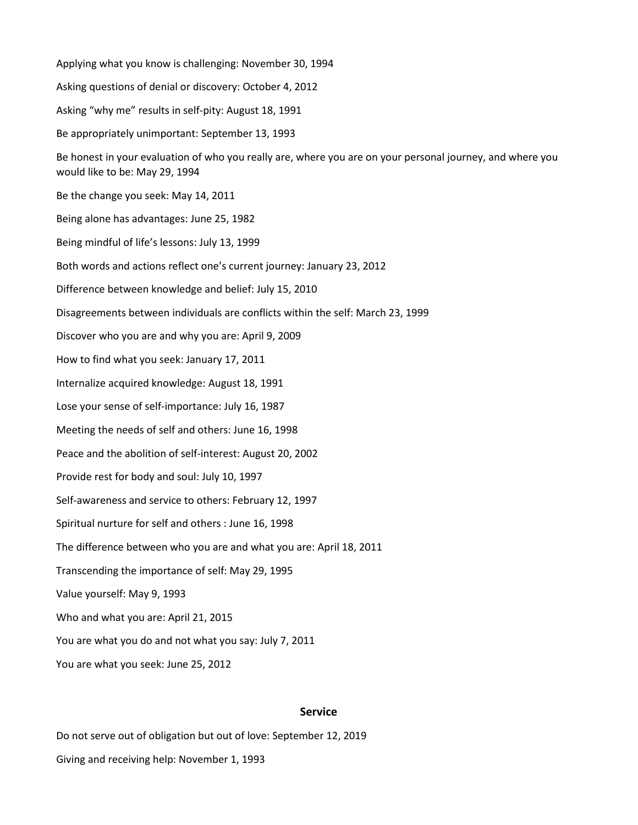Applying what you know is challenging: November 30, 1994 Asking questions of denial or discovery: October 4, 2012 Asking "why me" results in self-pity: August 18, 1991 Be appropriately unimportant: September 13, 1993 Be honest in your evaluation of who you really are, where you are on your personal journey, and where you would like to be: May 29, 1994 Be the change you seek: May 14, 2011 Being alone has advantages: June 25, 1982 Being mindful of life's lessons: July 13, 1999 Both words and actions reflect one's current journey: January 23, 2012 Difference between knowledge and belief: July 15, 2010 Disagreements between individuals are conflicts within the self: March 23, 1999 Discover who you are and why you are: April 9, 2009 How to find what you seek: January 17, 2011 Internalize acquired knowledge: August 18, 1991 Lose your sense of self-importance: July 16, 1987 Meeting the needs of self and others: June 16, 1998 Peace and the abolition of self-interest: August 20, 2002 Provide rest for body and soul: July 10, 1997 Self-awareness and service to others: February 12, 1997 Spiritual nurture for self and others : June 16, 1998 The difference between who you are and what you are: April 18, 2011 Transcending the importance of self: May 29, 1995 Value yourself: May 9, 1993 Who and what you are: April 21, 2015 You are what you do and not what you say: July 7, 2011 You are what you seek: June 25, 2012

### **Service**

Do not serve out of obligation but out of love: September 12, 2019 Giving and receiving help: November 1, 1993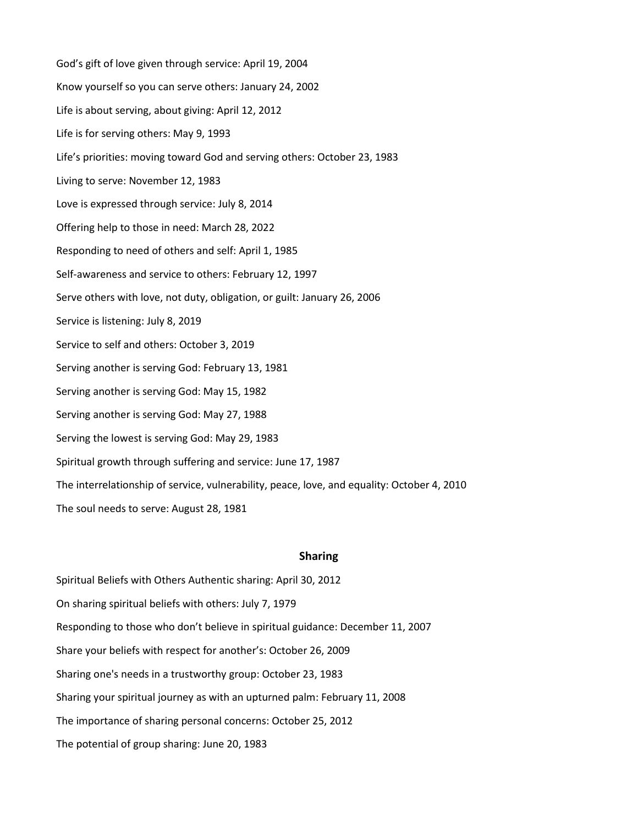God's gift of love given through service: April 19, 2004 Know yourself so you can serve others: January 24, 2002 Life is about serving, about giving: April 12, 2012 Life is for serving others: May 9, 1993 Life's priorities: moving toward God and serving others: October 23, 1983 Living to serve: November 12, 1983 Love is expressed through service: July 8, 2014 Offering help to those in need: March 28, 2022 Responding to need of others and self: April 1, 1985 Self-awareness and service to others: February 12, 1997 Serve others with love, not duty, obligation, or guilt: January 26, 2006 Service is listening: July 8, 2019 Service to self and others: October 3, 2019 Serving another is serving God: February 13, 1981 Serving another is serving God: May 15, 1982 Serving another is serving God: May 27, 1988 Serving the lowest is serving God: May 29, 1983 Spiritual growth through suffering and service: June 17, 1987 The interrelationship of service, vulnerability, peace, love, and equality: October 4, 2010 The soul needs to serve: August 28, 1981

### **Sharing**

Spiritual Beliefs with Others Authentic sharing: April 30, 2012 On sharing spiritual beliefs with others: July 7, 1979 Responding to those who don't believe in spiritual guidance: December 11, 2007 Share your beliefs with respect for another's: October 26, 2009 Sharing one's needs in a trustworthy group: October 23, 1983 Sharing your spiritual journey as with an upturned palm: February 11, 2008 The importance of sharing personal concerns: October 25, 2012 The potential of group sharing: June 20, 1983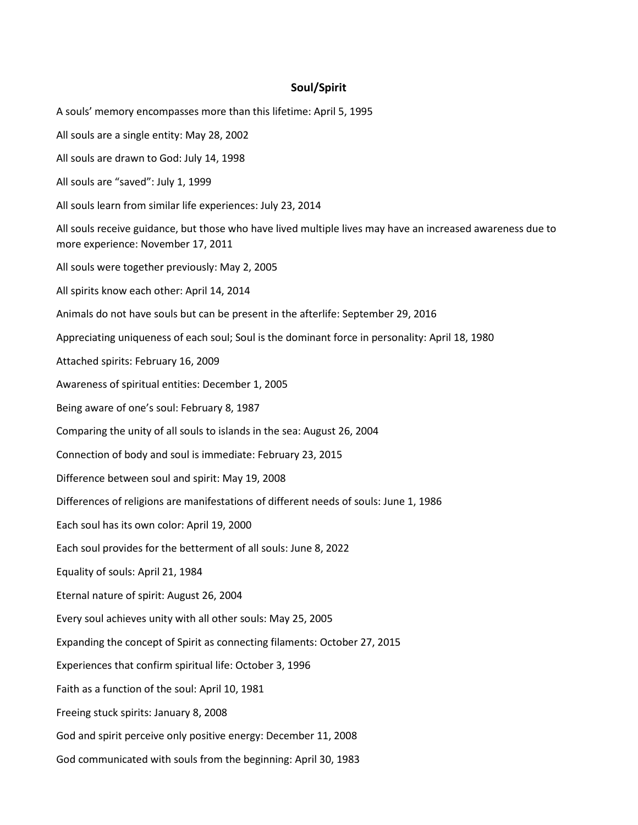# **Soul/Spirit**

A souls' memory encompasses more than this lifetime: April 5, 1995 All souls are a single entity: May 28, 2002 All souls are drawn to God: July 14, 1998 All souls are "saved": July 1, 1999 All souls learn from similar life experiences: July 23, 2014 All souls receive guidance, but those who have lived multiple lives may have an increased awareness due to more experience: November 17, 2011 All souls were together previously: May 2, 2005 All spirits know each other: April 14, 2014 Animals do not have souls but can be present in the afterlife: September 29, 2016 Appreciating uniqueness of each soul; Soul is the dominant force in personality: April 18, 1980 Attached spirits: February 16, 2009 Awareness of spiritual entities: December 1, 2005 Being aware of one's soul: February 8, 1987 Comparing the unity of all souls to islands in the sea: August 26, 2004 Connection of body and soul is immediate: February 23, 2015 Difference between soul and spirit: May 19, 2008 Differences of religions are manifestations of different needs of souls: June 1, 1986 Each soul has its own color: April 19, 2000 Each soul provides for the betterment of all souls: June 8, 2022 Equality of souls: April 21, 1984 Eternal nature of spirit: August 26, 2004 Every soul achieves unity with all other souls: May 25, 2005 Expanding the concept of Spirit as connecting filaments: October 27, 2015 Experiences that confirm spiritual life: October 3, 1996 Faith as a function of the soul: April 10, 1981 Freeing stuck spirits: January 8, 2008 God and spirit perceive only positive energy: December 11, 2008 God communicated with souls from the beginning: April 30, 1983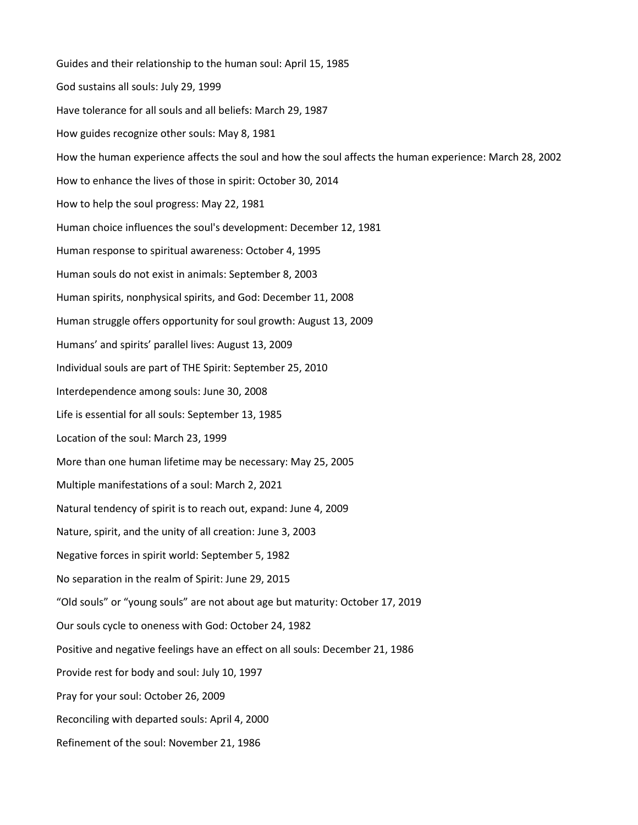Guides and their relationship to the human soul: April 15, 1985 God sustains all souls: July 29, 1999 Have tolerance for all souls and all beliefs: March 29, 1987 How guides recognize other souls: May 8, 1981 How the human experience affects the soul and how the soul affects the human experience: March 28, 2002 How to enhance the lives of those in spirit: October 30, 2014 How to help the soul progress: May 22, 1981 Human choice influences the soul's development: December 12, 1981 Human response to spiritual awareness: October 4, 1995 Human souls do not exist in animals: September 8, 2003 Human spirits, nonphysical spirits, and God: December 11, 2008 Human struggle offers opportunity for soul growth: August 13, 2009 Humans' and spirits' parallel lives: August 13, 2009 Individual souls are part of THE Spirit: September 25, 2010 Interdependence among souls: June 30, 2008 Life is essential for all souls: September 13, 1985 Location of the soul: March 23, 1999 More than one human lifetime may be necessary: May 25, 2005 Multiple manifestations of a soul: March 2, 2021 Natural tendency of spirit is to reach out, expand: June 4, 2009 Nature, spirit, and the unity of all creation: June 3, 2003 Negative forces in spirit world: September 5, 1982 No separation in the realm of Spirit: June 29, 2015 "Old souls" or "young souls" are not about age but maturity: October 17, 2019 Our souls cycle to oneness with God: October 24, 1982 Positive and negative feelings have an effect on all souls: December 21, 1986 Provide rest for body and soul: July 10, 1997 Pray for your soul: October 26, 2009 Reconciling with departed souls: April 4, 2000 Refinement of the soul: November 21, 1986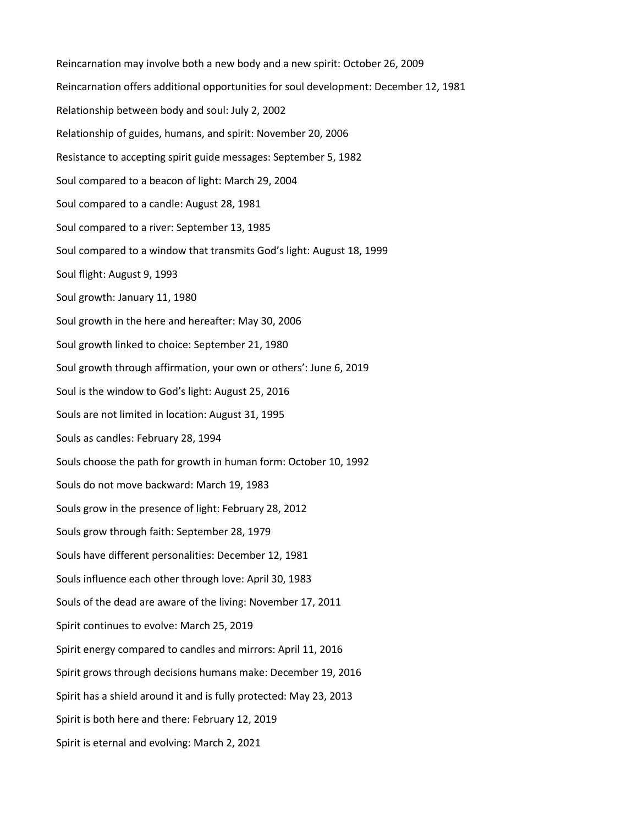Reincarnation may involve both a new body and a new spirit: October 26, 2009 Reincarnation offers additional opportunities for soul development: December 12, 1981 Relationship between body and soul: July 2, 2002 Relationship of guides, humans, and spirit: November 20, 2006 Resistance to accepting spirit guide messages: September 5, 1982 Soul compared to a beacon of light: March 29, 2004 Soul compared to a candle: August 28, 1981 Soul compared to a river: September 13, 1985 Soul compared to a window that transmits God's light: August 18, 1999 Soul flight: August 9, 1993 Soul growth: January 11, 1980 Soul growth in the here and hereafter: May 30, 2006 Soul growth linked to choice: September 21, 1980 Soul growth through affirmation, your own or others': June 6, 2019 Soul is the window to God's light: August 25, 2016 Souls are not limited in location: August 31, 1995 Souls as candles: February 28, 1994 Souls choose the path for growth in human form: October 10, 1992 Souls do not move backward: March 19, 1983 Souls grow in the presence of light: February 28, 2012 Souls grow through faith: September 28, 1979 Souls have different personalities: December 12, 1981 Souls influence each other through love: April 30, 1983 Souls of the dead are aware of the living: November 17, 2011 Spirit continues to evolve: March 25, 2019 Spirit energy compared to candles and mirrors: April 11, 2016 Spirit grows through decisions humans make: December 19, 2016 Spirit has a shield around it and is fully protected: May 23, 2013 Spirit is both here and there: February 12, 2019 Spirit is eternal and evolving: March 2, 2021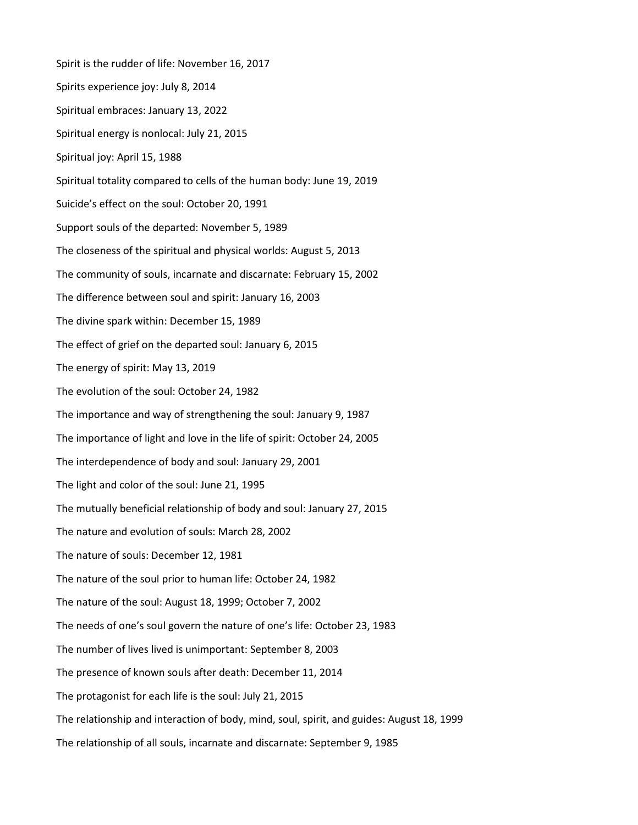Spirit is the rudder of life: November 16, 2017 Spirits experience joy: July 8, 2014 Spiritual embraces: January 13, 2022 Spiritual energy is nonlocal: July 21, 2015 Spiritual joy: April 15, 1988 Spiritual totality compared to cells of the human body: June 19, 2019 Suicide's effect on the soul: October 20, 1991 Support souls of the departed: November 5, 1989 The closeness of the spiritual and physical worlds: August 5, 2013 The community of souls, incarnate and discarnate: February 15, 2002 The difference between soul and spirit: January 16, 2003 The divine spark within: December 15, 1989 The effect of grief on the departed soul: January 6, 2015 The energy of spirit: May 13, 2019 The evolution of the soul: October 24, 1982 The importance and way of strengthening the soul: January 9, 1987 The importance of light and love in the life of spirit: October 24, 2005 The interdependence of body and soul: January 29, 2001 The light and color of the soul: June 21, 1995 The mutually beneficial relationship of body and soul: January 27, 2015 The nature and evolution of souls: March 28, 2002 The nature of souls: December 12, 1981 The nature of the soul prior to human life: October 24, 1982 The nature of the soul: August 18, 1999; October 7, 2002 The needs of one's soul govern the nature of one's life: October 23, 1983 The number of lives lived is unimportant: September 8, 2003 The presence of known souls after death: December 11, 2014 The protagonist for each life is the soul: July 21, 2015 The relationship and interaction of body, mind, soul, spirit, and guides: August 18, 1999 The relationship of all souls, incarnate and discarnate: September 9, 1985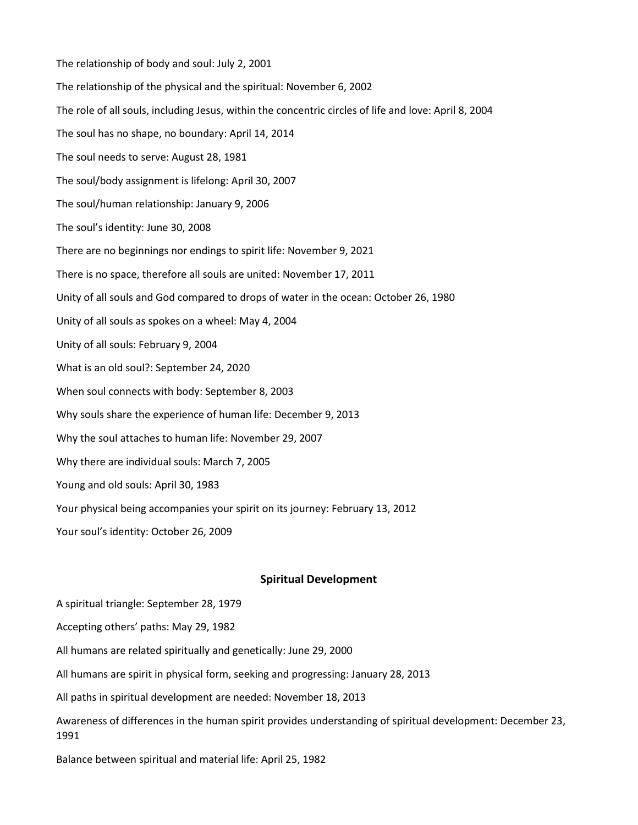The relationship of body and soul: July 2, 2001 The relationship of the physical and the spiritual: November 6, 2002 The role of all souls, including Jesus, within the concentric circles of life and love: April 8, 2004 The soul has no shape, no boundary: April 14, 2014 The soul needs to serve: August 28, 1981 The soul/body assignment is lifelong: April 30, 2007 The soul/human relationship: January 9, 2006 The soul's identity: June 30, 2008 There are no beginnings nor endings to spirit life: November 9, 2021 There is no space, therefore all souls are united: November 17, 2011 Unity of all souls and God compared to drops of water in the ocean: October 26, 1980 Unity of all souls as spokes on a wheel: May 4, 2004 Unity of all souls: February 9, 2004 What is an old soul?: September 24, 2020 When soul connects with body: September 8, 2003 Why souls share the experience of human life: December 9, 2013 Why the soul attaches to human life: November 29, 2007 Why there are individual souls: March 7, 2005 Young and old souls: April 30, 1983 Your physical being accompanies your spirit on its journey: February 13, 2012 Your soul's identity: October 26, 2009

## **Spiritual Development**

- A spiritual triangle: September 28, 1979
- Accepting others' paths: May 29, 1982
- All humans are related spiritually and genetically: June 29, 2000
- All humans are spirit in physical form, seeking and progressing: January 28, 2013
- All paths in spiritual development are needed: November 18, 2013
- Awareness of differences in the human spirit provides understanding of spiritual development: December 23, 1991
- Balance between spiritual and material life: April 25, 1982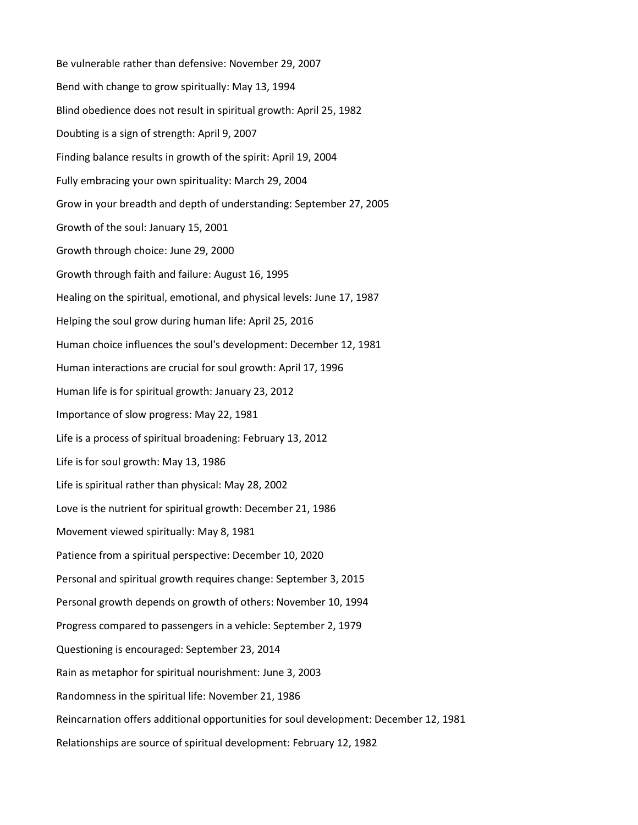Be vulnerable rather than defensive: November 29, 2007 Bend with change to grow spiritually: May 13, 1994 Blind obedience does not result in spiritual growth: April 25, 1982 Doubting is a sign of strength: April 9, 2007 Finding balance results in growth of the spirit: April 19, 2004 Fully embracing your own spirituality: March 29, 2004 Grow in your breadth and depth of understanding: September 27, 2005 Growth of the soul: January 15, 2001 Growth through choice: June 29, 2000 Growth through faith and failure: August 16, 1995 Healing on the spiritual, emotional, and physical levels: June 17, 1987 Helping the soul grow during human life: April 25, 2016 Human choice influences the soul's development: December 12, 1981 Human interactions are crucial for soul growth: April 17, 1996 Human life is for spiritual growth: January 23, 2012 Importance of slow progress: May 22, 1981 Life is a process of spiritual broadening: February 13, 2012 Life is for soul growth: May 13, 1986 Life is spiritual rather than physical: May 28, 2002 Love is the nutrient for spiritual growth: December 21, 1986 Movement viewed spiritually: May 8, 1981 Patience from a spiritual perspective: December 10, 2020 Personal and spiritual growth requires change: September 3, 2015 Personal growth depends on growth of others: November 10, 1994 Progress compared to passengers in a vehicle: September 2, 1979 Questioning is encouraged: September 23, 2014 Rain as metaphor for spiritual nourishment: June 3, 2003 Randomness in the spiritual life: November 21, 1986 Reincarnation offers additional opportunities for soul development: December 12, 1981 Relationships are source of spiritual development: February 12, 1982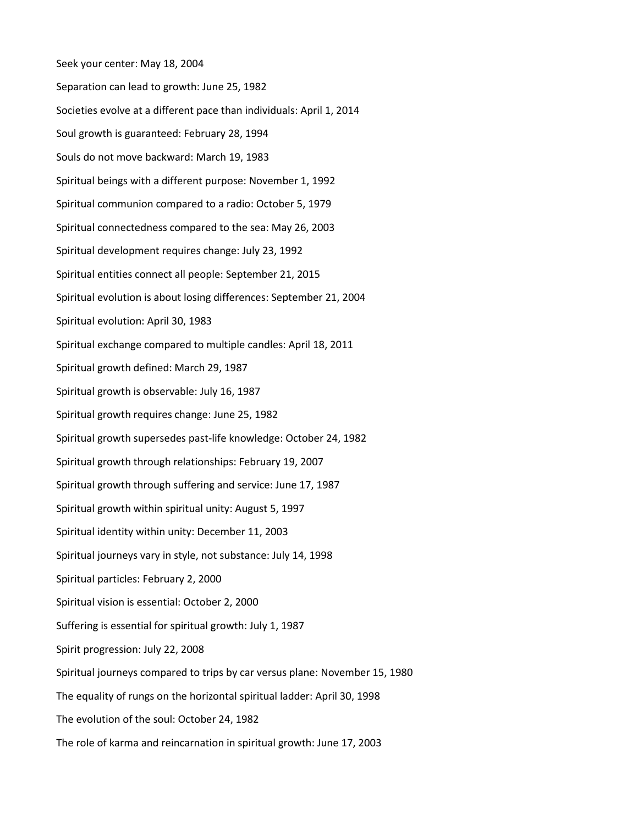Seek your center: May 18, 2004 Separation can lead to growth: June 25, 1982 Societies evolve at a different pace than individuals: April 1, 2014 Soul growth is guaranteed: February 28, 1994 Souls do not move backward: March 19, 1983 Spiritual beings with a different purpose: November 1, 1992 Spiritual communion compared to a radio: October 5, 1979 Spiritual connectedness compared to the sea: May 26, 2003 Spiritual development requires change: July 23, 1992 Spiritual entities connect all people: September 21, 2015 Spiritual evolution is about losing differences: September 21, 2004 Spiritual evolution: April 30, 1983 Spiritual exchange compared to multiple candles: April 18, 2011 Spiritual growth defined: March 29, 1987 Spiritual growth is observable: July 16, 1987 Spiritual growth requires change: June 25, 1982 Spiritual growth supersedes past-life knowledge: October 24, 1982 Spiritual growth through relationships: February 19, 2007 Spiritual growth through suffering and service: June 17, 1987 Spiritual growth within spiritual unity: August 5, 1997 Spiritual identity within unity: December 11, 2003 Spiritual journeys vary in style, not substance: July 14, 1998 Spiritual particles: February 2, 2000 Spiritual vision is essential: October 2, 2000 Suffering is essential for spiritual growth: July 1, 1987 Spirit progression: July 22, 2008 Spiritual journeys compared to trips by car versus plane: November 15, 1980 The equality of rungs on the horizontal spiritual ladder: April 30, 1998 The evolution of the soul: October 24, 1982 The role of karma and reincarnation in spiritual growth: June 17, 2003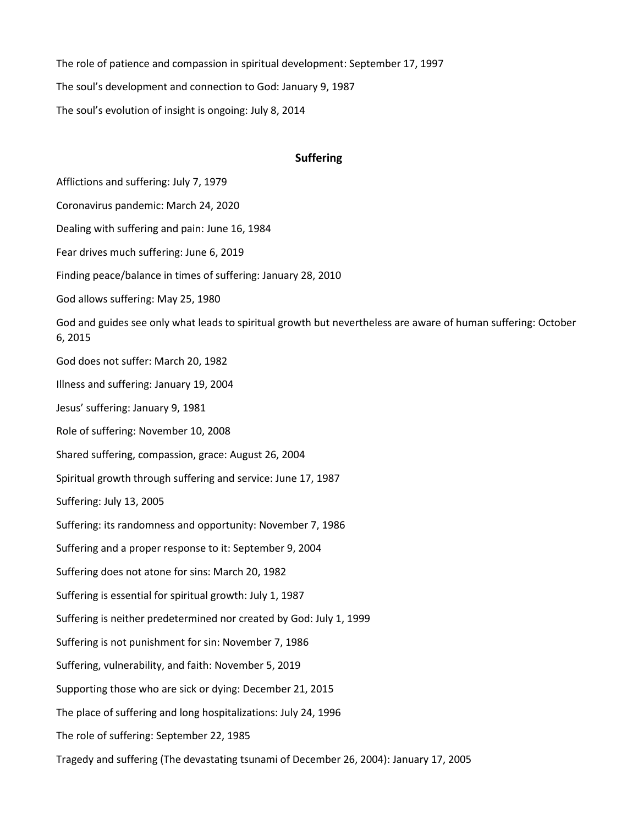The role of patience and compassion in spiritual development: September 17, 1997 The soul's development and connection to God: January 9, 1987 The soul's evolution of insight is ongoing: July 8, 2014

## **Suffering**

Afflictions and suffering: July 7, 1979

Coronavirus pandemic: March 24, 2020

Dealing with suffering and pain: June 16, 1984

Fear drives much suffering: June 6, 2019

Finding peace/balance in times of suffering: January 28, 2010

God allows suffering: May 25, 1980

God and guides see only what leads to spiritual growth but nevertheless are aware of human suffering: October 6, 2015

God does not suffer: March 20, 1982

Illness and suffering: January 19, 2004

Jesus' suffering: January 9, 1981

Role of suffering: November 10, 2008

Shared suffering, compassion, grace: August 26, 2004

Spiritual growth through suffering and service: June 17, 1987

Suffering: July 13, 2005

Suffering: its randomness and opportunity: November 7, 1986

Suffering and a proper response to it: September 9, 2004

Suffering does not atone for sins: March 20, 1982

Suffering is essential for spiritual growth: July 1, 1987

Suffering is neither predetermined nor created by God: July 1, 1999

Suffering is not punishment for sin: November 7, 1986

Suffering, vulnerability, and faith: November 5, 2019

Supporting those who are sick or dying: December 21, 2015

The place of suffering and long hospitalizations: July 24, 1996

The role of suffering: September 22, 1985

Tragedy and suffering (The devastating tsunami of December 26, 2004): January 17, 2005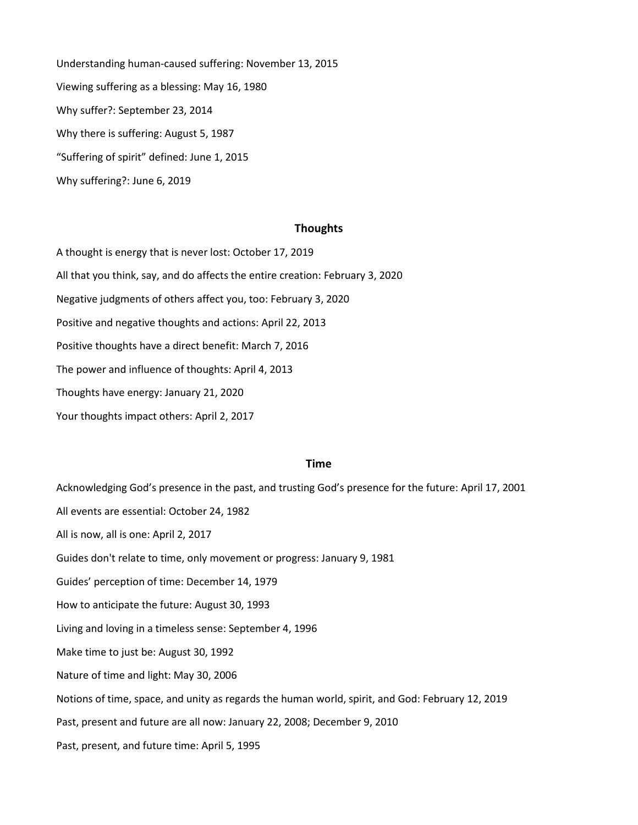Understanding human-caused suffering: November 13, 2015 Viewing suffering as a blessing: May 16, 1980 Why suffer?: September 23, 2014 Why there is suffering: August 5, 1987 "Suffering of spirit" defined: June 1, 2015 Why suffering?: June 6, 2019

### **Thoughts**

A thought is energy that is never lost: October 17, 2019 All that you think, say, and do affects the entire creation: February 3, 2020 Negative judgments of others affect you, too: February 3, 2020 Positive and negative thoughts and actions: April 22, 2013 Positive thoughts have a direct benefit: March 7, 2016 The power and influence of thoughts: April 4, 2013 Thoughts have energy: January 21, 2020 Your thoughts impact others: April 2, 2017

## **Time**

Acknowledging God's presence in the past, and trusting God's presence for the future: April 17, 2001 All events are essential: October 24, 1982 All is now, all is one: April 2, 2017 Guides don't relate to time, only movement or progress: January 9, 1981 Guides' perception of time: December 14, 1979 How to anticipate the future: August 30, 1993 Living and loving in a timeless sense: September 4, 1996 Make time to just be: August 30, 1992 Nature of time and light: May 30, 2006 Notions of time, space, and unity as regards the human world, spirit, and God: February 12, 2019 Past, present and future are all now: January 22, 2008; December 9, 2010 Past, present, and future time: April 5, 1995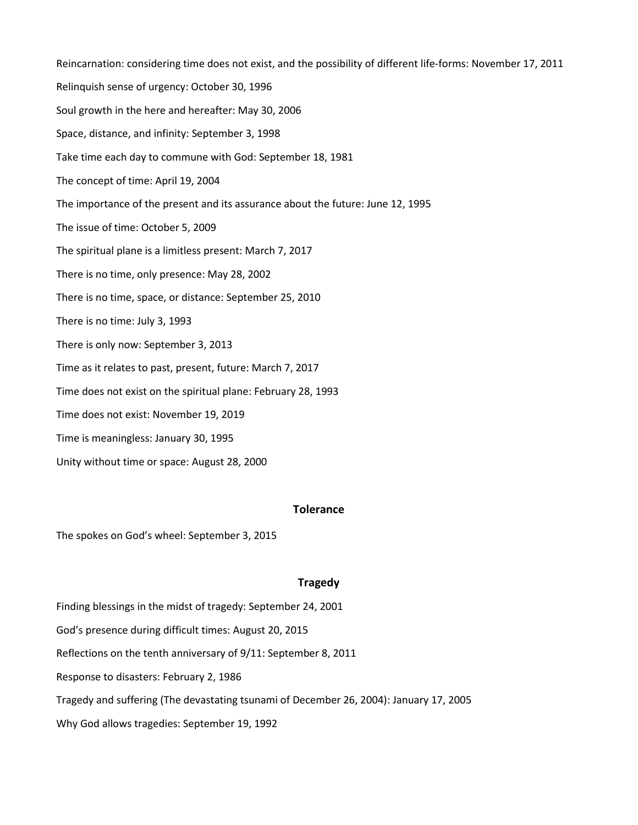Reincarnation: considering time does not exist, and the possibility of different life-forms: November 17, 2011 Relinquish sense of urgency: October 30, 1996 Soul growth in the here and hereafter: May 30, 2006 Space, distance, and infinity: September 3, 1998 Take time each day to commune with God: September 18, 1981 The concept of time: April 19, 2004 The importance of the present and its assurance about the future: June 12, 1995 The issue of time: October 5, 2009 The spiritual plane is a limitless present: March 7, 2017 There is no time, only presence: May 28, 2002 There is no time, space, or distance: September 25, 2010 There is no time: July 3, 1993 There is only now: September 3, 2013 Time as it relates to past, present, future: March 7, 2017 Time does not exist on the spiritual plane: February 28, 1993 Time does not exist: November 19, 2019 Time is meaningless: January 30, 1995 Unity without time or space: August 28, 2000

# **Tolerance**

The spokes on God's wheel: September 3, 2015

# **Tragedy**

Finding blessings in the midst of tragedy: September 24, 2001

God's presence during difficult times: August 20, 2015

Reflections on the tenth anniversary of 9/11: September 8, 2011

Response to disasters: February 2, 1986

Tragedy and suffering (The devastating tsunami of December 26, 2004): January 17, 2005

Why God allows tragedies: September 19, 1992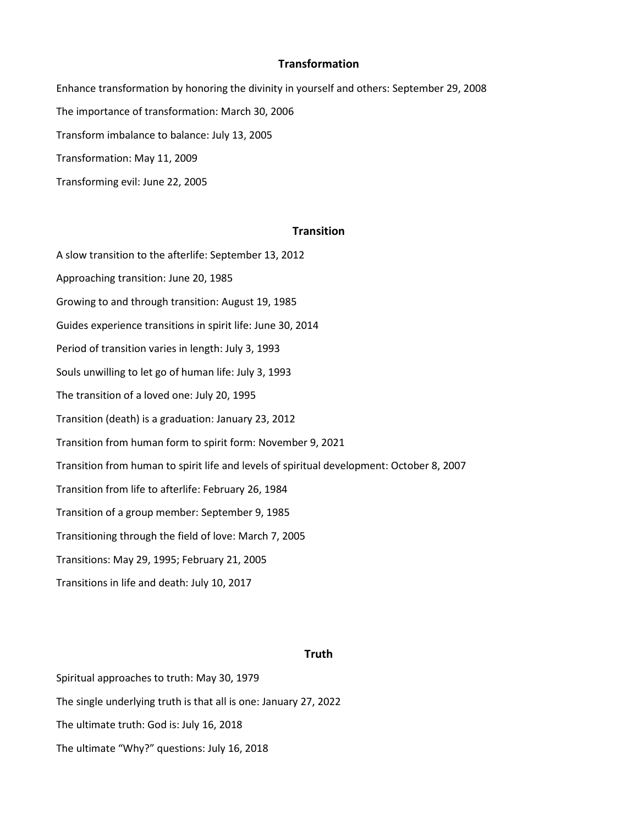## **Transformation**

Enhance transformation by honoring the divinity in yourself and others: September 29, 2008 The importance of transformation: March 30, 2006 Transform imbalance to balance: July 13, 2005 Transformation: May 11, 2009 Transforming evil: June 22, 2005

# **Transition**

A slow transition to the afterlife: September 13, 2012 Approaching transition: June 20, 1985 Growing to and through transition: August 19, 1985 Guides experience transitions in spirit life: June 30, 2014 Period of transition varies in length: July 3, 1993 Souls unwilling to let go of human life: July 3, 1993 The transition of a loved one: July 20, 1995 Transition (death) is a graduation: January 23, 2012 Transition from human form to spirit form: November 9, 2021 Transition from human to spirit life and levels of spiritual development: October 8, 2007 Transition from life to afterlife: February 26, 1984 Transition of a group member: September 9, 1985 Transitioning through the field of love: March 7, 2005 Transitions: May 29, 1995; February 21, 2005 Transitions in life and death: July 10, 2017

## **Truth**

Spiritual approaches to truth: May 30, 1979 The single underlying truth is that all is one: January 27, 2022 The ultimate truth: God is: July 16, 2018 The ultimate "Why?" questions: July 16, 2018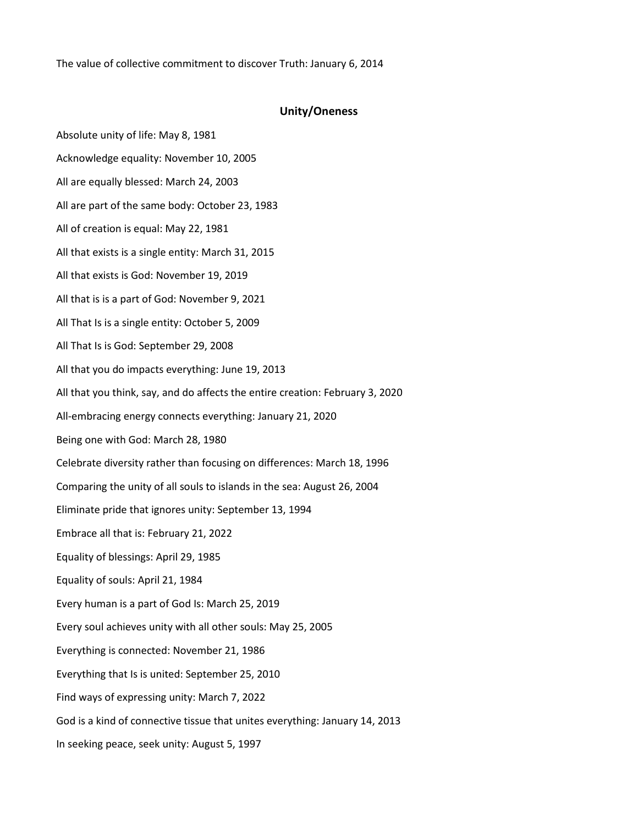The value of collective commitment to discover Truth: January 6, 2014

# **Unity/Oneness**

Absolute unity of life: May 8, 1981 Acknowledge equality: November 10, 2005 All are equally blessed: March 24, 2003 All are part of the same body: October 23, 1983 All of creation is equal: May 22, 1981 All that exists is a single entity: March 31, 2015 All that exists is God: November 19, 2019 All that is is a part of God: November 9, 2021 All That Is is a single entity: October 5, 2009 All That Is is God: September 29, 2008 All that you do impacts everything: June 19, 2013 All that you think, say, and do affects the entire creation: February 3, 2020 All-embracing energy connects everything: January 21, 2020 Being one with God: March 28, 1980 Celebrate diversity rather than focusing on differences: March 18, 1996 Comparing the unity of all souls to islands in the sea: August 26, 2004 Eliminate pride that ignores unity: September 13, 1994 Embrace all that is: February 21, 2022 Equality of blessings: April 29, 1985 Equality of souls: April 21, 1984 Every human is a part of God Is: March 25, 2019 Every soul achieves unity with all other souls: May 25, 2005 Everything is connected: November 21, 1986 Everything that Is is united: September 25, 2010 Find ways of expressing unity: March 7, 2022 God is a kind of connective tissue that unites everything: January 14, 2013 In seeking peace, seek unity: August 5, 1997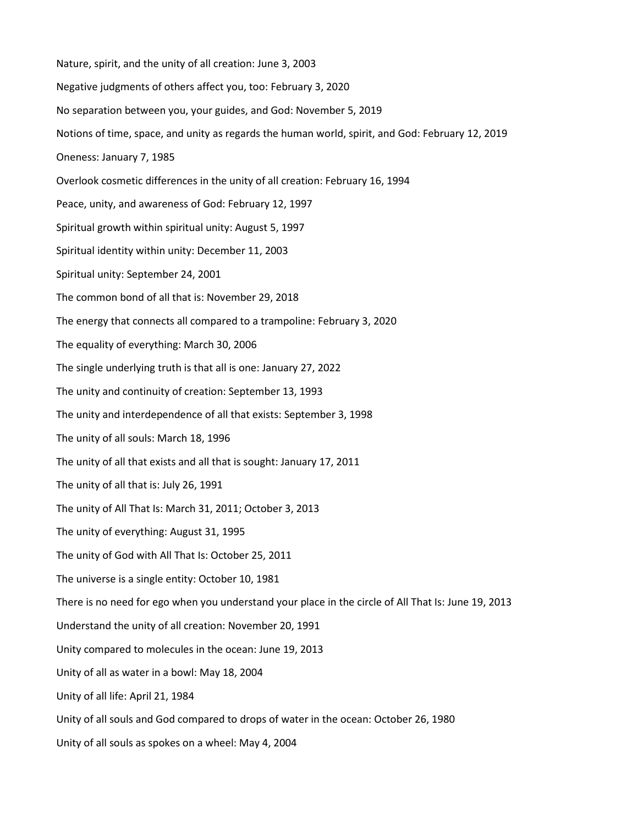Nature, spirit, and the unity of all creation: June 3, 2003 Negative judgments of others affect you, too: February 3, 2020 No separation between you, your guides, and God: November 5, 2019 Notions of time, space, and unity as regards the human world, spirit, and God: February 12, 2019 Oneness: January 7, 1985 Overlook cosmetic differences in the unity of all creation: February 16, 1994 Peace, unity, and awareness of God: February 12, 1997 Spiritual growth within spiritual unity: August 5, 1997 Spiritual identity within unity: December 11, 2003 Spiritual unity: September 24, 2001 The common bond of all that is: November 29, 2018 The energy that connects all compared to a trampoline: February 3, 2020 The equality of everything: March 30, 2006 The single underlying truth is that all is one: January 27, 2022 The unity and continuity of creation: September 13, 1993 The unity and interdependence of all that exists: September 3, 1998 The unity of all souls: March 18, 1996 The unity of all that exists and all that is sought: January 17, 2011 The unity of all that is: July 26, 1991 The unity of All That Is: March 31, 2011; October 3, 2013 The unity of everything: August 31, 1995 The unity of God with All That Is: October 25, 2011 The universe is a single entity: October 10, 1981 There is no need for ego when you understand your place in the circle of All That Is: June 19, 2013 Understand the unity of all creation: November 20, 1991 Unity compared to molecules in the ocean: June 19, 2013 Unity of all as water in a bowl: May 18, 2004 Unity of all life: April 21, 1984 Unity of all souls and God compared to drops of water in the ocean: October 26, 1980 Unity of all souls as spokes on a wheel: May 4, 2004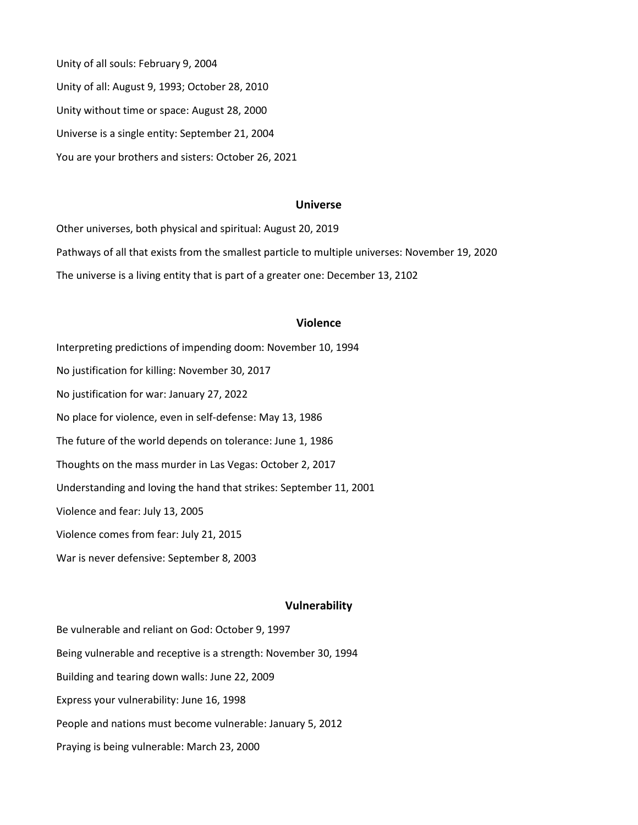Unity of all souls: February 9, 2004 Unity of all: August 9, 1993; October 28, 2010 Unity without time or space: August 28, 2000 Universe is a single entity: September 21, 2004 You are your brothers and sisters: October 26, 2021

## **Universe**

Other universes, both physical and spiritual: August 20, 2019 Pathways of all that exists from the smallest particle to multiple universes: November 19, 2020 The universe is a living entity that is part of a greater one: December 13, 2102

# **Violence**

Interpreting predictions of impending doom: November 10, 1994 No justification for killing: November 30, 2017 No justification for war: January 27, 2022 No place for violence, even in self-defense: May 13, 1986 The future of the world depends on tolerance: June 1, 1986 Thoughts on the mass murder in Las Vegas: October 2, 2017 Understanding and loving the hand that strikes: September 11, 2001 Violence and fear: July 13, 2005 Violence comes from fear: July 21, 2015 War is never defensive: September 8, 2003

### **Vulnerability**

Be vulnerable and reliant on God: October 9, 1997 Being vulnerable and receptive is a strength: November 30, 1994 Building and tearing down walls: June 22, 2009 Express your vulnerability: June 16, 1998 People and nations must become vulnerable: January 5, 2012 Praying is being vulnerable: March 23, 2000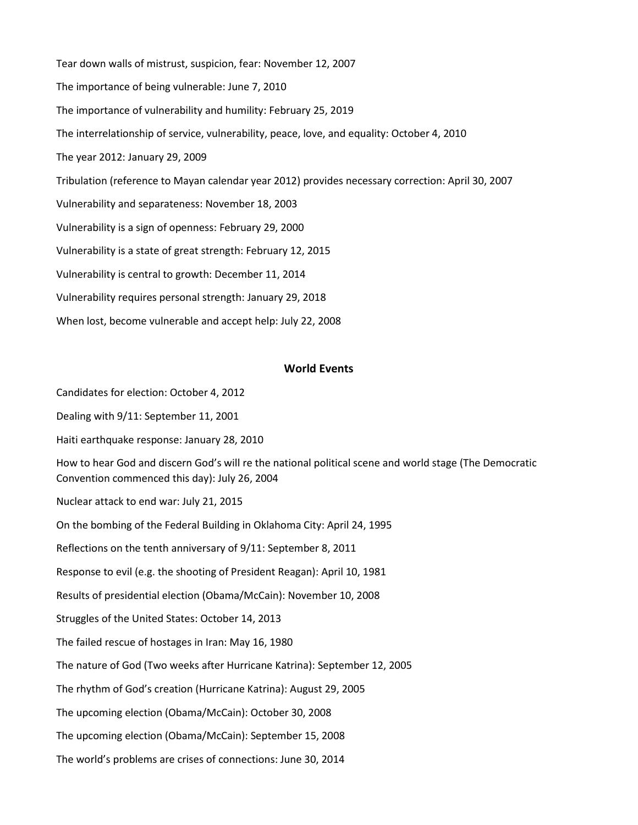Tear down walls of mistrust, suspicion, fear: November 12, 2007 The importance of being vulnerable: June 7, 2010 The importance of vulnerability and humility: February 25, 2019 The interrelationship of service, vulnerability, peace, love, and equality: October 4, 2010 The year 2012: January 29, 2009 Tribulation (reference to Mayan calendar year 2012) provides necessary correction: April 30, 2007 Vulnerability and separateness: November 18, 2003 Vulnerability is a sign of openness: February 29, 2000 Vulnerability is a state of great strength: February 12, 2015 Vulnerability is central to growth: December 11, 2014 Vulnerability requires personal strength: January 29, 2018 When lost, become vulnerable and accept help: July 22, 2008

# **World Events**

Candidates for election: October 4, 2012

Dealing with 9/11: September 11, 2001

Haiti earthquake response: January 28, 2010

How to hear God and discern God's will re the national political scene and world stage (The Democratic Convention commenced this day): July 26, 2004

Nuclear attack to end war: July 21, 2015

On the bombing of the Federal Building in Oklahoma City: April 24, 1995

Reflections on the tenth anniversary of 9/11: September 8, 2011

Response to evil (e.g. the shooting of President Reagan): April 10, 1981

Results of presidential election (Obama/McCain): November 10, 2008

Struggles of the United States: October 14, 2013

The failed rescue of hostages in Iran: May 16, 1980

The nature of God (Two weeks after Hurricane Katrina): September 12, 2005

The rhythm of God's creation (Hurricane Katrina): August 29, 2005

The upcoming election (Obama/McCain): October 30, 2008

The upcoming election (Obama/McCain): September 15, 2008

The world's problems are crises of connections: June 30, 2014